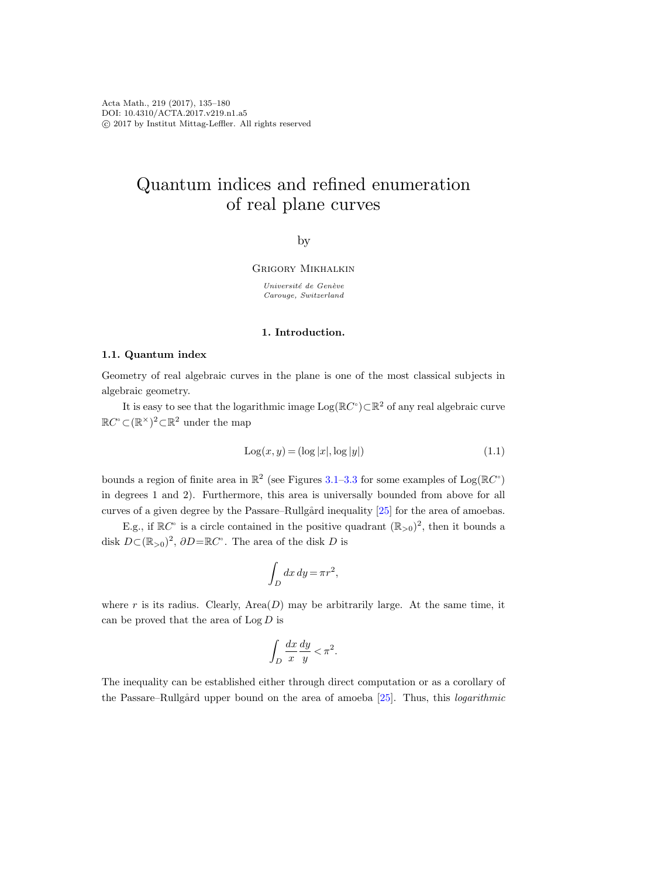# Quantum indices and refined enumeration of real plane curves

by

Grigory Mikhalkin

Université de Genève Carouge, Switzerland

#### 1. Introduction.

## 1.1. Quantum index

Geometry of real algebraic curves in the plane is one of the most classical subjects in algebraic geometry.

It is easy to see that the logarithmic image  $Log(\mathbb{R}C^{\circ})\subset \mathbb{R}^{2}$  of any real algebraic curve  $\mathbb{R}C^{\circ}$  ⊂ $(\mathbb{R}^{\times})^2$  ⊂ $\mathbb{R}^2$  under the map

<span id="page-0-0"></span>
$$
Log(x, y) = (log |x|, log |y|)
$$
\n
$$
(1.1)
$$

bounds a region of finite area in  $\mathbb{R}^2$  (see Figures [3.1](#page-10-0)[–3.3](#page-12-0) for some examples of  $Log(\mathbb{R}C^{\circ})$ in degrees 1 and 2). Furthermore, this area is universally bounded from above for all curves of a given degree by the Passare–Rullgård inequality [\[25\]](#page-45-0) for the area of amoebas.

E.g., if  $\mathbb{R}C^{\circ}$  is a circle contained in the positive quadrant  $(\mathbb{R}_{>0})^2$ , then it bounds a disk  $D \subset (\mathbb{R}_{>0})^2$ ,  $\partial D = \mathbb{R}C^{\circ}$ . The area of the disk D is

$$
\int_D dx\,dy = \pi r^2,
$$

where r is its radius. Clearly,  $Area(D)$  may be arbitrarily large. At the same time, it can be proved that the area of  $\text{Log } D$  is

$$
\int_D \frac{dx}{x} \frac{dy}{y} < \pi^2.
$$

The inequality can be established either through direct computation or as a corollary of the Passare–Rullgård upper bound on the area of amoeba  $[25]$ . Thus, this *logarithmic*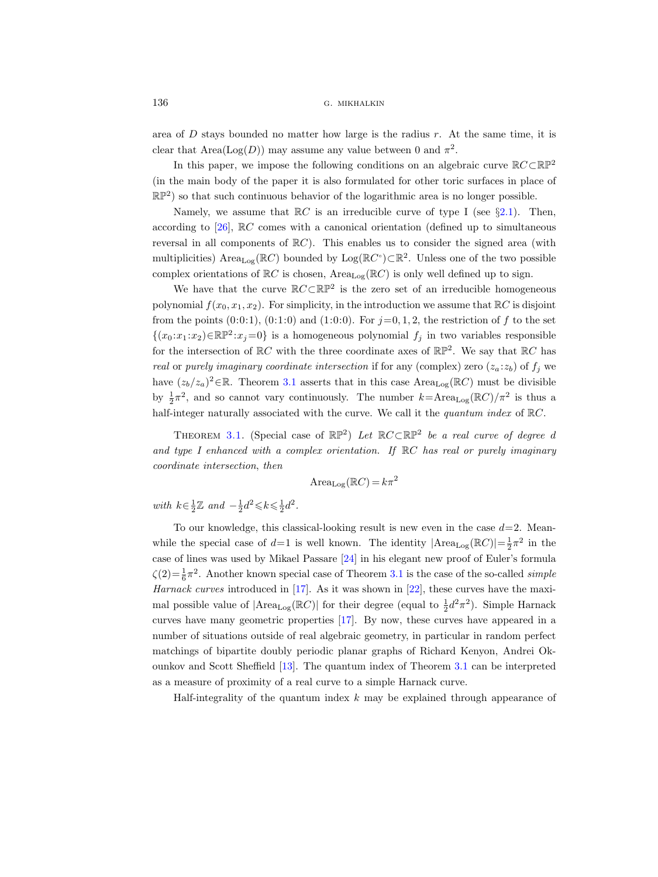area of  $D$  stays bounded no matter how large is the radius  $r$ . At the same time, it is clear that  $Area(Log(D))$  may assume any value between 0 and  $\pi^2$ .

In this paper, we impose the following conditions on an algebraic curve  $\mathbb{R} C \subset \mathbb{RP}^2$ (in the main body of the paper it is also formulated for other toric surfaces in place of  $\mathbb{RP}^2$ ) so that such continuous behavior of the logarithmic area is no longer possible.

Namely, we assume that  $\mathbb{R}C$  is an irreducible curve of type I (see §[2.1\)](#page-6-0). Then, according to [\[26\]](#page-45-1), RC comes with a canonical orientation (defined up to simultaneous reversal in all components of  $\mathbb{R}C$ ). This enables us to consider the signed area (with multiplicities) Area<sub>Log</sub>( $\mathbb{R}C$ ) bounded by Log( $\mathbb{R}C^{\circ}$ ) $\subset \mathbb{R}^{2}$ . Unless one of the two possible complex orientations of  $\mathbb{R}C$  is chosen, Area<sub>Log</sub>( $\mathbb{R}C$ ) is only well defined up to sign.

We have that the curve  $\mathbb{R} C \subset \mathbb{RP}^2$  is the zero set of an irreducible homogeneous polynomial  $f(x_0, x_1, x_2)$ . For simplicity, in the introduction we assume that  $\mathbb{R}C$  is disjoint from the points  $(0.0:1)$ ,  $(0.1:0)$  and  $(1:0:0)$ . For  $j=0,1,2$ , the restriction of f to the set  $\{(x_0 : x_1 : x_2) \in \mathbb{RP}^2 : x_j = 0\}$  is a homogeneous polynomial  $f_j$  in two variables responsible for the intersection of  $\mathbb{R}C$  with the three coordinate axes of  $\mathbb{RP}^2$ . We say that  $\mathbb{R}C$  has real or purely imaginary coordinate intersection if for any (complex) zero  $(z_a; z_b)$  of  $f_i$  we have  $(z_b/z_a)^2 \in \mathbb{R}$ . Theorem [3.1](#page-8-0) asserts that in this case Area<sub>Log</sub>( $\mathbb{R}C$ ) must be divisible by  $\frac{1}{2}\pi^2$ , and so cannot vary continuously. The number  $k = \text{Area}_{\text{Log}}(\mathbb{R}C)/\pi^2$  is thus a half-integer naturally associated with the curve. We call it the *quantum index* of  $\mathbb{R}C$ .

THEOREM [3.1.](#page-8-0) (Special case of  $\mathbb{RP}^2$ ) Let  $\mathbb{R}C\subset \mathbb{RP}^2$  be a real curve of degree d and type I enhanced with a complex orientation. If  $\mathbb{R}C$  has real or purely imaginary coordinate intersection, then

$$
\text{Area}_{\text{Log}}(\mathbb{R}C) = k\pi^2
$$

with  $k \in \frac{1}{2} \mathbb{Z}$  and  $-\frac{1}{2}d^2 \leq k \leq \frac{1}{2}d^2$ .

To our knowledge, this classical-looking result is new even in the case  $d=2$ . Meanwhile the special case of  $d=1$  is well known. The identity  $|Area_{Log}(\mathbb{R}C)| = \frac{1}{2}\pi^2$  in the case of lines was used by Mikael Passare [\[24\]](#page-45-2) in his elegant new proof of Euler's formula  $\zeta(2) = \frac{1}{6}\pi^2$ . Another known special case of Theorem [3.1](#page-8-0) is the case of the so-called *simple* Harnack curves introduced in [\[17\]](#page-44-0). As it was shown in [\[22\]](#page-45-3), these curves have the maximal possible value of  $|\text{Area}_{\text{Log}}(\mathbb{R}C)|$  for their degree (equal to  $\frac{1}{2}d^2\pi^2$ ). Simple Harnack curves have many geometric properties [\[17\]](#page-44-0). By now, these curves have appeared in a number of situations outside of real algebraic geometry, in particular in random perfect matchings of bipartite doubly periodic planar graphs of Richard Kenyon, Andrei Okounkov and Scott Sheffield [\[13\]](#page-44-1). The quantum index of Theorem [3.1](#page-8-0) can be interpreted as a measure of proximity of a real curve to a simple Harnack curve.

Half-integrality of the quantum index  $k$  may be explained through appearance of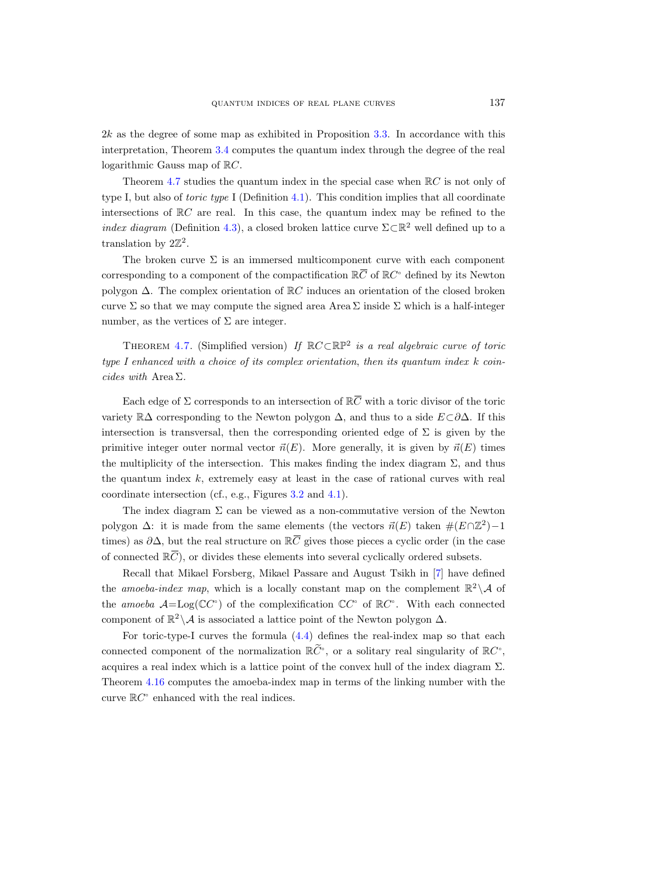$2k$  as the degree of some map as exhibited in Proposition [3.3.](#page-9-0) In accordance with this interpretation, Theorem [3.4](#page-9-1) computes the quantum index through the degree of the real logarithmic Gauss map of RC.

Theorem [4.7](#page-14-0) studies the quantum index in the special case when  $\mathbb{R}C$  is not only of type I, but also of toric type I (Definition [4.1\)](#page-10-1). This condition implies that all coordinate intersections of  $\mathbb{R}C$  are real. In this case, the quantum index may be refined to the index diagram (Definition [4.3\)](#page-11-0), a closed broken lattice curve  $\Sigma \subset \mathbb{R}^2$  well defined up to a translation by  $2\mathbb{Z}^2$ . 2k as the degree of some map as exhibited in Proposition<br>interpretation, Theorem 3.4 computes the quantum index<br>logarithmic Gauss map of  $\mathbb{R}C$ .<br>Theorem 4.7 studies the quantum index in the specia<br>type I, but also of

The broken curve  $\Sigma$  is an immersed multicomponent curve with each component of  $\mathbb{R}C^{\circ}$  defined by its Newton polygon ∆. The complex orientation of RC induces an orientation of the closed broken curve  $\Sigma$  so that we may compute the signed area Area  $\Sigma$  inside  $\Sigma$  which is a half-integer number, as the vertices of  $\Sigma$  are integer. Each edge of  $\Sigma$  corresponds to an intersection of  $\mathbb{R}C$ <br>Final booken curve  $\Sigma$  is an immersed multicompone<br>sponding to a component of the compactification  $\mathbb{R}(\text{gon }\Delta)$ . The complex orientation of  $\mathbb{R}C$  induc

THEOREM [4.7.](#page-14-0) (Simplified version) If  $\mathbb{R} C \subset \mathbb{RP}^2$  is a real algebraic curve of toric type I enhanced with a choice of its complex orientation, then its quantum index  $k$  coincides with Area Σ.

Each edge of  $\Sigma$  corresponds to an intersection of  $\mathbb{R}\bar{C}$  with a toric divisor of the toric variety  $\mathbb{R}\Delta$  corresponding to the Newton polygon  $\Delta$ , and thus to a side  $E\subset\partial\Delta$ . If this intersection is transversal, then the corresponding oriented edge of  $\Sigma$  is given by the primitive integer outer normal vector  $\vec{n}(E)$ . More generally, it is given by  $\vec{n}(E)$  times the multiplicity of the intersection. This makes finding the index diagram  $\Sigma$ , and thus the quantum index  $k$ , extremely easy at least in the case of rational curves with real coordinate intersection (cf., e.g., Figures [3.2](#page-11-1) and [4.1\)](#page-10-0). cides with Area  $\Sigma$ .<br>
Each edge of  $\Sigma$  corresponds to an inters<br>
variety  $\mathbb{R}\Delta$  corresponding to the Newton p<br>
intersection is transversal, then the corres<br>
primitive integer outer normal vector  $\vec{n}(E)$ <br>
the multipl Each edge of<br>variety  $\mathbb{R}\Delta$  corre<br>intersection is tr<br>primitive integer<br>the multiplicity of<br>the quantum ind<br>coordinate inters<br>The index d<br>polygon  $\Delta$ : it is<br>times) as  $\partial \Delta$ , bu<br>of connected  $\mathbb{R}\overline{C}$ 

The index diagram  $\Sigma$  can be viewed as a non-commutative version of the Newton polygon  $\Delta$ : it is made from the same elements (the vectors  $\vec{n}(E)$  taken  $\#(E \cap \mathbb{Z}^2) - 1$ times) as  $\partial \Delta$ , but the real structure on  $\mathbb{R} \overline{C}$  gives those pieces a cyclic order (in the case of connected  $\mathbb{R}\overline{C}$ , or divides these elements into several cyclically ordered subsets.

Recall that Mikael Forsberg, Mikael Passare and August Tsikh in [\[7\]](#page-44-2) have defined the amoeba-index map, which is a locally constant map on the complement  $\mathbb{R}^2 \setminus \mathcal{A}$  of the amoeba  $\mathcal{A} = \text{Log}(\mathbb{C}C^{\circ})$  of the complexification  $\mathbb{C}C^{\circ}$  of  $\mathbb{R}C^{\circ}$ . With each connected component of  $\mathbb{R}^2 \setminus A$  is associated a lattice point of the Newton polygon  $\Delta$ .

For toric-type-I curves the formula [\(4.4\)](#page-12-1) defines the real-index map so that each connected component of the normalization  $\mathbb{R} \widetilde{C}^{\circ}$ , or a solitary real singularity of  $\mathbb{R} C^{\circ}$ , acquires a real index which is a lattice point of the convex hull of the index diagram  $\Sigma$ . Theorem [4.16](#page-18-0) computes the amoeba-index map in terms of the linking number with the curve  $\mathbb{R}C^{\circ}$  enhanced with the real indices.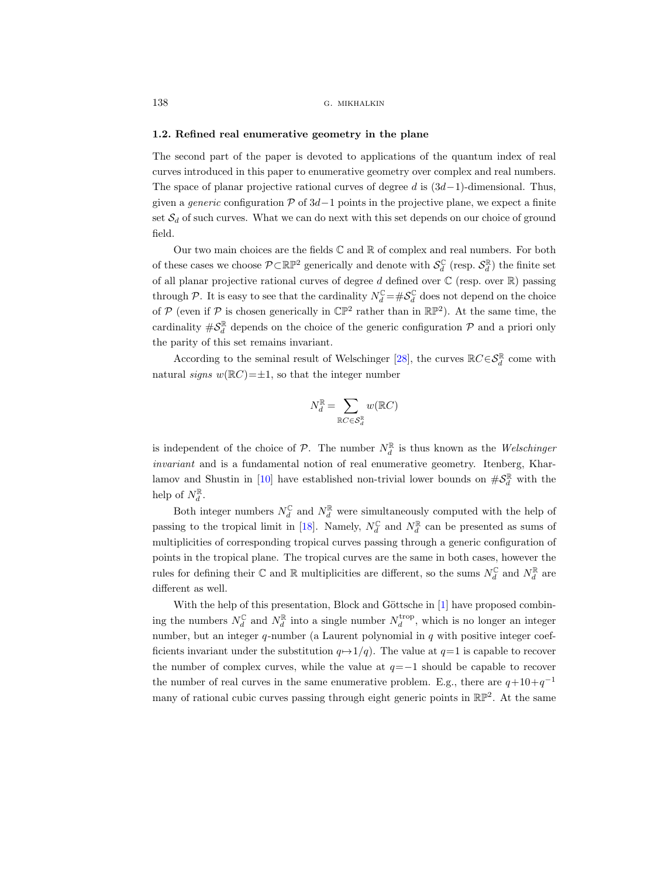## 1.2. Refined real enumerative geometry in the plane

The second part of the paper is devoted to applications of the quantum index of real curves introduced in this paper to enumerative geometry over complex and real numbers. The space of planar projective rational curves of degree d is  $(3d-1)$ -dimensional. Thus, given a *generic* configuration  $\mathcal P$  of 3d - 1 points in the projective plane, we expect a finite set  $S_d$  of such curves. What we can do next with this set depends on our choice of ground field.

Our two main choices are the fields  $\mathbb C$  and  $\mathbb R$  of complex and real numbers. For both of these cases we choose  $P \subset \mathbb{RP}^2$  generically and denote with  $\mathcal{S}_d^{\mathbb{C}}$  (resp.  $\mathcal{S}_d^{\mathbb{R}}$ ) the finite set of all planar projective rational curves of degree d defined over  $\mathbb C$  (resp. over  $\mathbb R$ ) passing through P. It is easy to see that the cardinality  $N_d^{\mathbb{C}} = \#S_d^{\mathbb{C}}$  does not depend on the choice of  $P$  (even if  $P$  is chosen generically in  $\mathbb{CP}^2$  rather than in  $\mathbb{RP}^2$ ). At the same time, the cardinality  $\#\mathcal{S}_d^{\mathbb{R}}$  depends on the choice of the generic configuration  $\mathcal P$  and a priori only the parity of this set remains invariant.

According to the seminal result of Welschinger [\[28\]](#page-45-4), the curves  $\mathbb{R}C\in\mathcal{S}_d^{\mathbb{R}}$  come with natural signs  $w(\mathbb{R}C)=\pm 1$ , so that the integer number

$$
N_d^{\mathbb{R}} = \sum_{\mathbb{R}C \in \mathcal{S}_d^{\mathbb{R}}} w(\mathbb{R}C)
$$

is independent of the choice of  $P$ . The number  $N_d^{\mathbb{R}}$  is thus known as the *Welschinger* invariant and is a fundamental notion of real enumerative geometry. Itenberg, Khar-lamov and Shustin in [\[10\]](#page-44-3) have established non-trivial lower bounds on  $\#\mathcal{S}_d^{\mathbb{R}}$  with the help of  $N_d^{\mathbb{R}}$ .

Both integer numbers  $N_d^{\mathbb{C}}$  and  $N_d^{\mathbb{R}}$  were simultaneously computed with the help of passing to the tropical limit in [\[18\]](#page-44-4). Namely,  $N_d^{\mathbb{C}}$  and  $N_d^{\mathbb{R}}$  can be presented as sums of multiplicities of corresponding tropical curves passing through a generic configuration of points in the tropical plane. The tropical curves are the same in both cases, however the rules for defining their  $\mathbb C$  and  $\mathbb R$  multiplicities are different, so the sums  $N_d^{\mathbb C}$  and  $N_d^{\mathbb R}$  are different as well.

With the help of this presentation, Block and Göttsche in [\[1\]](#page-44-5) have proposed combining the numbers  $N_d^{\mathbb{C}}$  and  $N_d^{\mathbb{R}}$  into a single number  $N_d^{\text{trop}}$ , which is no longer an integer number, but an integer  $q$ -number (a Laurent polynomial in  $q$  with positive integer coefficients invariant under the substitution  $q \mapsto 1/q$ . The value at  $q=1$  is capable to recover the number of complex curves, while the value at  $q=-1$  should be capable to recover the number of real curves in the same enumerative problem. E.g., there are  $q+10+q^{-1}$ many of rational cubic curves passing through eight generic points in  $\mathbb{RP}^2$ . At the same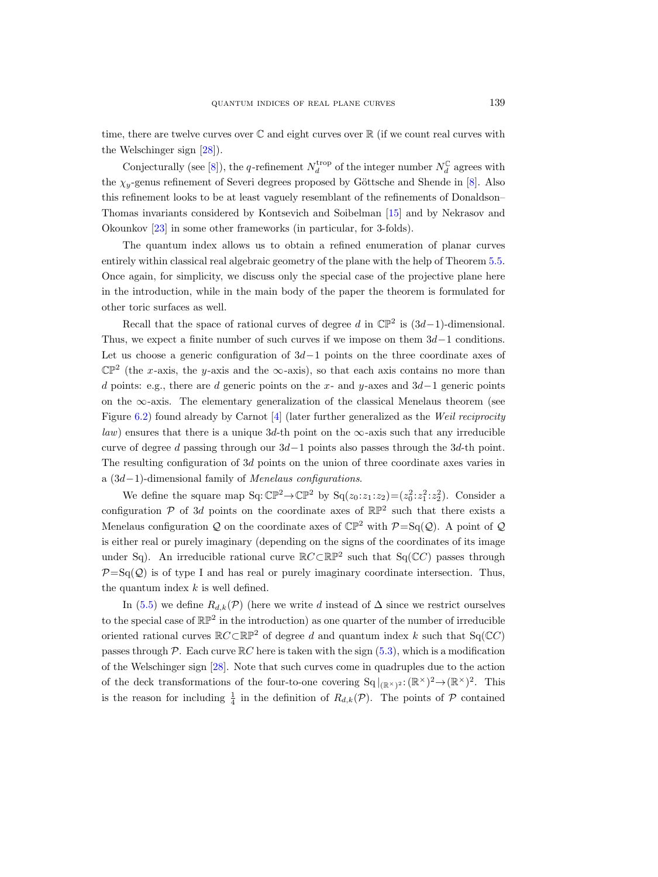time, there are twelve curves over  $\mathbb C$  and eight curves over  $\mathbb R$  (if we count real curves with the Welschinger sign [\[28\]](#page-45-4)).

Conjecturally (see [\[8\]](#page-44-6)), the q-refinement  $N_d^{\text{trop}}$  of the integer number  $N_d^{\mathbb{C}}$  agrees with the  $\chi_{\nu}$ -genus refinement of Severi degrees proposed by Göttsche and Shende in [\[8\]](#page-44-6). Also this refinement looks to be at least vaguely resemblant of the refinements of Donaldson– Thomas invariants considered by Kontsevich and Soibelman [\[15\]](#page-44-7) and by Nekrasov and Okounkov [\[23\]](#page-45-5) in some other frameworks (in particular, for 3-folds).

The quantum index allows us to obtain a refined enumeration of planar curves entirely within classical real algebraic geometry of the plane with the help of Theorem [5.5.](#page-22-0) Once again, for simplicity, we discuss only the special case of the projective plane here in the introduction, while in the main body of the paper the theorem is formulated for other toric surfaces as well.

Recall that the space of rational curves of degree d in  $\mathbb{CP}^2$  is  $(3d-1)$ -dimensional. Thus, we expect a finite number of such curves if we impose on them  $3d-1$  conditions. Let us choose a generic configuration of  $3d-1$  points on the three coordinate axes of  $\mathbb{CP}^2$  (the x-axis, the y-axis and the  $\infty$ -axis), so that each axis contains no more than d points: e.g., there are d generic points on the x- and y-axes and  $3d-1$  generic points on the  $\infty$ -axis. The elementary generalization of the classical Menelaus theorem (see Figure [6.2\)](#page-11-1) found already by Carnot [\[4\]](#page-44-8) (later further generalized as the Weil reciprocity law) ensures that there is a unique 3d-th point on the  $\infty$ -axis such that any irreducible curve of degree d passing through our  $3d-1$  points also passes through the 3d-th point. The resulting configuration of 3d points on the union of three coordinate axes varies in a (3d−1)-dimensional family of Menelaus configurations.

We define the square map  $Sq: \mathbb{CP}^2 \to \mathbb{CP}^2$  by  $Sq(z_0 : z_1 : z_2) = (z_0^2 : z_1^2 : z_2^2)$ . Consider a configuration  $P$  of 3d points on the coordinate axes of  $\mathbb{RP}^2$  such that there exists a Menelaus configuration Q on the coordinate axes of  $\mathbb{CP}^2$  with  $\mathcal{P} = \text{Sq}(\mathcal{Q})$ . A point of Q is either real or purely imaginary (depending on the signs of the coordinates of its image under Sq). An irreducible rational curve  $\mathbb{R} C \subset \mathbb{RP}^2$  such that Sq( $\mathbb{C} C$ ) passes through  $\mathcal{P}=\mathrm{Sq}(\mathcal{Q})$  is of type I and has real or purely imaginary coordinate intersection. Thus, the quantum index  $k$  is well defined.

In [\(5.5\)](#page-21-0) we define  $R_{d,k}(\mathcal{P})$  (here we write d instead of  $\Delta$  since we restrict ourselves to the special case of  $\mathbb{RP}^2$  in the introduction) as one quarter of the number of irreducible oriented rational curves  $\mathbb{R}C\subset\mathbb{RP}^2$  of degree d and quantum index k such that Sq( $\mathbb{C}C$ ) passes through P. Each curve  $\mathbb{R}C$  here is taken with the sign  $(5.3)$ , which is a modification of the Welschinger sign [\[28\]](#page-45-4). Note that such curves come in quadruples due to the action of the deck transformations of the four-to-one covering  $Sq|_{(\mathbb{R}^\times)^2}: (\mathbb{R}^\times)^2 \to (\mathbb{R}^\times)^2$ . This is the reason for including  $\frac{1}{4}$  in the definition of  $R_{d,k}(\mathcal{P})$ . The points of  $\mathcal P$  contained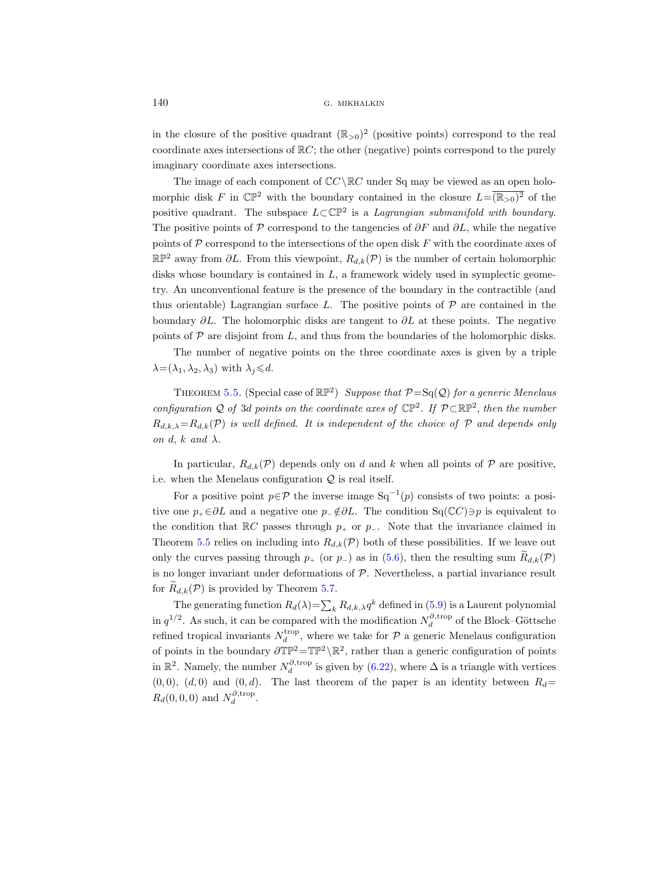in the closure of the positive quadrant  $(\mathbb{R}_{>0})^2$  (positive points) correspond to the real coordinate axes intersections of  $\mathbb{R}C$ ; the other (negative) points correspond to the purely imaginary coordinate axes intersections.

The image of each component of  $\mathbb{C}C \setminus \mathbb{R}C$  under Sq may be viewed as an open holomorphic disk F in  $\mathbb{CP}^2$  with the boundary contained in the closure  $L = \overline{(\mathbb{R}_{>0})^2}$  of the positive quadrant. The subspace  $L\subset\mathbb{CP}^2$  is a Lagrangian submanifold with boundary. The positive points of P correspond to the tangencies of  $\partial F$  and  $\partial L$ , while the negative points of  $P$  correspond to the intersections of the open disk  $F$  with the coordinate axes of  $\mathbb{RP}^2$  away from  $\partial L$ . From this viewpoint,  $R_{d,k}(\mathcal{P})$  is the number of certain holomorphic disks whose boundary is contained in  $L$ , a framework widely used in symplectic geometry. An unconventional feature is the presence of the boundary in the contractible (and thus orientable) Lagrangian surface L. The positive points of  $P$  are contained in the boundary  $\partial L$ . The holomorphic disks are tangent to  $\partial L$  at these points. The negative points of  $\mathcal P$  are disjoint from L, and thus from the boundaries of the holomorphic disks.

The number of negative points on the three coordinate axes is given by a triple  $\lambda = (\lambda_1, \lambda_2, \lambda_3)$  with  $\lambda_i \le d$ .

THEOREM [5.5.](#page-22-0) (Special case of  $\mathbb{RP}^2$ ) Suppose that  $\mathcal{P} = \mathrm{Sq}(\mathcal{Q})$  for a generic Menelaus configuration Q of 3d points on the coordinate axes of  $\mathbb{CP}^2$ . If  $\mathcal{P} \subset \mathbb{RP}^2$ , then the number  $R_{d,k,\lambda}=R_{d,k}(\mathcal{P})$  is well defined. It is independent of the choice of  $\mathcal P$  and depends only on d, k and  $\lambda$ .

In particular,  $R_{d,k}(\mathcal{P})$  depends only on d and k when all points of  $\mathcal P$  are positive, i.e. when the Menelaus configuration  $Q$  is real itself.

For a positive point  $p \in \mathcal{P}$  the inverse image  $Sq^{-1}(p)$  consists of two points: a positive one  $p_+\in \partial L$  and a negative one  $p_-\notin \partial L$ . The condition Sq( $\mathbb{C}C$ ) $\ni p$  is equivalent to the condition that  $\mathbb{R}C$  passes through  $p_+$  or  $p_-$ . Note that the invariance claimed in Theorem [5.5](#page-22-0) relies on including into  $R_{d,k}(\mathcal{P})$  both of these possibilities. If we leave out only the curves passing through  $p_+$  (or  $p_-$ ) as in [\(5.6\)](#page-22-1), then the resulting sum  $R_{d,k}(\mathcal{P})$ is no longer invariant under deformations of  $P$ . Nevertheless, a partial invariance result for  $R_{d,k}(\mathcal{P})$  is provided by Theorem [5.7.](#page-23-0)

The generating function  $R_d(\lambda) = \sum_k R_{d,k,\lambda} q^k$  defined in [\(5.9\)](#page-23-1) is a Laurent polynomial in  $q^{1/2}$ . As such, it can be compared with the modification  $N_d^{\partial, \text{trop}}$  of the Block–Göttsche refined tropical invariants  $N_d^{\text{trop}}$ , where we take for  $P$  a generic Menelaus configuration of points in the boundary  $\partial \mathbb{TP}^2 = \mathbb{TP}^2 \setminus \mathbb{R}^2$ , rather than a generic configuration of points in  $\mathbb{R}^2$ . Namely, the number  $N_d^{\partial, \text{trop}}$  is given by [\(6.22\)](#page-42-0), where  $\Delta$  is a triangle with vertices  $(0, 0), (d, 0)$  and  $(0, d)$ . The last theorem of the paper is an identity between  $R_d=$  $R_d(0,0,0)$  and  $N_d^{\partial, \text{trop}}$ .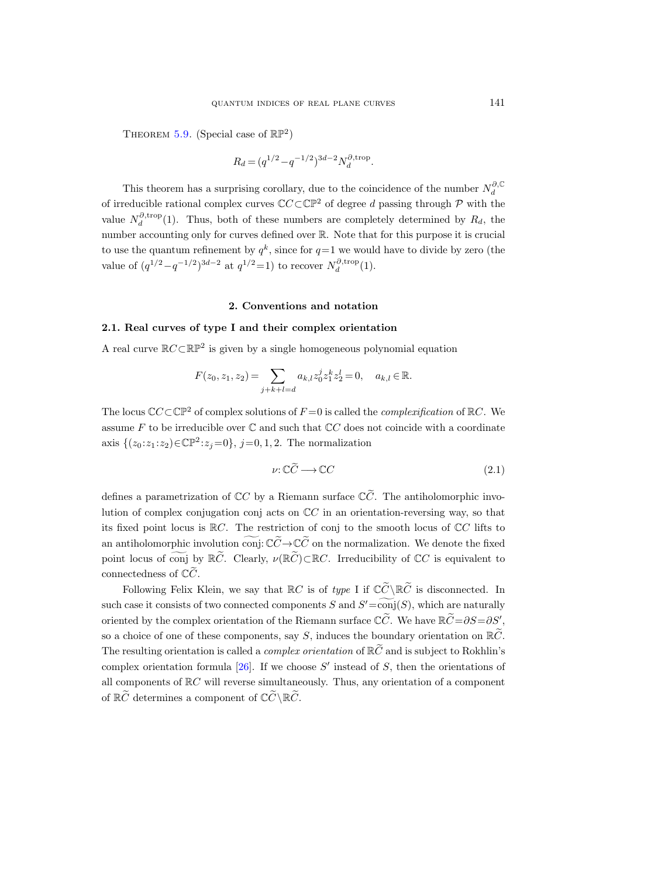THEOREM [5.9.](#page-23-2) (Special case of  $\mathbb{RP}^2$ )

$$
R_d = (q^{1/2} - q^{-1/2})^{3d-2} N_d^{\partial, \text{trop}}.
$$

This theorem has a surprising corollary, due to the coincidence of the number  $N_d^{\partial, \mathbb{C}}$ of irreducible rational complex curves  $\mathbb{C}C\subset\mathbb{CP}^2$  of degree d passing through P with the value  $N_d^{\partial, \text{trop}}(1)$ . Thus, both of these numbers are completely determined by  $R_d$ , the number accounting only for curves defined over R. Note that for this purpose it is crucial to use the quantum refinement by  $q^k$ , since for  $q=1$  we would have to divide by zero (the value of  $(q^{1/2} - q^{-1/2})^{3d-2}$  at  $q^{1/2} = 1$ ) to recover  $N_d^{\partial, \text{trop}}(1)$ .

#### 2. Conventions and notation

## <span id="page-6-0"></span>2.1. Real curves of type I and their complex orientation

A real curve  $\mathbb{R}C\subset \mathbb{RP}^2$  is given by a single homogeneous polynomial equation

$$
F(z_0, z_1, z_2) = \sum_{j+k+l=d} a_{k,l} z_0^j z_1^k z_2^l = 0, \quad a_{k,l} \in \mathbb{R}.
$$

The locus  $\mathbb{C}C\subset\mathbb{C}\mathbb{P}^2$  of complex solutions of  $F=0$  is called the *complexification* of  $\mathbb{R}C$ . We assume F to be irreducible over  $\mathbb C$  and such that  $\mathbb CC$  does not coincide with a coordinate axis  $\{(z_0 : z_1 : z_2) \in \mathbb{CP}^2 : z_j = 0\}, \ j = 0, 1, 2.$  The normalization

<span id="page-6-1"></span>
$$
\nu: \mathbb{C}\widetilde{C} \longrightarrow \mathbb{C}C \tag{2.1}
$$

defines a parametrization of  $\mathbb{C}C$  by a Riemann surface  $\mathbb{C}\tilde{C}$ . The antiholomorphic involution of complex conjugation conj acts on  $\mathbb{C}C$  in an orientation-reversing way, so that its fixed point locus is  $\mathbb{R}C$ . The restriction of conj to the smooth locus of  $\mathbb{C}C$  lifts to an antiholomorphic involution conj:  $\mathbb{C}\widetilde{C} \to \mathbb{C}\widetilde{C}$  on the normalization. We denote the fixed point locus of conj by  $\mathbb{R}\tilde{C}$ . Clearly,  $\nu(\mathbb{R}\tilde{C})\subset\mathbb{R}C$ . Irreducibility of  $\mathbb{C}C$  is equivalent to connectedness of  $\mathbb{C}\tilde{C}$ .

Following Felix Klein, we say that  $\mathbb{R}C$  is of type I if  $\mathbb{C}\widetilde{C}\setminus\mathbb{R}\widetilde{C}$  is disconnected. In such case it consists of two connected components S and  $S' = \text{conj}(S)$ , which are naturally oriented by the complex orientation of the Riemann surface  $\mathbb{C}\tilde{C}$ . We have  $\mathbb{R}\tilde{C}=\partial S=\partial S'$ , so a choice of one of these components, say S, induces the boundary orientation on  $\mathbb{R}\tilde{C}$ . The resulting orientation is called a *complex orientation* of  $\mathbb{R}\tilde{C}$  and is subject to Rokhlin's complex orientation formula  $[26]$ . If we choose S' instead of S, then the orientations of all components of  $\mathbb{R}C$  will reverse simultaneously. Thus, any orientation of a component of  $\mathbb{R}\widetilde{C}$  determines a component of  $\mathbb{C}\widetilde{C}\setminus\mathbb{R}\widetilde{C}$ .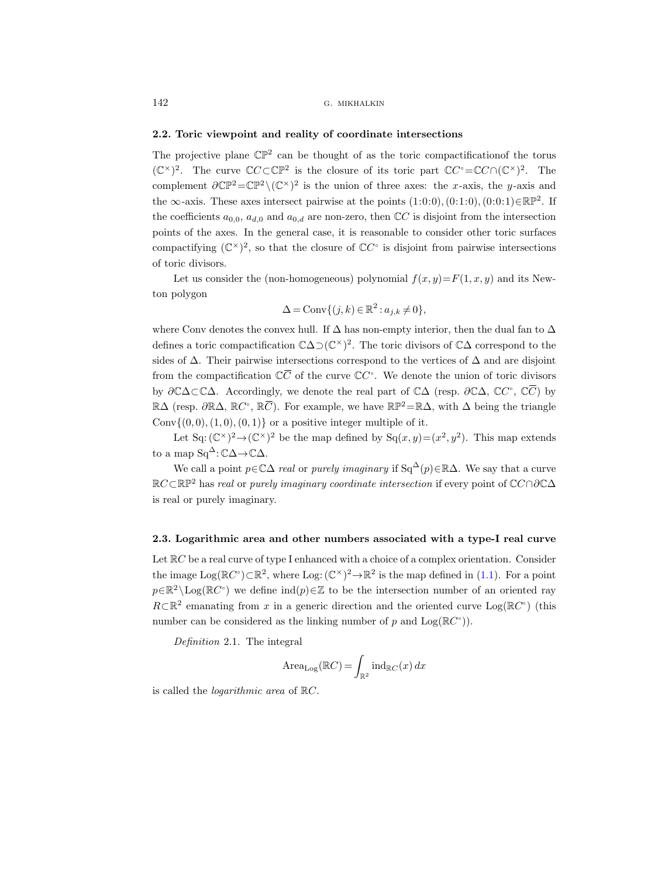## 2.2. Toric viewpoint and reality of coordinate intersections

The projective plane  $\mathbb{CP}^2$  can be thought of as the toric compactification f the torus  $(\mathbb{C}^{\times})^2$ . The curve  $\mathbb{C}C \subset \mathbb{C}P^2$  is the closure of its toric part  $\mathbb{C}C^{\circ} = \mathbb{C}C \cap (\mathbb{C}^{\times})^2$ . The complement  $\partial \mathbb{CP}^2 = \mathbb{CP}^2 \setminus (\mathbb{C}^{\times})^2$  is the union of three axes: the x-axis, the y-axis and the  $\infty$ -axis. These axes intersect pairwise at the points  $(1:0:0), (0:1:0), (0:0:1) \in \mathbb{RP}^2$ . If the coefficients  $a_{0,0}$ ,  $a_{d,0}$  and  $a_{0,d}$  are non-zero, then CC is disjoint from the intersection points of the axes. In the general case, it is reasonable to consider other toric surfaces compactifying  $(\mathbb{C}^{\times})^2$ , so that the closure of  $\mathbb{C}C^{\circ}$  is disjoint from pairwise intersections of toric divisors. the coefficients  $a_{0,0}$ ,  $a_{d,0}$  and a<br>points of the axes. In the gen<br>compactifying  $(\mathbb{C}^{\times})^2$ , so that<br>of toric divisors.<br>Let us consider the (non-<br>ton polygon<br> $\Delta$ <br>where Conv denotes the convex<br>defines a toric co

Let us consider the (non-homogeneous) polynomial  $f(x, y) = F(1, x, y)$  and its Newton polygon

$$
\Delta = \text{Conv}\{(j,k) \in \mathbb{R}^2 : a_{j,k} \neq 0\},\
$$

where Conv denotes the convex hull. If  $\Delta$  has non-empty interior, then the dual fan to  $\Delta$ defines a toric compactification  $\mathbb{C}\Delta\supset(\mathbb{C}^{\times})^2$ . The toric divisors of  $\mathbb{C}\Delta$  correspond to the sides of  $\Delta$ . Their pairwise intersections correspond to the vertices of  $\Delta$  and are disjoint of the curve  $\mathbb{C}C^{\circ}$ . We denote the union of toric divisors by  $\partial \mathbb{C}\Delta\subset \mathbb{C}\Delta$ . Accordingly, we denote the real part of  $\mathbb{C}\Delta$  (resp.  $\partial \mathbb{C}\Delta$ ,  $\mathbb{C}C^{\circ}$ ,  $\mathbb{C}\overline{C}$ ) by Figures in the set of the set of the set of the set of the set of the set of the set of the set of the set of  $\overline{C}$  $\mathbb{R}\Delta$  (resp.  $\partial \mathbb{R}\Delta$ ,  $\mathbb{R}C^{\circ}$ ,  $\mathbb{R}\overline{C}$ ). For example, we have  $\mathbb{R}\mathbb{P}^2 = \mathbb{R}\Delta$ , with  $\Delta$  being the triangle , so t<br>he (n<br>he co<br>ctific:<br>rwise<br>ation<br>rdingly,  $\mathbb{R}\overline{C}$ Conv $\{(0, 0), (1, 0), (0, 1)\}\$  or a positive integer multiple of it.

Let Sq:  $(\mathbb{C}^{\times})^2 \to (\mathbb{C}^{\times})^2$  be the map defined by  $S_q(x, y) = (x^2, y^2)$ . This map extends to a map  $Sq^{\Delta}$ :  $\mathbb{C}\Delta \rightarrow \mathbb{C}\Delta$ .

We call a point  $p \in \mathbb{C}\Delta$  real or purely imaginary if Sq<sup>∆</sup>(p)∈R∆. We say that a curve RC⊂RP<sup>2</sup> has real or purely imaginary coordinate intersection if every point of CC∩∂C∆ is real or purely imaginary.

#### <span id="page-7-0"></span>2.3. Logarithmic area and other numbers associated with a type-I real curve

Let  $\mathbb{R}C$  be a real curve of type I enhanced with a choice of a complex orientation. Consider the image  $Log(\mathbb{R}C^{\circ}) \subset \mathbb{R}^{2}$ , where  $Log: (\mathbb{C}^{\times})^{2} \to \mathbb{R}^{2}$  is the map defined in [\(1.1\)](#page-0-0). For a point  $p \in \mathbb{R}^2 \setminus \text{Log}(\mathbb{R}C^{\circ})$  we define  $\text{ind}(p) \in \mathbb{Z}$  to be the intersection number of an oriented ray  $R\subset\mathbb{R}^2$  emanating from x in a generic direction and the oriented curve Log( $\mathbb{R}C^{\circ}$ ) (this number can be considered as the linking number of p and  $Log(\mathbb{R}C^{\circ})$ .

Definition 2.1. The integral

$$
\text{Area}_{\text{Log}}(\mathbb{R}C) = \int_{\mathbb{R}^2} \text{ind}_{\mathbb{R}C}(x) \, dx
$$

is called the logarithmic area of RC.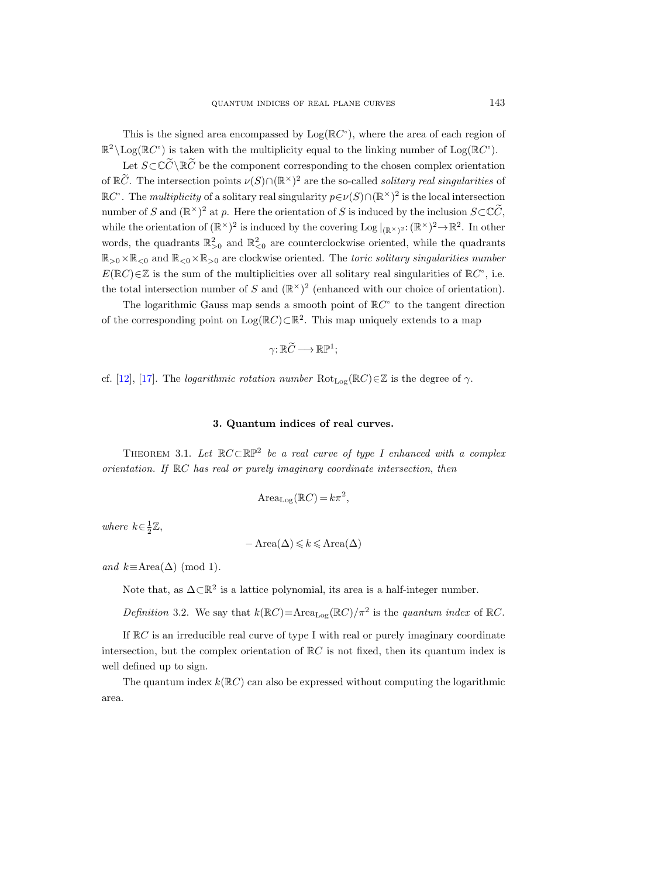This is the signed area encompassed by  $Log(RC^{\circ})$ , where the area of each region of  $\mathbb{R}^2 \setminus \text{Log}(\mathbb{R}C^{\circ})$  is taken with the multiplicity equal to the linking number of  $\text{Log}(\mathbb{R}C^{\circ})$ .

Let  $S\subset\mathbb{C}\widetilde{C}\setminus\mathbb{R}\widetilde{C}$  be the component corresponding to the chosen complex orientation of  $\mathbb{R}\tilde{C}$ . The intersection points  $\nu(S) \cap (\mathbb{R}^\times)^2$  are the so-called *solitary real singularities* of  $\mathbb{R}C^{\circ}$ . The *multiplicity* of a solitary real singularity  $p \in \nu(S) \cap (\mathbb{R}^{\times})^2$  is the local intersection number of S and  $(\mathbb{R}^{\times})^2$  at p. Here the orientation of S is induced by the inclusion  $S\subset\mathbb{C}\widetilde{C}$ , while the orientation of  $(\mathbb{R}^{\times})^2$  is induced by the covering Log  $|_{(\mathbb{R}^{\times})^2} : (\mathbb{R}^{\times})^2 \to \mathbb{R}^2$ . In other words, the quadrants  $\mathbb{R}^2_{>0}$  and  $\mathbb{R}^2_{<0}$  are counterclockwise oriented, while the quadrants  $\mathbb{R}_{>0}\times\mathbb{R}_{\leq0}$  and  $\mathbb{R}_{\leq0}\times\mathbb{R}_{>0}$  are clockwise oriented. The toric solitary singularities number  $E(\mathbb{R}C) \in \mathbb{Z}$  is the sum of the multiplicities over all solitary real singularities of  $\mathbb{R}C^{\circ}$ , i.e. the total intersection number of S and  $(\mathbb{R}^{\times})^2$  (enhanced with our choice of orientation).

The logarithmic Gauss map sends a smooth point of  $\mathbb{R}C^{\circ}$  to the tangent direction of the corresponding point on  $Log(RC) \subset \mathbb{R}^2$ . This map uniquely extends to a map

$$
\gamma\colon \mathbb{R}\widetilde{C}\longrightarrow \mathbb{R}\mathbb{P}^1;
$$

cf. [\[12\]](#page-44-9), [\[17\]](#page-44-0). The *logarithmic rotation number*  $Rot_{Loc}(\mathbb{R}C) \in \mathbb{Z}$  is the degree of  $\gamma$ .

## 3. Quantum indices of real curves.

<span id="page-8-0"></span>THEOREM 3.1. Let  $\mathbb{R}C\subset \mathbb{RP}^2$  be a real curve of type I enhanced with a complex orientation. If RC has real or purely imaginary coordinate intersection, then

$$
\text{Area}_{\text{Log}}(\mathbb{R}C) = k\pi^2,
$$

where  $k \in \frac{1}{2}\mathbb{Z}$ ,

$$
-\operatorname{Area}(\Delta) \leq k \leq \operatorname{Area}(\Delta)
$$

and  $k \equiv \text{Area}(\Delta) \pmod{1}$ .

Note that, as  $\Delta \subset \mathbb{R}^2$  is a lattice polynomial, its area is a half-integer number.

Definition 3.2. We say that  $k(\mathbb{R}C) = \text{Area}_{\text{Log}}(\mathbb{R}C)/\pi^2$  is the quantum index of  $\mathbb{R}C$ .

If  $\mathbb{R}C$  is an irreducible real curve of type I with real or purely imaginary coordinate intersection, but the complex orientation of  $\mathbb{R}C$  is not fixed, then its quantum index is well defined up to sign.

The quantum index  $k(\mathbb{R}C)$  can also be expressed without computing the logarithmic area.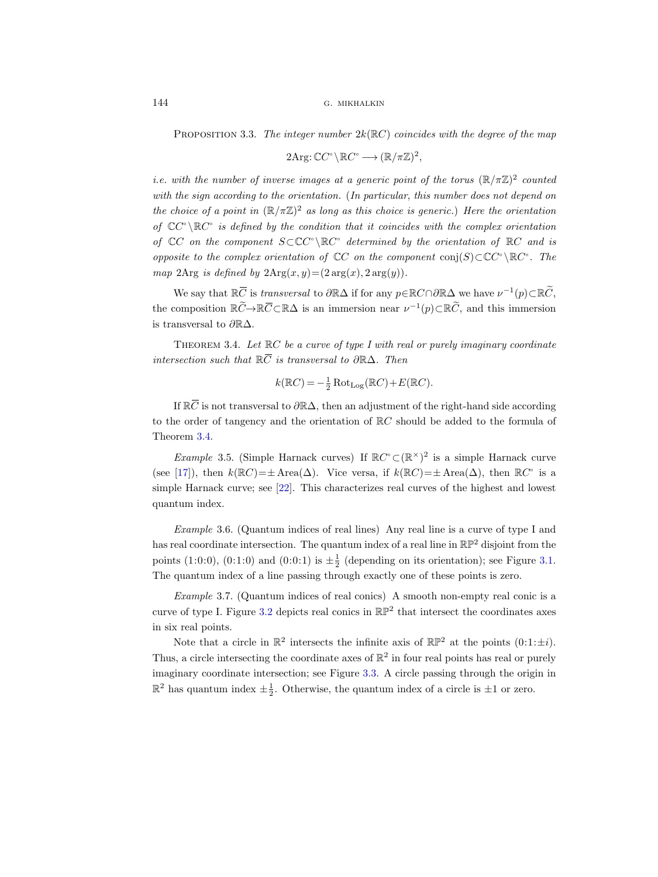PROPOSITION 3.3. The integer number  $2k(\mathbb{R}C)$  coincides with the degree of the map

$$
2\mathrm{Arg}\colon \mathbb{C}C^{\circ} \setminus \mathbb{R}C^{\circ} \longrightarrow (\mathbb{R}/\pi\mathbb{Z})^2,
$$

<span id="page-9-0"></span>*i.e.* with the number of inverse images at a generic point of the torus  $(\mathbb{R}/\pi\mathbb{Z})^2$  counted with the sign according to the orientation. (In particular, this number does not depend on the choice of a point in  $(\mathbb{R}/\pi\mathbb{Z})^2$  as long as this choice is generic.) Here the orientation of  $\mathbb{C}C^{\circ}\backslash\mathbb{R}C^{\circ}$  is defined by the condition that it coincides with the complex orientation of  $\mathbb{C}C$  on the component  $S \subset \mathbb{C}C^{\circ} \backslash \mathbb{R}C^{\circ}$  determined by the orientation of  $\mathbb{R}C$  and is opposite to the complex orientation of  $\mathbb{C}C$  on the component conj(S)⊂ $\mathbb{C}C^{\circ}\backslash \mathbb{R}C^{\circ}$ . The map 2Arg is defined by  $2Arg(x, y) = (2 arg(x), 2 arg(y)).$ PROPOSITION 3.<br>with the number<br>the sign accordination<br>thoice of a point<br> $C^{\circ} \setminus \mathbb{R}C^{\circ}$  is defined<br> $C$  on the comp<br>2Arg is defined<br>We say that  $\mathbb{R}\overline{C}$ i.e. with the number of in<br>with the sign according to the choice of a point in ( $\mathbb{R}$ <br>of  $\mathbb{C}C^{\circ} \setminus \mathbb{R}C^{\circ}$  is defined by<br>of  $\mathbb{C}C$  on the component<br>opposite to the complex or<br>map 2Arg is defined by 2*F*<br>We with the sign according to the choice of a point in ( $\mathbb R$  of  $\mathbb CC$   $\setminus \mathbb R$  $C$  is defined by of  $\mathbb CC$  on the component opposite to the complex or map 2Arg is defined by 21 We say that  $\mathbb R$  $\overline{C}$  is transversal to  $\begin{array}{l} \Sigma C \quad on \ \text{site} \quad t \text{d} \ \text{2Arg} \ \text{We}\ \text{samp} \ \text{comp} \ \text{comp} \ \text{cons} \ \text{m} \ \text{F} \ \text{H} \ \text{E} \ \text{F} \ \text{F} \ \text{F} \ \text{F} \ \text{F} \ \text{F} \ \text{F} \ \text{F} \ \text{F} \ \text{F} \ \text{F} \ \text{F} \ \text{F} \ \text{F} \ \text{F} \ \text{F} \ \text{F} \ \text{F} \ \text{F} \ \text{F} \ \text{F} \ \text{F} \$ 

is transversal to  $\partial \mathbb{R}\Delta$  if for any  $p \in \mathbb{R}C \cap \partial \mathbb{R}\Delta$  we have  $\nu^{-1}(p) \subset \mathbb{R}\widetilde{C}$ ,  $\subset \mathbb{R}\Delta$  is an immersion near  $\nu^{-1}(p) \subset \mathbb{R}\tilde{C}$ , and this immersion is transversal to ∂R∆.

<span id="page-9-1"></span>THEOREM 3.4. Let  $\mathbb{R}C$  be a curve of type I with real or purely imaginary coordinate intersection such that  $\mathbb{R}\overline{C}$  is transversal to  $\partial \mathbb{R}\Delta$ . Then

$$
k(\mathbb{R}C) = -\frac{1}{2}\operatorname{Rot}_{\operatorname{Log}}(\mathbb{R}C) + E(\mathbb{R}C).
$$

If  $\mathbb{R}\overline{C}$  is not transversal to  $\partial\mathbb{R}\Delta$ , then an adjustment of the right-hand side according to the order of tangency and the orientation of RC should be added to the formula of Theorem [3.4.](#page-9-1)

*Example* 3.5. (Simple Harnack curves) If  $\mathbb{R}C^{\circ} \subset (\mathbb{R}^{\times})^2$  is a simple Harnack curve (see [\[17\]](#page-44-0)), then  $k(\mathbb{R}C) = \pm \text{Area}(\Delta)$ . Vice versa, if  $k(\mathbb{R}C) = \pm \text{Area}(\Delta)$ , then  $\mathbb{R}C^{\circ}$  is a simple Harnack curve; see [\[22\]](#page-45-3). This characterizes real curves of the highest and lowest quantum index.

Example 3.6. (Quantum indices of real lines) Any real line is a curve of type I and has real coordinate intersection. The quantum index of a real line in  $\mathbb{RP}^2$  disjoint from the points (1:0:0), (0:1:0) and (0:0:1) is  $\pm \frac{1}{2}$  (depending on its orientation); see Figure [3.1.](#page-10-0) The quantum index of a line passing through exactly one of these points is zero.

Example 3.7. (Quantum indices of real conics) A smooth non-empty real conic is a curve of type I. Figure [3.2](#page-11-1) depicts real conics in  $\mathbb{RP}^2$  that intersect the coordinates axes in six real points.

Note that a circle in  $\mathbb{R}^2$  intersects the infinite axis of  $\mathbb{RP}^2$  at the points  $(0:1:\pm i)$ . Thus, a circle intersecting the coordinate axes of  $\mathbb{R}^2$  in four real points has real or purely imaginary coordinate intersection; see Figure [3.3.](#page-12-0) A circle passing through the origin in  $\mathbb{R}^2$  has quantum index  $\pm \frac{1}{2}$ . Otherwise, the quantum index of a circle is  $\pm 1$  or zero.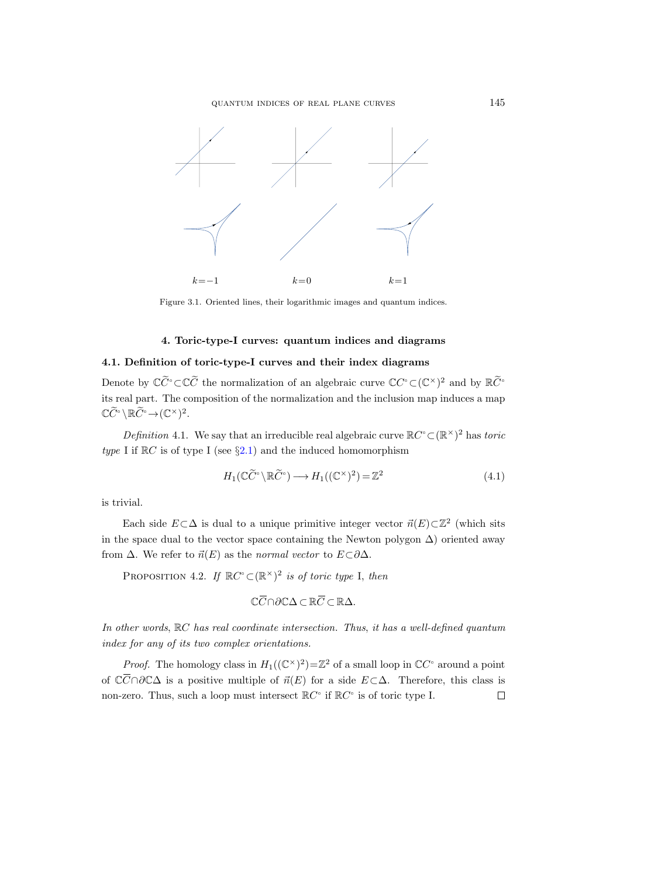quantum indices of real plane curves 145



<span id="page-10-0"></span>Figure 3.1. Oriented lines, their logarithmic images and quantum indices.

## 4. Toric-type-I curves: quantum indices and diagrams

## 4.1. Definition of toric-type-I curves and their index diagrams

Denote by  $\mathbb{C}\tilde{C}^{\circ}\subset\mathbb{C}\tilde{C}$  the normalization of an algebraic curve  $\mathbb{C}C^{\circ}\subset(\mathbb{C}^{\times})^2$  and by  $\mathbb{R}\tilde{C}^{\circ}$ its real part. The composition of the normalization and the inclusion map induces a map  $\mathbb{C}\widetilde{C}^{\circ} \setminus \mathbb{R}\widetilde{C}^{\circ} \rightarrow (\mathbb{C}^{\times})^2.$ 

<span id="page-10-1"></span>Definition 4.1. We say that an irreducible real algebraic curve  $\mathbb{R}C^{\circ} \subset (\mathbb{R}^{\times})^2$  has toric type I if  $\mathbb{R}C$  is of type I (see §[2.1\)](#page-6-0) and the induced homomorphism

$$
H_1(\mathbb{C}\widetilde{C}^{\circ}\backslash\mathbb{R}\widetilde{C}^{\circ}) \longrightarrow H_1((\mathbb{C}^{\times})^2) = \mathbb{Z}^2
$$
\n(4.1)

is trivial.

Each side  $E \subset \Delta$  is dual to a unique primitive integer vector  $\vec{n}(E) \subset \mathbb{Z}^2$  (which sits in the space dual to the vector space containing the Newton polygon  $\Delta$ ) oriented away from  $\Delta$ . We refer to  $\vec{n}(E)$  as the normal vector to  $E\subset\partial\Delta$ . an i<br>
() an<br>
() an<br>
() an<br>
() an<br>
() an<br>
()  $\overline{C}$ <br>
()  $\mathbb{C}\overline{C}$ rreducible reacher induce<br>
md the induce<br>
mapped  $\mathbb{R}\widetilde{C}^{\circ}$  and  $H_1$ <br>
induce primition<br>
containing<br>
mapped  $\mathbb{R}\widetilde{C}$ <br>  $\cap \partial \mathbb{C}\Delta \subset \mathbb{R}\overline{C}$ E<sub>i</sub> in the from  $\angle$ <br>
P:<br>  $In$  oth,  $index$ <br>  $P$ :<br>
of  $\mathbb{C}\overline{C}$ 

PROPOSITION 4.2. If  $\mathbb{R}C^{\circ} \subset (\mathbb{R}^{\times})^2$  is of toric type I, then

$$
\mathbb{C}\overline{C}\cap \partial\mathbb{C}\Delta\subset \mathbb{R}\overline{C}\subset \mathbb{R}\Delta.
$$

In other words, RC has real coordinate intersection. Thus, it has a well-defined quantum index for any of its two complex orientations.

*Proof.* The homology class in  $H_1((\mathbb{C}^{\times})^2) = \mathbb{Z}^2$  of a small loop in  $\mathbb{C}C^{\circ}$  around a point of  $\mathbb{C}\overline{C}\cap\partial\mathbb{C}\Delta$  is a positive multiple of  $\vec{n}(E)$  for a side  $E\subset\Delta$ . Therefore, this class is non-zero. Thus, such a loop must intersect  $\mathbb{R}C^{\circ}$  if  $\mathbb{R}C^{\circ}$  is of toric type I.  $\Box$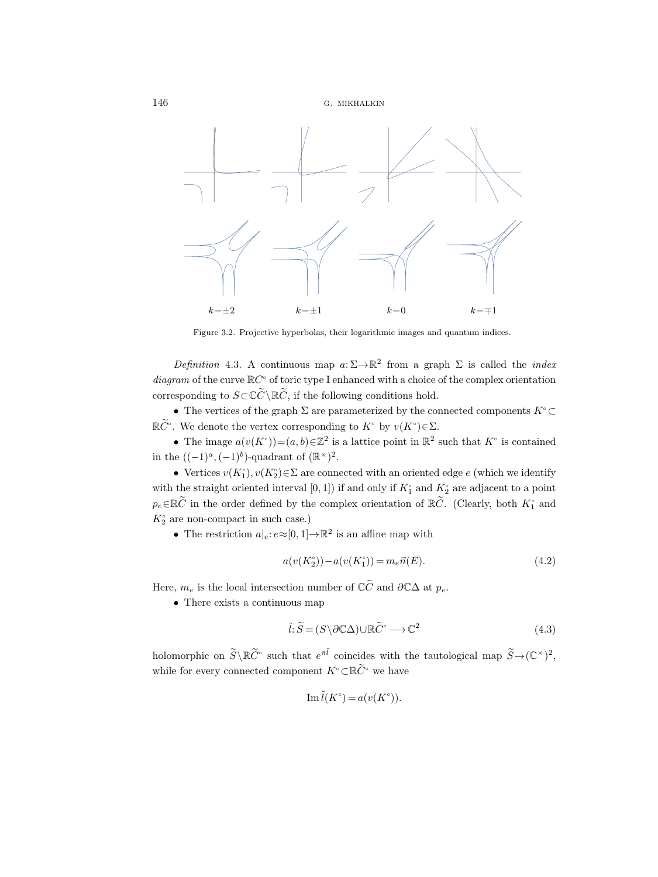



<span id="page-11-1"></span>Figure 3.2. Projective hyperbolas, their logarithmic images and quantum indices.

<span id="page-11-0"></span>Definition 4.3. A continuous map  $a: \Sigma \to \mathbb{R}^2$  from a graph  $\Sigma$  is called the *index* diagram of the curve  $\mathbb{R}C^{\circ}$  of toric type I enhanced with a choice of the complex orientation corresponding to  $S\subset\tilde{\mathbb{C}}\setminus\mathbb{R}\tilde{\mathbb{C}}$ , if the following conditions hold.

• The vertices of the graph  $\Sigma$  are parameterized by the connected components  $K^{\circ} \subset$  $\mathbb{R}\widetilde{C}^{\circ}$ . We denote the vertex corresponding to  $K^{\circ}$  by  $v(K^{\circ})\in\Sigma$ .

• The image  $a(v(K<sup>\circ</sup>)) = (a, b) \in \mathbb{Z}^2$  is a lattice point in  $\mathbb{R}^2$  such that  $K<sup>\circ</sup>$  is contained in the  $((-1)^a, (-1)^b)$ -quadrant of  $(\mathbb{R}^\times)^2$ .

• Vertices  $v(K_1^{\circ}), v(K_2^{\circ}) \in \Sigma$  are connected with an oriented edge e (which we identify with the straight oriented interval  $[0, 1]$ ) if and only if  $K_1^{\circ}$  and  $K_2^{\circ}$  are adjacent to a point  $p_e \in \mathbb{R} \widetilde{C}$  in the order defined by the complex orientation of  $\mathbb{R} \widetilde{C}$ . (Clearly, both  $K_1^{\circ}$  and  $K_2^{\circ}$  are non-compact in such case.)

• The restriction  $a|_e: e \approx [0,1] \to \mathbb{R}^2$  is an affine map with

<span id="page-11-2"></span>
$$
a(v(K_2^{\circ})) - a(v(K_1^{\circ})) = m_e \vec{n}(E). \tag{4.2}
$$

Here,  $m_e$  is the local intersection number of  $\mathbb{C}\widetilde{C}$  and  $\partial \mathbb{C}\Delta$  at  $p_e$ .

• There exists a continuous map

<span id="page-11-3"></span>
$$
\tilde{l}: \tilde{S} = (S \setminus \partial \mathbb{C}\Delta) \cup \mathbb{R}\tilde{C}^{\circ} \longrightarrow \mathbb{C}^2
$$
\n(4.3)

holomorphic on  $\widetilde{S} \setminus \mathbb{R} \widetilde{C}^{\circ}$  such that  $e^{\pi \widetilde{l}}$  coincides with the tautological map  $\widetilde{S} \to (\mathbb{C}^{\times})^2$ , while for every connected component  $K^{\circ} \subset \mathbb{R} \widetilde{C}^{\circ}$  we have

$$
\operatorname{Im} \tilde{l}(K^{\circ}) = a(v(K^{\circ})).
$$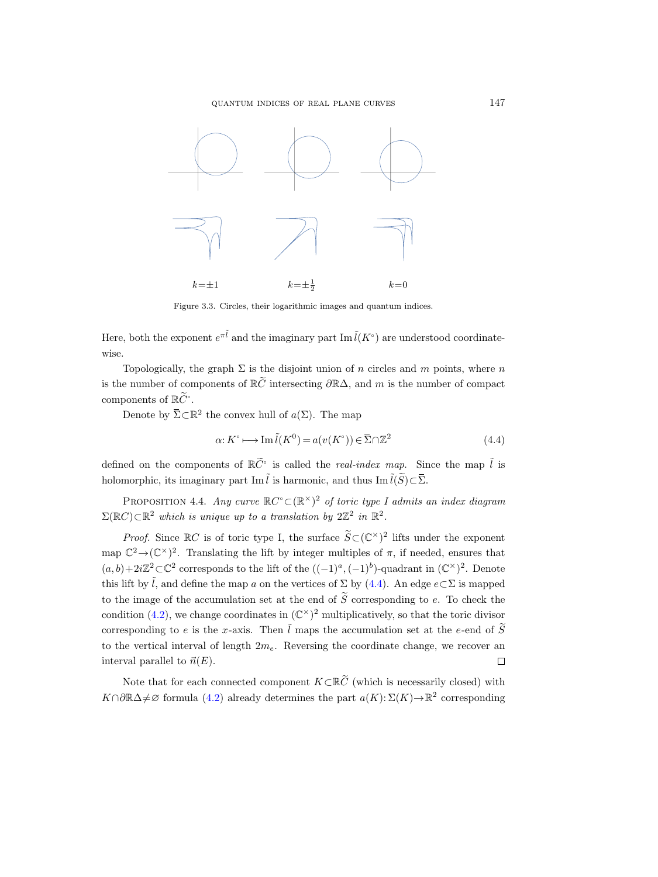quantum indices of real plane curves 147



<span id="page-12-0"></span>Figure 3.3. Circles, their logarithmic images and quantum indices.

Here, both the exponent  $e^{\pi \tilde{l}}$  and the imaginary part Im  $\tilde{l}(K^{\circ})$  are understood coordinatewise.

Topologically, the graph  $\Sigma$  is the disjoint union of n circles and m points, where n is the number of components of  $\mathbb{R}\tilde{C}$  intersecting  $\partial \mathbb{R}\Delta$ , and m is the number of compact components of  $\mathbb{R}\widetilde{C}^{\circ}$ . *k*<br>Figure<br>, both the exponents<br>.<br>Topologically, the number of components of  $\mathbb{R}\tilde{C}^{\circ}$ .<br>Denote by  $\overline{\Sigma} \subset \mathbb{R}$ s and quant<br>
m  $\tilde{l}(K^{\circ})$  a<br>
of *n* circl<br>
Δ, and *m*<br>
map<br>
()) ∈  $\overline{\Sigma} \cap \mathbb{Z}$ Here, both the exponent  $e^{\pi \tilde{l}}$  and the imaginary part Im  $\tilde{l}(K^{\circ})$  are unders<br>wise.<br>Topologically, the graph  $\Sigma$  is the disjoint union of *n* circles and *m*<br>is the number of components of  $\mathbb{R}\tilde{C}$  intersect

<sup>2</sup> the convex hull of  $a(\Sigma)$ . The map

<span id="page-12-1"></span>
$$
\alpha: K^{\circ} \longmapsto \operatorname{Im} \tilde{l}(K^{0}) = a(v(K^{\circ})) \in \overline{\Sigma} \cap \mathbb{Z}^{2}
$$
\n(4.4)

defined on the components of  $\mathbb{R}\tilde{C}^{\circ}$  is called the *real-index map*. Since the map  $\tilde{l}$  is

<span id="page-12-2"></span>PROPOSITION 4.4. Any curve  $\mathbb{R}C^{\circ} \subset (\mathbb{R}^{\times})^2$  of toric type I admits an index diagram  $\Sigma(\mathbb{R}C) \subset \mathbb{R}^2$  which is unique up to a translation by  $2\mathbb{Z}^2$  in  $\mathbb{R}^2$ .

*Proof.* Since  $\mathbb{R}C$  is of toric type I, the surface  $\widetilde{S} \subset (\mathbb{C}^{\times})^2$  lifts under the exponent map  $\mathbb{C}^2 \to (\mathbb{C}^{\times})^2$ . Translating the lift by integer multiples of  $\pi$ , if needed, ensures that  $(a, b) + 2i\mathbb{Z}^2 \subset \mathbb{C}^2$  corresponds to the lift of the  $((-1)^a, (-1)^b)$ -quadrant in  $(\mathbb{C}^{\times})^2$ . Denote this lift by  $\tilde{l}$ , and define the map a on the vertices of  $\Sigma$  by [\(4.4\)](#page-12-1). An edge  $e\subset\Sigma$  is mapped to the image of the accumulation set at the end of  $\widetilde{S}$  corresponding to e. To check the condition [\(4.2\)](#page-11-2), we change coordinates in  $(\mathbb{C}^{\times})^2$  multiplicatively, so that the toric divisor corresponding to e is the x-axis. Then  $\tilde{l}$  maps the accumulation set at the e-end of  $\tilde{S}$ to the vertical interval of length  $2m_e$ . Reversing the coordinate change, we recover an interval parallel to  $\vec{n}(E)$ .  $\Box$ 

Note that for each connected component  $K\subset \mathbb{R}\widetilde{C}$  (which is necessarily closed) with  $K \cap \partial \mathbb{R} \Delta \neq \emptyset$  formula [\(4.2\)](#page-11-2) already determines the part  $a(K): \Sigma(K) \rightarrow \mathbb{R}^2$  corresponding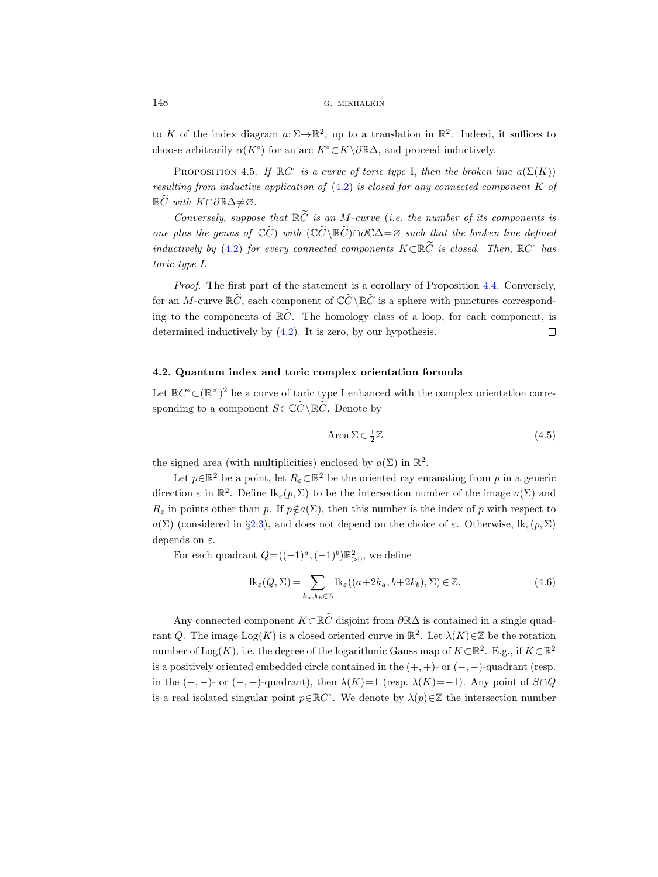to K of the index diagram  $a: \Sigma \to \mathbb{R}^2$ , up to a translation in  $\mathbb{R}^2$ . Indeed, it suffices to choose arbitrarily  $\alpha(K^{\circ})$  for an arc  $K^{\circ} \subset K \setminus \partial \mathbb{R}\Delta$ , and proceed inductively.

PROPOSITION 4.5. If  $\mathbb{R}C^{\circ}$  is a curve of toric type I, then the broken line  $a(\Sigma(K))$ resulting from inductive application of  $(4.2)$  is closed for any connected component K of  $\mathbb{R}\widetilde{C}$  with  $K\cap\partial\mathbb{R}\Delta\neq\varnothing$ .

Conversely, suppose that  $\mathbb{R}\tilde{C}$  is an M-curve (i.e. the number of its components is one plus the genus of  $\mathbb{C}\tilde{C}$ ) with  $(\mathbb{C}\tilde{C}\backslash\mathbb{R}\tilde{C})\cap\partial\mathbb{C}\Delta=\varnothing$  such that the broken line defined inductively by [\(4.2\)](#page-11-2) for every connected components  $K \subset \mathbb{R} \widetilde{C}$  is closed. Then,  $\mathbb{R} C^{\circ}$  has toric type I.

Proof. The first part of the statement is a corollary of Proposition [4.4.](#page-12-2) Conversely, for an M-curve  $\mathbb{R}\tilde{C}$ , each component of  $\mathbb{C}\tilde{C}\setminus\mathbb{R}\tilde{C}$  is a sphere with punctures corresponding to the components of  $\mathbb{R}\tilde{C}$ . The homology class of a loop, for each component, is determined inductively by (4.2). It is zero, by our hypothesis. determined inductively by [\(4.2\)](#page-11-2). It is zero, by our hypothesis.

## 4.2. Quantum index and toric complex orientation formula

Let  $\mathbb{R}C^{\circ} \subset (\mathbb{R}^{\times})^2$  be a curve of toric type I enhanced with the complex orientation corresponding to a component  $S\subset\mathbb{C}\widetilde{C}\setminus\mathbb{R}\widetilde{C}$ . Denote by

$$
Area \sum \in \frac{1}{2}\mathbb{Z}
$$
\n
$$
(4.5)
$$

the signed area (with multiplicities) enclosed by  $a(\Sigma)$  in  $\mathbb{R}^2$ .

Let  $p \in \mathbb{R}^2$  be a point, let  $R_\varepsilon \subset \mathbb{R}^2$  be the oriented ray emanating from p in a generic direction  $\varepsilon$  in  $\mathbb{R}^2$ . Define  $lk_{\varepsilon}(p, \Sigma)$  to be the intersection number of the image  $a(\Sigma)$  and  $R_{\varepsilon}$  in points other than p. If  $p \notin a(\Sigma)$ , then this number is the index of p with respect to a(Σ) (considered in §[2.3\)](#page-7-0), and does not depend on the choice of  $\varepsilon$ . Otherwise,  $\text{lk}_{\varepsilon}(p,\Sigma)$ depends on  $\varepsilon$ .

For each quadrant  $Q = ((-1)^a, (-1)^b) \mathbb{R}_{>0}^2$ , we define

$$
lk_{\varepsilon}(Q, \Sigma) = \sum_{k_a, k_b \in \mathbb{Z}} lk_{\varepsilon}((a+2k_a, b+2k_b), \Sigma) \in \mathbb{Z}.
$$
 (4.6)

Any connected component  $K\subset \mathbb{R}\widetilde{C}$  disjoint from  $\partial \mathbb{R}\Delta$  is contained in a single quadrant Q. The image  $Log(K)$  is a closed oriented curve in  $\mathbb{R}^2$ . Let  $\lambda(K) \in \mathbb{Z}$  be the rotation number of Log(K), i.e. the degree of the logarithmic Gauss map of  $K\subset\mathbb{R}^2$ . E.g., if  $K\subset\mathbb{R}^2$ is a positively oriented embedded circle contained in the  $(+, +)$ - or  $(-, -)$ -quadrant (resp. in the  $(+, -)$ - or  $(-, +)$ -quadrant), then  $\lambda(K)=1$  (resp.  $\lambda(K)=-1$ ). Any point of  $S\cap Q$ is a real isolated singular point  $p \in \mathbb{R}C^{\circ}$ . We denote by  $\lambda(p) \in \mathbb{Z}$  the intersection number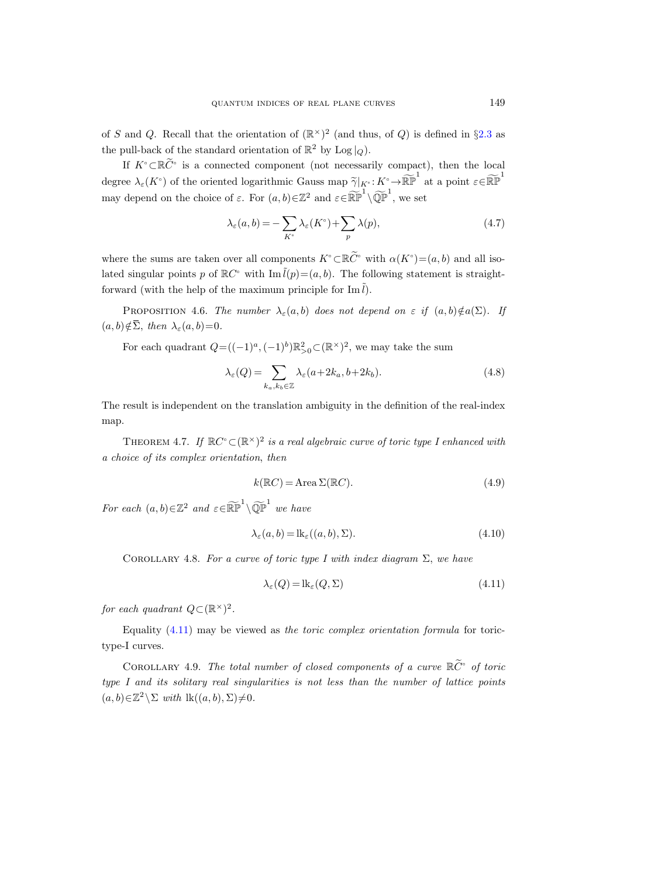of S and Q. Recall that the orientation of  $(\mathbb{R}^{\times})^2$  (and thus, of Q) is defined in §[2.3](#page-7-0) as the pull-back of the standard orientation of  $\mathbb{R}^2$  by Log  $|_Q$ ).

If  $K^{\circ} \subset \mathbb{R} \widetilde{C}^{\circ}$  is a connected component (not necessarily compact), then the local degree  $\lambda_{\varepsilon}(K^{\circ})$  of the oriented logarithmic Gauss map  $\widetilde{\gamma}|_{K^{\circ}}: K^{\circ} \to \widetilde{\mathbb{RP}}^{1}$  at a point  $\varepsilon \in \widetilde{\mathbb{RP}}^{1}$ may depend on the choice of  $\varepsilon$ . For  $(a, b) \in \mathbb{Z}^2$  and  $\varepsilon \in \widetilde{\mathbb{RP}}^1 \setminus \widetilde{\mathbb{QP}}^1$ , we set If  $K^{\circ} \subset \mathbb{R}\widetilde{C}^{\circ}$  is a conn<br>degree  $\lambda_{\varepsilon}(K^{\circ})$  of the orien<br>may depend on the choice<br>may depend on the choice<br>where the sums are taken<br>lated singular points p of l<br>forward (with the help of<br>PROPOSITION 4.6.

$$
\lambda_{\varepsilon}(a,b) = -\sum_{K^{\circ}} \lambda_{\varepsilon}(K^{\circ}) + \sum_{p} \lambda(p), \qquad (4.7)
$$

where the sums are taken over all components  $K^{\circ} \subset \mathbb{R}^{\widetilde{C}^{\circ}}$  with  $\alpha(K^{\circ}) = (a, b)$  and all isolated singular points p of  $\mathbb{R}C^{\circ}$  with  $\text{Im }\tilde{l}(p)=(a, b)$ . The following statement is straightforward (with the help of the maximum principle for Im  $\tilde{l}$ ).

PROPOSITION 4.6. The number  $\lambda_{\varepsilon}(a, b)$  does not depend on  $\varepsilon$  if  $(a, b) \notin a(\Sigma)$ . If

For each quadrant  $Q = ((-1)^a, (-1)^b) \mathbb{R}^2_{>0} \subset (\mathbb{R}^\times)^2$ , we may take the sum

$$
\lambda_{\varepsilon}(Q) = \sum_{k_a, k_b \in \mathbb{Z}} \lambda_{\varepsilon}(a + 2k_a, b + 2k_b). \tag{4.8}
$$

The result is independent on the translation ambiguity in the definition of the real-index map.

<span id="page-14-0"></span>THEOREM 4.7. If  $\mathbb{R}C^{\circ} \subset (\mathbb{R}^{\times})^2$  is a real algebraic curve of toric type I enhanced with a choice of its complex orientation, then

$$
k(\mathbb{R}C) = \text{Area }\Sigma(\mathbb{R}C). \tag{4.9}
$$

For each  $(a, b) \in \mathbb{Z}^2$  and  $\varepsilon \in \widetilde{\mathbb{RP}}^1 \setminus \widetilde{\mathbb{QP}}^1$  we have

<span id="page-14-2"></span>
$$
\lambda_{\varepsilon}(a,b) = \text{lk}_{\varepsilon}((a,b),\Sigma). \tag{4.10}
$$

COROLLARY 4.8. For a curve of toric type I with index diagram  $\Sigma$ , we have

<span id="page-14-1"></span>
$$
\lambda_{\varepsilon}(Q) = \text{lk}_{\varepsilon}(Q, \Sigma) \tag{4.11}
$$

for each quadrant  $Q \subset (\mathbb{R}^\times)^2$ .

Equality  $(4.11)$  may be viewed as the toric complex orientation formula for torictype-I curves.

<span id="page-14-3"></span>COROLLARY 4.9. The total number of closed components of a curve  $\mathbb{R}\widetilde{C}^{\circ}$  of toric type I and its solitary real singularities is not less than the number of lattice points  $(a, b) \in \mathbb{Z}^2 \setminus \Sigma$  with  $\text{lk}((a, b), \Sigma) \neq 0$ .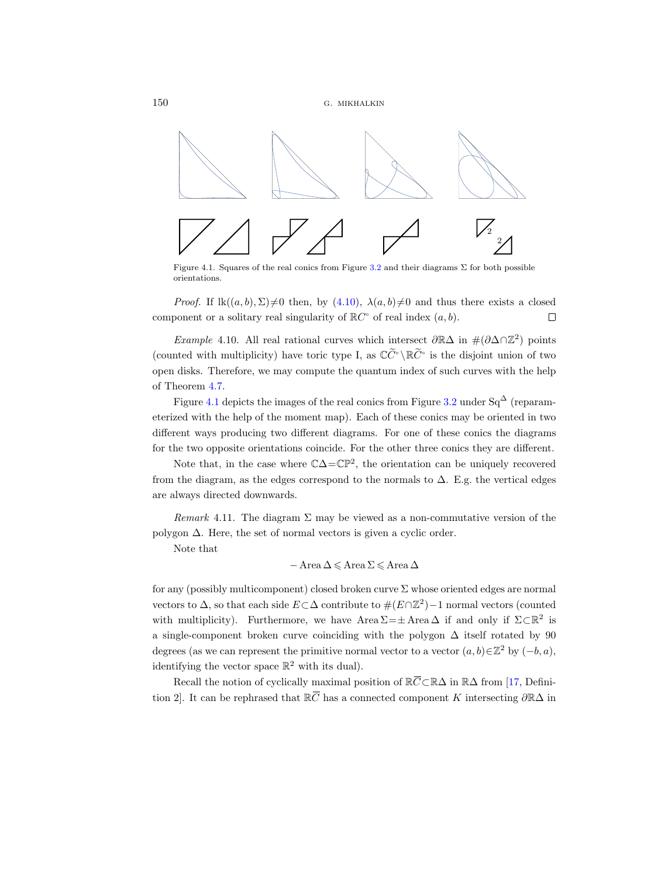

Figure 4.1. Squares of the real conics from Figure [3.2](#page-11-1) and their diagrams  $\Sigma$  for both possible orientations.

*Proof.* If  $lk((a, b), \Sigma) \neq 0$  then, by  $(4.10), \lambda(a, b) \neq 0$  and thus there exists a closed component or a solitary real singularity of  $\mathbb{R}C^{\circ}$  of real index  $(a, b)$ .  $\Box$ 

Example 4.10. All real rational curves which intersect  $\partial \mathbb{R}\Delta$  in  $\#(\partial \Delta \cap \mathbb{Z}^2)$  points (counted with multiplicity) have toric type I, as  $\mathbb{C} \tilde{C}^{\circ} \setminus \mathbb{R} \tilde{C}^{\circ}$  is the disjoint union of two open disks. Therefore, we may compute the quantum index of such curves with the help of Theorem [4.7.](#page-14-0)

Figure [4.1](#page-10-0) depicts the images of the real conics from Figure [3.2](#page-11-1) under  $Sq^{\Delta}$  (reparameterized with the help of the moment map). Each of these conics may be oriented in two different ways producing two different diagrams. For one of these conics the diagrams for the two opposite orientations coincide. For the other three conics they are different.

Note that, in the case where  $\mathbb{C}\Delta = \mathbb{CP}^2$ , the orientation can be uniquely recovered from the diagram, as the edges correspond to the normals to  $\Delta$ . E.g. the vertical edges are always directed downwards.

Remark 4.11. The diagram  $\Sigma$  may be viewed as a non-commutative version of the polygon  $\Delta$ . Here, the set of normal vectors is given a cyclic order.

Note that

$$
-\operatorname{Area}\Delta\leqslant\operatorname{Area}\Sigma\leqslant\operatorname{Area}\Delta
$$

for any (possibly multicomponent) closed broken curve  $\Sigma$  whose oriented edges are normal vectors to  $\Delta$ , so that each side  $E \subset \Delta$  contribute to  $\#(E \cap \mathbb{Z}^2) - 1$  normal vectors (counted with multiplicity). Furthermore, we have Area  $\Sigma = \pm$  Area  $\Delta$  if and only if  $\Sigma \subset \mathbb{R}^2$  is a single-component broken curve coinciding with the polygon ∆ itself rotated by 90 degrees (as we can represent the primitive normal vector to a vector  $(a, b) \in \mathbb{Z}^2$  by  $(-b, a)$ , identifying the vector space  $\mathbb{R}^2$  with its dual). Remark 4.11. The diagram  $\Sigma$  may be viewed as a not<br>gon  $\Delta$ . Here, the set of normal vectors is given a cyclic<br>Note that<br> $-$  Area  $\Delta \le$  Area  $\Sigma \le$  Area  $\Delta$ <br>ny (possibly multicomponent) closed broken curve  $\Sigma$  wh<br>pos polygon  $\Delta$ . Here, the set of normal v<br>Note that<br>- Area<br>for any (possibly multicomponent) cl<br>vectors to  $\Delta$ , so that each side  $E \subset \Delta$ <br>with multiplicity). Furthermore, w<br>a single-component broken curve cc<br>degrees (as we

Recall the notion of cyclically maximal position of  $\mathbb{R}\overline{C} \subset \mathbb{R}\Delta$  in  $\mathbb{R}\Delta$  from [\[17,](#page-44-0) Definition 2. It can be rephrased that  $\mathbb{R}\overline{C}$  has a connected component K intersecting  $\partial\mathbb{R}\Delta$  in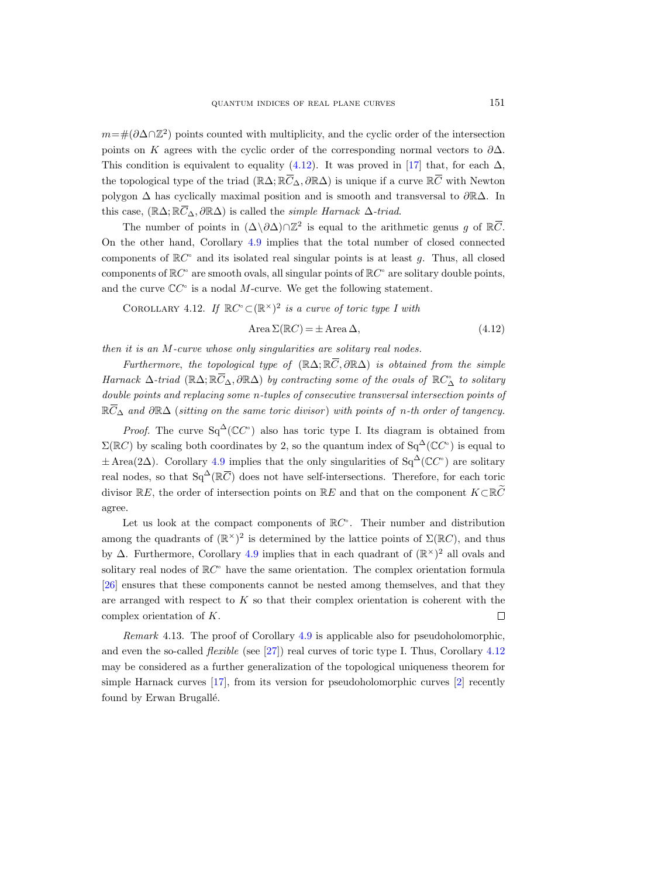$m=\text{#}(\partial \Delta \cap \mathbb{Z}^2)$  points counted with multiplicity, and the cyclic order of the intersection points on K agrees with the cyclic order of the corresponding normal vectors to  $\partial\Delta$ . This condition is equivalent to equality [\(4.12\)](#page-16-0). It was proved in [\[17\]](#page-44-0) that, for each  $\Delta$ , quantum indices<br>  $m = #(\partial \Delta \cap \mathbb{Z}^2)$  points counted with multi<br>
points on K agrees with the cyclic order<br>
This condition is equivalent to equality (<br>
the topological type of the triad  $(\mathbb{R}\Delta; \mathbb{R}\overline{C})$ OF REAL PLANE CURVES<br>
plicity, and the cyclic order of the<br>
corresponding normal vertical vertical vertical vertical vertical vertical vertical vertical vertical vertical vertical vertical vertical vertical vertical verti the topological type of the triad  $(\mathbb{R}\Delta;\mathbb{R}\bar{C}_{\Delta},\partial\mathbb{R}\Delta)$  is unique if a curve  $\mathbb{R}\bar{C}$  with Newton polygon  $\Delta$  has cyclically maximal position and is smooth and transversal to  $\partial \mathbb{R}\Delta$ . In  $m=\#(\partial \Delta \cap \mathbb{Z}^2)$  points on K agrees<br>This condition is e<br>the topological typ<br>polygon  $\Delta$  has cyc<br>this case, (R∆; R $\overline{C}$ ) this case,  $(\mathbb{R}\Delta;\mathbb{R}\overline{C}_{\Delta},\partial\mathbb{R}\Delta)$  is called the *simple Harnack*  $\Delta$ -triad. REAL PLANE CURVES<br>
ity, and the cyclic order of the intersection<br>
i the corresponding normal vectors to  $\partial \Delta$ <br>
2). It was proved in [17] that, for each  $\Delta$ <br>  $\partial \mathbb{R}\Delta$ ) is unique if a curve  $\mathbb{R}\overline{C}$  with Newton<br>
a

The number of points in  $(\Delta \backslash \partial \Delta) \cap \mathbb{Z}^2$  is equal to the arithmetic genus g of  $\mathbb{R} \overline{C}$ . On the other hand, Corollary [4.9](#page-14-3) implies that the total number of closed connected components of  $\mathbb{R}C^{\circ}$  and its isolated real singular points is at least g. Thus, all closed components of  $\mathbb{R}C^{\circ}$  are smooth ovals, all singular points of  $\mathbb{R}C^{\circ}$  are solitary double points, and the curve  $\mathbb{C}C^{\circ}$  is a nodal M-curve. We get the following statement. gon  $\Delta$  has cyclically maximal position and is sm<br>case,  $(\mathbb{R}\Delta; \mathbb{R}\overline{C}_{\Delta}, \partial \mathbb{R}\Delta)$  is called the *simple Harna*<br>The number of points in  $(\Delta \setminus \partial \Delta) \cap \mathbb{Z}^2$  is equal the<br>other hand, Corollary 4.9 implies that t this case,  $(\mathbb{R}\Delta; \mathbb{R}C_{\Delta}, \partial \mathbb{R}\Delta)$ <br>The number of points<br>On the other hand, Corol<br>components of  $\mathbb{R}C^{\circ}$  and its<br>components of  $\mathbb{R}C^{\circ}$  are smo<br>and the curve  $\mathbb{C}C^{\circ}$  is a nod<br>COROLLARY 4.12. If 1<br>th

<span id="page-16-1"></span>COROLLARY 4.12. If  $\mathbb{R}C^{\circ} \subset (\mathbb{R}^{\times})^2$  is a curve of toric type I with

<span id="page-16-0"></span>
$$
Area \Sigma(\mathbb{R}C) = \pm \operatorname{Area} \Delta,\tag{4.12}
$$

then it is an M-curve whose only singularities are solitary real nodes.

Furthermore, the topological type of  $(\mathbb{R}\Delta;\mathbb{R}\bar{C},\partial\mathbb{R}\Delta)$  is obtained from the simple  $\bar{\mathcal{L}}_{\Delta}, \partial \mathbb{R}$ ∆) by contracting some of the ovals of  $\mathbb{R}C^{\sim}_{\Delta}$  to solitary double points and replacing some n-tuples of consecutive transversal intersection points of On common common and then  $H$  are double  $\mathbb{R} \overline{C}$ .  $\mathbb{R}\overline{C}_{\Delta}$  and  $\partial\mathbb{R}\Delta$  (sitting on the same toric divisor) with points of n-th order of tangency. COROLLARY 4.12. If  $\mathbb R$ <br>then it is an M-curve whose<br>Furthermore, the topold<br>Harnack  $\Delta$ -triad  $(\mathbb R\Delta; \mathbb R\overline{C}_{\Delta})$ <br>double points and replacing s<br> $\mathbb R\overline{C}_{\Delta}$  and  $\partial \mathbb R\Delta$  (sitting on th<br>Proof. The curve  $\text{Sq}^{\$ 

*Proof.* The curve  $Sq^{\Delta}(\mathbb{C}C^{\circ})$  also has toric type I. Its diagram is obtained from  $\Sigma(\mathbb{R}C)$  by scaling both coordinates by 2, so the quantum index of  $\text{Sq}^{\Delta}(\mathbb{C}C^{\circ})$  is equal to  $\pm$  Area(2 $\Delta$ ). Corollary [4.9](#page-14-3) implies that the only singularities of Sq<sup> $\Delta$ </sup>(CC<sup>o</sup>) are solitary real nodes, so that  $Sq^{\Delta}(\mathbb{R}\bar{C})$  does not have self-intersections. Therefore, for each toric divisor  $\mathbb{R}E$ , the order of intersection points on  $\mathbb{R}E$  and that on the component  $K\subset \mathbb{R}\widetilde{C}$ agree.

Let us look at the compact components of  $\mathbb{R}C^{\circ}$ . Their number and distribution among the quadrants of  $(\mathbb{R}^{\times})^2$  is determined by the lattice points of  $\Sigma(\mathbb{R}C)$ , and thus by  $\Delta$ . Furthermore, Corollary [4.9](#page-14-3) implies that in each quadrant of  $(\mathbb{R}^{\times})^2$  all ovals and solitary real nodes of  $\mathbb{R}C^{\circ}$  have the same orientation. The complex orientation formula [\[26\]](#page-45-1) ensures that these components cannot be nested among themselves, and that they are arranged with respect to  $K$  so that their complex orientation is coherent with the complex orientation of K.  $\Box$ 

Remark 4.13. The proof of Corollary [4.9](#page-14-3) is applicable also for pseudoholomorphic, and even the so-called *flexible* (see [\[27\]](#page-45-6)) real curves of toric type I. Thus, Corollary [4.12](#page-16-1) may be considered as a further generalization of the topological uniqueness theorem for simple Harnack curves [\[17\]](#page-44-0), from its version for pseudoholomorphic curves [\[2\]](#page-44-10) recently found by Erwan Brugallé.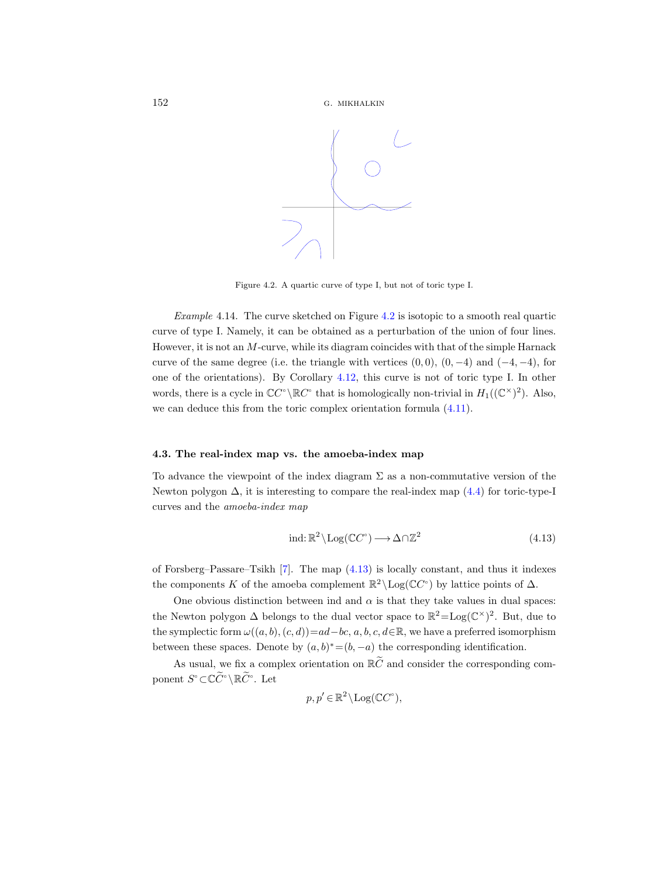

Figure 4.2. A quartic curve of type I, but not of toric type I.

Example 4.14. The curve sketched on Figure [4.2](#page-11-1) is isotopic to a smooth real quartic curve of type I. Namely, it can be obtained as a perturbation of the union of four lines. However, it is not an M-curve, while its diagram coincides with that of the simple Harnack curve of the same degree (i.e. the triangle with vertices  $(0, 0)$ ,  $(0, -4)$  and  $(-4, -4)$ , for one of the orientations). By Corollary [4.12,](#page-16-1) this curve is not of toric type I. In other words, there is a cycle in  $\mathbb{C}C^{\circ}\backslash\mathbb{R}C^{\circ}$  that is homologically non-trivial in  $H_1((\mathbb{C}^{\times})^2)$ . Also, we can deduce this from the toric complex orientation formula [\(4.11\)](#page-14-1).

## 4.3. The real-index map vs. the amoeba-index map

To advance the viewpoint of the index diagram  $\Sigma$  as a non-commutative version of the Newton polygon  $\Delta$ , it is interesting to compare the real-index map [\(4.4\)](#page-12-1) for toric-type-I curves and the amoeba-index map

<span id="page-17-0"></span>
$$
\text{ind}: \mathbb{R}^2 \setminus \text{Log}(\mathbb{C}C^{\circ}) \longrightarrow \Delta \cap \mathbb{Z}^2 \tag{4.13}
$$

of Forsberg–Passare–Tsikh [\[7\]](#page-44-2). The map [\(4.13\)](#page-17-0) is locally constant, and thus it indexes the components K of the amoeba complement  $\mathbb{R}^2 \setminus \text{Log}(\mathbb{C}C^{\circ})$  by lattice points of  $\Delta$ .

One obvious distinction between ind and  $\alpha$  is that they take values in dual spaces: the Newton polygon  $\Delta$  belongs to the dual vector space to  $\mathbb{R}^2 = \text{Log}(\mathbb{C}^{\times})^2$ . But, due to the symplectic form  $\omega((a, b), (c, d))=ad-bc, a, b, c, d\in\mathbb{R}$ , we have a preferred isomorphism between these spaces. Denote by  $(a, b)^* = (b, -a)$  the corresponding identification.

As usual, we fix a complex orientation on  $\mathbb{R}\tilde{C}$  and consider the corresponding component  $S^{\circ} \subset \mathbb{C} \widetilde{C}^{\circ} \setminus \mathbb{R} \widetilde{C}^{\circ}$ . Let

$$
p, p' \in \mathbb{R}^2 \setminus \text{Log}(\mathbb{C}C^{\circ}),
$$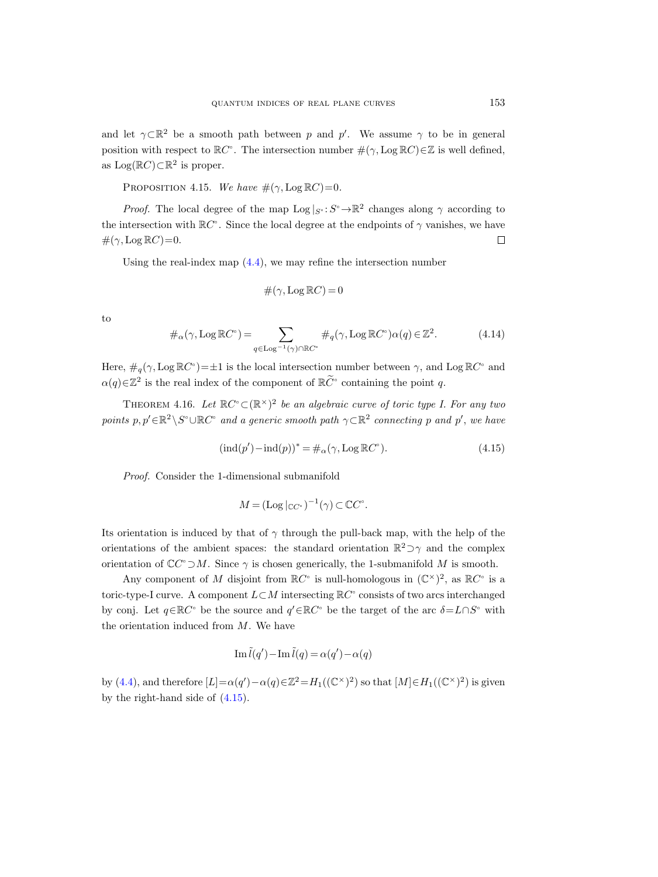and let  $\gamma \subset \mathbb{R}^2$  be a smooth path between p and p'. We assume  $\gamma$  to be in general position with respect to  $\mathbb{R}C^{\circ}$ . The intersection number  $\#(\gamma, \text{Log } \mathbb{R}C) \in \mathbb{Z}$  is well defined, as  $Log( \mathbb{R} C) \subset \mathbb{R}^2$  is proper.

PROPOSITION 4.15. We have  $\#(\gamma, \text{Log } \mathbb{R}C) = 0$ .

*Proof.* The local degree of the map  $\text{Log } |_{S} : S^{\circ} \to \mathbb{R}^2$  changes along  $\gamma$  according to the intersection with  $\mathbb{R}C^{\circ}$ . Since the local degree at the endpoints of  $\gamma$  vanishes, we have  $\#(\gamma, \text{Log } \mathbb{R}C) = 0.$  $\Box$ 

Using the real-index map  $(4.4)$ , we may refine the intersection number

$$
\#(\gamma, \text{Log } \mathbb{R}C) = 0
$$

to

$$
\#_{\alpha}(\gamma, \text{Log }\mathbb{R}C^{\circ}) = \sum_{q \in \text{Log}^{-1}(\gamma) \cap \mathbb{R}C^{\circ}} \#_{q}(\gamma, \text{Log }\mathbb{R}C^{\circ}) \alpha(q) \in \mathbb{Z}^{2}.
$$
 (4.14)

Here,  $\#_q(\gamma, \text{Log } \mathbb{R}C^{\circ}) = \pm 1$  is the local intersection number between  $\gamma$ , and Log  $\mathbb{R}C^{\circ}$  and  $\alpha(q) \in \mathbb{Z}^2$  is the real index of the component of  $\mathbb{R} \widetilde{C}^{\circ}$  containing the point q.

<span id="page-18-0"></span>THEOREM 4.16. Let  $\mathbb{R}C^{\circ} \subset (\mathbb{R}^{\times})^2$  be an algebraic curve of toric type I. For any two points  $p, p' \in \mathbb{R}^2 \setminus S^\circ \cup \mathbb{R}C^\circ$  and a generic smooth path  $\gamma \subset \mathbb{R}^2$  connecting p and p', we have

<span id="page-18-1"></span>
$$
(\text{ind}(p') - \text{ind}(p))^{*} = \#_{\alpha}(\gamma, \text{Log RC}^{\circ}).\tag{4.15}
$$

Proof. Consider the 1-dimensional submanifold

$$
M = (\operatorname{Log} |_{\mathbb{C}C^{\circ}})^{-1}(\gamma) \subset \mathbb{C}C^{\circ}.
$$

Its orientation is induced by that of  $\gamma$  through the pull-back map, with the help of the orientations of the ambient spaces: the standard orientation  $\mathbb{R}^2$   $\supset \gamma$  and the complex orientation of  $\mathbb{C}C^{\circ}\supset M$ . Since  $\gamma$  is chosen generically, the 1-submanifold M is smooth.

Any component of M disjoint from  $\mathbb{R}C^{\circ}$  is null-homologous in  $(\mathbb{C}^{\times})^2$ , as  $\mathbb{R}C^{\circ}$  is a toric-type-I curve. A component  $L\subset M$  intersecting  $\mathbb{R}C^{\circ}$  consists of two arcs interchanged by conj. Let  $q \in \mathbb{R}C^{\circ}$  be the source and  $q' \in \mathbb{R}C^{\circ}$  be the target of the arc  $\delta = L \cap S^{\circ}$  with the orientation induced from  $M$ . We have

$$
\operatorname{Im} \tilde{l}(q') - \operatorname{Im} \tilde{l}(q) = \alpha(q') - \alpha(q)
$$

by [\(4.4\)](#page-12-1), and therefore  $[L] = \alpha(q') - \alpha(q) \in \mathbb{Z}^2 = H_1((\mathbb{C}^{\times})^2)$  so that  $[M] \in H_1((\mathbb{C}^{\times})^2)$  is given by the right-hand side of [\(4.15\)](#page-18-1).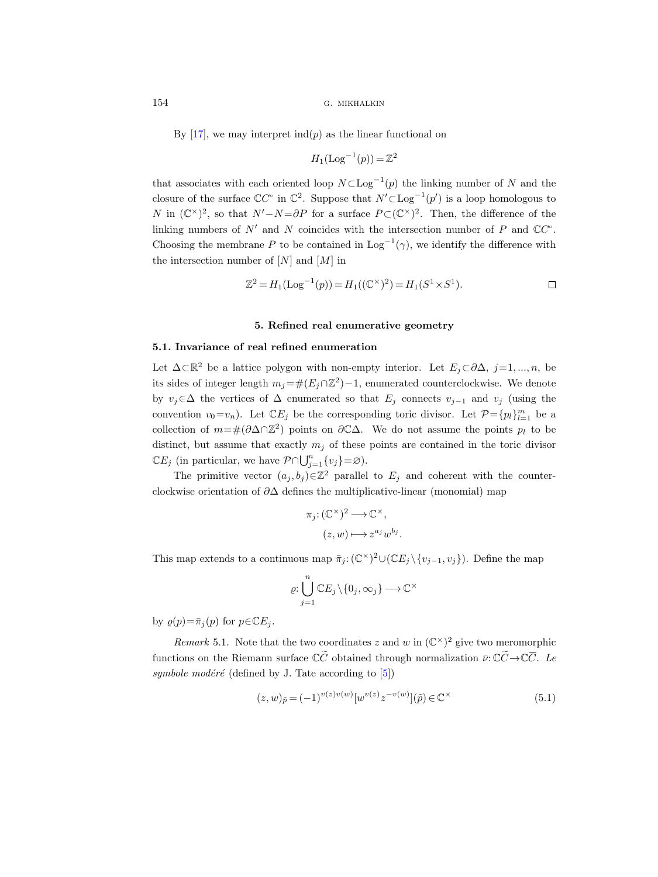By [\[17\]](#page-44-0), we may interpret  $\text{ind}(p)$  as the linear functional on

$$
H_1(\text{Log}^{-1}(p)) = \mathbb{Z}^2
$$

that associates with each oriented loop  $N \subset \text{Log}^{-1}(p)$  the linking number of N and the closure of the surface  $\mathbb{C}C^{\circ}$  in  $\mathbb{C}^{2}$ . Suppose that  $N' \subset \text{Log}^{-1}(p')$  is a loop homologous to N in  $(\mathbb{C}^{\times})^2$ , so that  $N'-N=\partial P$  for a surface  $P\subset (\mathbb{C}^{\times})^2$ . Then, the difference of the linking numbers of N' and N coincides with the intersection number of P and  $\mathbb{C}C^{\circ}$ . Choosing the membrane P to be contained in  $\text{Log}^{-1}(\gamma)$ , we identify the difference with the intersection number of  $[N]$  and  $[M]$  in

$$
\mathbb{Z}^2 = H_1(\text{Log}^{-1}(p)) = H_1((\mathbb{C}^{\times})^2) = H_1(S^1 \times S^1).
$$

## 5. Refined real enumerative geometry

## 5.1. Invariance of real refined enumeration

Let  $\Delta \subset \mathbb{R}^2$  be a lattice polygon with non-empty interior. Let  $E_j \subset \partial \Delta$ ,  $j=1,...,n$ , be its sides of integer length  $m_j = \#(E_j \cap \mathbb{Z}^2) - 1$ , enumerated counterclockwise. We denote by  $v_j \in \Delta$  the vertices of  $\Delta$  enumerated so that  $E_j$  connects  $v_{j-1}$  and  $v_j$  (using the convention  $v_0 = v_n$ ). Let  $\mathbb{C}E_j$  be the corresponding toric divisor. Let  $\mathcal{P} = \{p_l\}_{l=1}^m$  be a collection of  $m=\#\left(\partial\Delta\cap\mathbb{Z}^2\right)$  points on  $\partial\mathbb{C}\Delta$ . We do not assume the points  $p_l$  to be distinct, but assume that exactly  $m_i$  of these points are contained in the toric divisor  $\mathbb{C}E_j$  (in particular, we have  $\mathcal{P} \cap \bigcup_{j=1}^n \{v_j\} = \varnothing$ ).

The primitive vector  $(a_j, b_j) \in \mathbb{Z}^2$  parallel to  $E_j$  and coherent with the counterclockwise orientation of  $\partial\Delta$  defines the multiplicative-linear (monomial) map

$$
\pi_j: (\mathbb{C}^\times)^2 \longrightarrow \mathbb{C}^\times,
$$
  

$$
(z, w) \longmapsto z^{a_j} w^{b_j}
$$

This map extends to a continuous map  $\bar{\pi}_j$ :  $(\mathbb{C}^{\times})^2 \cup (\mathbb{C}E_j \setminus \{v_{j-1}, v_j\})$ . Define the map

$$
\varrho{:}\bigcup_{j=1}^n \mathbb{C}E_j\!\setminus\!\{0_j,\infty_j\}\mathop{\longrightarrow}\limits \mathbb{C}^\times
$$

by  $\varrho(p) = \bar{\pi}_j(p)$  for  $p \in \mathbb{C}E_j$ .

Remark 5.1. Note that the two coordinates z and w in  $(\mathbb{C}^{\times})^2$  give two meromorphic clockwise orientation of  $\partial\Delta$  defines the multiplicative-linear (monomial) map<br>  $\pi_j: (\mathbb{C}^{\times})^2 \longrightarrow \mathbb{C}^{\times}$ ,<br>  $(z, w) \longmapsto z^{a_j} w^{b_j}$ .<br>
This map extends to a continuous map  $\bar{\pi}_j: (\mathbb{C}^{\times})^2 \cup (\mathbb{C}E_j \setminus \{v_{j-1}, v_j\})$ functions on the Riemann surface  $\mathbb{C}\tilde{C}$  obtained through normalization  $\bar{\nu}$ :  $\mathbb{C}\tilde{C} \to \mathbb{C}\bar{C}$ . Le symbole modéré (defined by J. Tate according to  $[5]$ )

$$
(z, w)_{\tilde{p}} = (-1)^{v(z)v(w)} [w^{v(z)} z^{-v(w)}](\tilde{p}) \in \mathbb{C}^{\times}
$$
\n(5.1)

.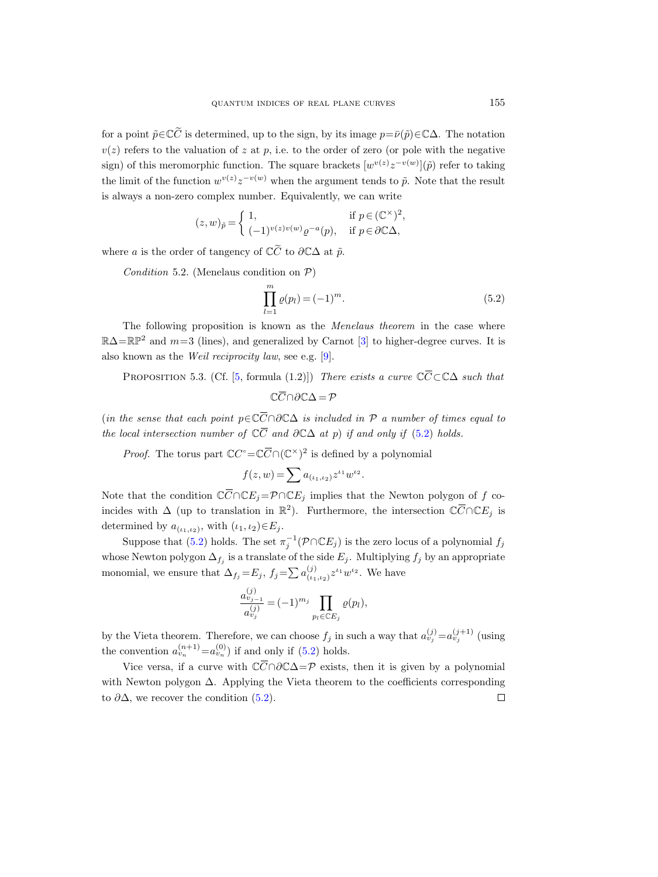for a point  $\tilde{p} \in \mathbb{C}\tilde{C}$  is determined, up to the sign, by its image  $p = \bar{\nu}(\tilde{p}) \in \mathbb{C}\Delta$ . The notation  $v(z)$  refers to the valuation of z at p, i.e. to the order of zero (or pole with the negative sign) of this meromorphic function. The square brackets  $[w^{v(z)}z^{-v(w)}](\tilde{p})$  refer to taking the limit of the function  $w^{v(z)}z^{-v(w)}$  when the argument tends to  $\tilde{p}$ . Note that the result is always a non-zero complex number. Equivalently, we can write

$$
(z,w)_{\tilde p}=\left\{\begin{array}{ll} 1, & \hbox{if }p\in (\mathbb{C}^\times)^2\\ (-1)^{v(z)v(w)}\varrho^{-a}(p), & \hbox{if }p\in \partial \mathbb{C}\Delta, \end{array}\right.
$$

where a is the order of tangency of  $\mathbb{C}\widetilde{C}$  to  $\partial \mathbb{C}\Delta$  at  $\widetilde{p}$ .

Condition 5.2. (Menelaus condition on  $P$ )

<span id="page-20-0"></span>
$$
\prod_{l=1}^{m} \varrho(p_l) = (-1)^m.
$$
\n(5.2)

,

The following proposition is known as the *Menelaus theorem* in the case where  $\mathbb{R}\Delta=\mathbb{RP}^2$  and  $m=3$  (lines), and generalized by Carnot [\[3\]](#page-44-12) to higher-degree curves. It is also known as the Weil reciprocity law, see e.g. [\[9\]](#page-44-13).  $(z, w)_{\tilde{p}} = \begin{cases} 1, & \text{if } p \in (\mathbb{C}^{\times})^2, \\ (-1)^{v(z)v(w)} \varrho^{-a}(p), & \text{if } p \in \partial \mathbb{C}\Delta, \end{cases}$ <br>
re a is the order of tangency of  $\mathbb{C}\tilde{C}$  to  $\partial \mathbb{C}\Delta$  at  $\tilde{p}$ .<br>
Condition 5.2. (Menelaus condition on P)<br>  $\prod_{l=1}^{m} \varrho(p$  $\begin{align} \n\widetilde{C} &\text{if } \n\widetilde{C} &\text{if } \n\widetilde{C} &\text{if } \n\widetilde{C} &\text{if } \n\widetilde{C} &\text{if } \n\widetilde{C} &\text{if } \n\widetilde{C} &\text{if } \n\end{align}$ where *a* is the order of tangency of  $\emptyset$ <br>
Condition 5.2. (Menelaus condi<br>
I<br>
The following proposition is kn<br>  $\mathbb{R}\Delta = \mathbb{RP}^2$  and  $m=3$  (lines), and gen<br>
also known as the *Weil reciprocity la*<br>
PROPOSITION 5.3. (Cf Condition 5.2. (Menelaus condi<br>
The following proposition is kn<br>  $\mathbb{R}\Delta = \mathbb{RP}^2$  and  $m=3$  (lines), and gen<br>
also known as the *Weil reciprocity le*<br>
PROPOSITION 5.3. (Cf. [5, form<br>
(in the sense that each point  $p \in \math$  $\prod_{l=\text{is }k}^{m} \prod_{l=\text{true}}^{m}$  is kn d generative last<br>city last formula<br> $\in \mathbb{C}\overline{C} \cap f \mathbb{C}\overline{C}$ <br> $\subseteq \mathbb{C}\overline{C}$ The following propositi<br>  $\mathbb{R}\Delta = \mathbb{RP}^2$  and  $m=3$  (lines),<br>
also known as the *Weil recip*<br>
PROPOSITION 5.3. (Cf.<br>
(in the sense that each point<br>
the local intersection number<br> *Proof.* The torus part  $\mathbb{C}$ <br>
Note t

<span id="page-20-1"></span>PROPOSITION 5.3. (Cf. [5, formula (1.2)]) There exists a curve  $\mathbb{C}\overline{C}\subset\mathbb{C}\Delta$  such that

$$
\mathbb{C}\overline{C}\cap\partial\mathbb{C}\Delta=\mathcal{P}
$$

(in the sense that each point  $p \in \mathbb{C} \overline{C} \cap \partial \mathbb{C} \Delta$  is included in  $P$  a number of times equal to the local intersection number of  $\mathbb{C}\overline{C}$  and  $\partial \mathbb{C}\Delta$  at p) if and only if [\(5.2\)](#page-20-0) holds. beta by Carnot [3] to higher-degree curve<br>
(e.g. [9].<br>
1.2)]) There exists a curve  $\mathbb{C}\overline{C}\subset\mathbb{C}\Delta$  s<br>  $\partial\mathbb{C}\Delta = P$ <br>  $\Delta$  is included in  $P$  a number of times<br>  $\partial\mathbb{C}\Delta$  at  $p$ ) if and only if (5.2) holds.<br>  $\sum_{i=$ 

*Proof.* The torus part  $\mathbb{C}C^{\circ} = \mathbb{C}\overline{C} \cap (\mathbb{C}^{\times})^2$  is defined by a polynomial

$$
f(z, w) = \sum a_{(\iota_1, \iota_2)} z^{\iota_1} w^{\iota_2}.
$$

Note that the condition  $\mathbb{C}\overline{C} \cap \mathbb{C}E_j = \mathcal{P} \cap \mathbb{C}E_j$  implies that the Newton polygon of f coincides with  $\Delta$  (up to translation in  $\mathbb{R}^2$ ). Furthermore, the intersection  $\mathbb{C}\overline{C}\cap\mathbb{C}E_j$  is determined by  $a_{(\iota_1,\iota_2)}$ , with  $(\iota_1,\iota_2) \in E_j$ .

Suppose that [\(5.2\)](#page-20-0) holds. The set  $\pi_j^{-1}(\mathcal{P} \cap \mathbb{C} E_j)$  is the zero locus of a polynomial  $f_j$ whose Newton polygon  $\Delta_{f_j}$  is a translate of the side  $E_j$ . Multiplying  $f_j$  by an appropriate monomial, we ensure that  $\Delta_{f_j} = E_j$ ,  $f_j = \sum a_{(i,j)}^{(j)}$  $\frac{(j)}{(i_1,i_2)}z^{i_1}w^{i_2}$ . We have First the condition  $C \cap C E_j$  =<br>les with  $\Delta$  (up to translation i<br>rmined by  $a_{(\iota_1, \iota_2)}$ , with  $(\iota_1, \iota_2) \in$ <br>Suppose that (5.2) holds. The s<br>se Newton polygon  $\Delta_{f_j}$  is a trans<br>omial, we ensure that  $\Delta_{f_j} = E_j$ ,<br>

$$
\frac{a_{v_{j-1}}^{(j)}}{a_{v_j}^{(j)}} = (-1)^{m_j} \prod_{p_l \in \mathbb{C}E_j} \varrho(p_l),
$$

by the Vieta theorem. Therefore, we can choose  $f_j$  in such a way that  $a_{ij}^{(j)} = a_{ij}^{(j+1)}$  (using the convention  $a_{v_n}^{(n+1)} = a_{v_n}^{(0)}$  if and only if [\(5.2\)](#page-20-0) holds.

Vice versa, if a curve with  $\mathbb{C}\overline{C} \cap \partial \mathbb{C}\Delta = \mathcal{P}$  exists, then it is given by a polynomial with Newton polygon  $\Delta$ . Applying the Vieta theorem to the coefficients corresponding to  $\partial \Delta$ , we recover the condition [\(5.2\)](#page-20-0).  $\Box$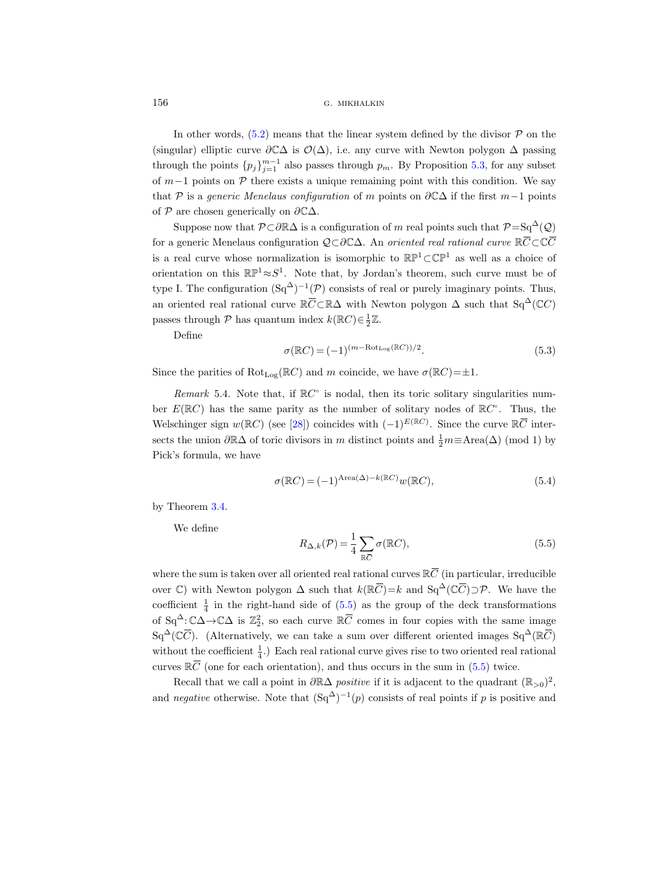In other words,  $(5.2)$  means that the linear system defined by the divisor  $\mathcal P$  on the (singular) elliptic curve  $\partial \mathbb{C}\Delta$  is  $\mathcal{O}(\Delta)$ , i.e. any curve with Newton polygon  $\Delta$  passing through the points  ${p_j}_{j=1}^{m-1}$  also passes through  $p_m$ . By Proposition [5.3,](#page-20-1) for any subset of  $m-1$  points on P there exists a unique remaining point with this condition. We say that P is a generic Menelaus configuration of m points on  $\partial \mathbb{C}\Delta$  if the first m-1 points of  $P$  are chosen generically on  $\partial \mathbb{C}\Delta$ . for a generic Menelaus configuration  $Q(\Delta)$ , i.e. any curve with Newton polygon  $\Delta$  particular) elliptic curve  $\partial \mathbb{C}\Delta$  is  $\mathcal{O}(\Delta)$ , i.e. any curve with Newton polygon  $\Delta$  particularly the points  $\{p_j\}_{j=1}^{m-1}$ on the sassing ubset  $\overline{C}$  and  $\overline{C}$  and  $\overline{C}$ 

Suppose now that  $\mathcal{P} \subset \partial \mathbb{R} \Delta$  is a configuration of m real points such that  $\mathcal{P} = Sq^{\Delta}(\mathcal{Q})$ is a real curve whose normalization is isomorphic to  $\mathbb{RP}^1 \subset \mathbb{CP}^1$  as well as a choice of orientation on this  $\mathbb{RP}^1 \approx S^1$ . Note that, by Jordan's theorem, such curve must be of type I. The configuration  $(Sq^{\Delta})^{-1}(\mathcal{P})$  consists of real or purely imaginary points. Thus, in other words, (5.2) means the<br>
(singular) elliptic curve  $\partial \mathbb{C}\Delta$  is  $\mathcal{O}$ <br>
(through the points  $\{p_j\}_{j=1}^{m-1}$  also pa<br>
of  $m-1$  points on  $\mathcal{P}$  there exists a<br>
that  $\mathcal{P}$  is a *generic Menelaus config*<br> an oriented real rational curve  $\mathbb{R}\overline{C}\subset\mathbb{R}\Delta$  with Newton polygon  $\Delta$  such that Sq<sup> $\Delta$ </sup>(CC) passes through  $P$  has quantum index  $k(\mathbb{R}C) \in \frac{1}{2}\mathbb{Z}$ .  $[CP<sup>1</sup>]$  as well as a chow<br>
em, such curve must<br>
ely imaginary points.<br>
rgon  $\Delta$  such that  $Sq<sup>2</sup>$ <br>  $(\mathbb{R}C) = \pm 1$ .<br>
solitary singularities<br>
nodes of  $\mathbb{R}C^{\circ}$ . Thu<br>
. Since the curve  $\mathbb{R}\overline{C}$ 

Define

<span id="page-21-1"></span>
$$
\sigma(\mathbb{R}C) = (-1)^{(m - \text{Rot}_{\text{Log}}(\mathbb{R}C))/2}.
$$
\n(5.3)

Since the parities of  $Rot_{Log}(\mathbb{R}C)$  and m coincide, we have  $\sigma(\mathbb{R}C)=\pm 1$ .

Remark 5.4. Note that, if  $\mathbb{R}C^{\circ}$  is nodal, then its toric solitary singularities number  $E(\mathbb{R}C)$  has the same parity as the number of solitary nodes of  $\mathbb{R}C^{\circ}$ . Thus, the Welschinger sign  $w(\mathbb{R}C)$  (see [\[28\]](#page-45-4)) coincides with  $(-1)^{E(\mathbb{R}C)}$ . Since the curve  $\mathbb{R}\overline{C}$  intersects the union  $\partial \mathbb{R}\Delta$  of toric divisors in m distinct points and  $\frac{1}{2}m \equiv \text{Area}(\Delta) \pmod{1}$  by Pick's formula, we have ber  $E(\mathbb{R}C)$  has the same parity as the number of solitary n<br>Welschinger sign  $w(\mathbb{R}C)$  (see [28]) coincides with  $(-1)^{E(\mathbb{R}C)}$ . S<br>sects the union  $\partial \mathbb{R}\Delta$  of toric divisors in  $m$  distinct points and<br>Pick's for Welschinger sign  $w(\mathbb{R}C)$  (see [28]) coincides with<br>sects the union  $\partial \mathbb{R}\Delta$  of toric divisors in m distinct<br>Pick's formula, we have<br> $\sigma(\mathbb{R}C) = (-1)^{\text{Area}(\Delta) - k}$ <br>by Theorem 3.4.<br>We define<br> $R_{\Delta,k}(\mathcal{P}) = \frac{1}{4} \sum_{\mathbb{$  $(-1)^{E(\mathbb{R}C)}$ . Since to<br>points and  $\frac{1}{2}m \equiv k$ <br> $(\mathbb{R}C)w(\mathbb{R}C)$ ,<br> $(\mathbb{R}C)$ ,<br>al curves  $\mathbb{R}\overline{C}$  (in pa<br> $)=k$  and  $\text{Sq}^{\Delta}(\mathbb{C}\overline{C})$ 

<span id="page-21-2"></span>
$$
\sigma(\mathbb{R}C) = (-1)^{\text{Area}(\Delta) - k(\mathbb{R}C)} w(\mathbb{R}C),\tag{5.4}
$$

by Theorem [3.4.](#page-9-1)

We define

<span id="page-21-0"></span>
$$
R_{\Delta,k}(\mathcal{P}) = \frac{1}{4} \sum_{\mathbb{R}\bar{C}} \sigma(\mathbb{R}C),\tag{5.5}
$$

where the sum is taken over all oriented real rational curves  $\mathbb{R}\overline{C}$  (in particular, irreducible over C) with Newton polygon  $\Delta$  such that  $k(\mathbb{R}\bar{C})=k$  and  $\text{Sq}^{\Delta}(\mathbb{C}\bar{C})\supset \mathcal{P}$ . We have the coefficient  $\frac{1}{4}$  in the right-hand side of [\(5.5\)](#page-21-0) as the group of the deck transformations of  $Sq^{\Delta}$ :  $\mathbb{C}\Delta \to \mathbb{C}\Delta$  is  $\mathbb{Z}_2^2$ , so each curve  $\mathbb{R}\overline{C}$  comes in four copies with the same image  $\sigma(\mathbb{R}C) = (-1)^{\text{Area}}$ <br>  $R_{\Delta,k}(\mathcal{P}) = \frac{1}{2}$ <br>
over all oriented real<br>
olygon  $\Delta$  such that<br>
th-hand side of (5.5,<br>
so each curve  $\mathbb{R}\overline{C}$ by Theor<br>We<br>where the over  $\mathbb{C}$  coefficient<br>of  $Sq^{\Delta}$ :  $\mathbb{C} \overline{C}$  $\sigma(\mathbb{R}C) = (-1)^{\text{Area}(\Delta) - k(\mathbb{R}C)} w(\mathbb{R}C)$ , (5.4<br>
define<br>  $R_{\Delta,k}(\mathcal{P}) = \frac{1}{4} \sum_{\mathbb{R}C} \sigma(\mathbb{R}C)$ , (5.5<br>
e sum is taken over all oriented real rational curves  $\mathbb{R}\overline{C}$  (in particular, irreducible<br>
with Newton  $Sq^{\Delta}(\mathbb{C}\overline{C})$ . (Alternatively, we can take a sum over different oriented images  $Sq^{\Delta}(\mathbb{R}\overline{C})$ without the coefficient  $\frac{1}{4}$ .) Each real rational curve gives rise to two oriented real rational by Theorer<br>We de<br>where the s<br>over C) wi<br>coefficient<br>of Sq<sup> $\triangle$ </sup>: C $\angle$ <br>Sq<sup> $\triangle$ </sup>(C $\overline{C}$ ).<br>without th<br>curves  $\mathbb{R}\overline{C}$ curves  $\mathbb{R}\bar{C}$  (one for each orientation), and thus occurs in the sum in [\(5.5\)](#page-21-0) twice.

Recall that we call a point in  $\partial \mathbb{R}\Delta$  positive if it is adjacent to the quadrant  $(\mathbb{R}_{>0})^2$ , and negative otherwise. Note that  $(Sq^{\Delta})^{-1}(p)$  consists of real points if p is positive and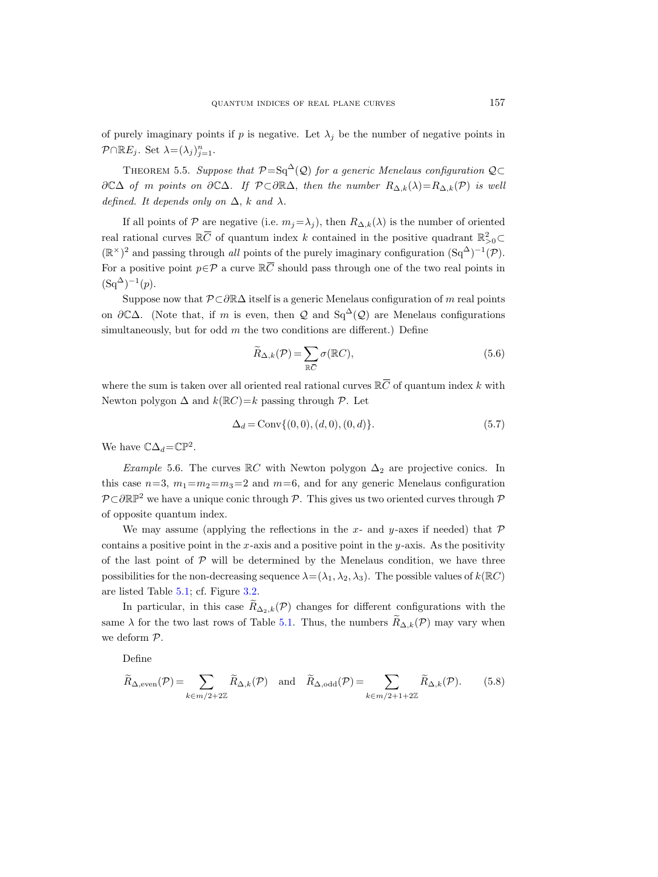<span id="page-22-0"></span>of purely imaginary points if p is negative. Let  $\lambda_i$  be the number of negative points in  $\mathcal{P} \cap \mathbb{R}E_j$ . Set  $\lambda = (\lambda_j)_{j=1}^n$ .

THEOREM 5.5. Suppose that  $\mathcal{P}=\mathrm{Sq}^{\Delta}(\mathcal{Q})$  for a generic Menelaus configuration  $\mathcal{Q}\subset$  $\partial\mathbb{C}\Delta$  of m points on  $\partial\mathbb{C}\Delta$ . If  $\mathcal{P}\subset\partial\mathbb{R}\Delta$ , then the number  $R_{\Delta,k}(\lambda)=R_{\Delta,k}(\mathcal{P})$  is well defined. It depends only on  $\Delta$ , k and  $\lambda$ . of purely imaginary poin<br>  $\mathcal{P} \cap \mathbb{R}E_j$ . Set  $\lambda = (\lambda_j)_{j=1}^n$ <br>
THEOREM 5.5. Sup<br>  $\partial \mathbb{C}\Delta$  of m points on  $\delta$ <br>
defined. It depends only<br>
If all points of  $\mathcal{P}$  ar<br>
real rational curves  $\mathbb{R}\overline{C}$ 

If all points of P are negative (i.e.  $m_j = \lambda_j$ ), then  $R_{\Delta,k}(\lambda)$  is the number of oriented of quantum index k contained in the positive quadrant  $\mathbb{R}^2_{>0}$  $(\mathbb{R}^{\times})^2$  and passing through all points of the purely imaginary configuration  $(Sq^{\Delta})^{-1}(\mathcal{P})$ . quantum intimated points of purely imaginary points if p is negral  $\mathcal{P} \cap \mathbb{R}E_j$ . Set  $\lambda = (\lambda_j)_{j=1}^n$ .<br>
THEOREM 5.5. Suppose that  $\mathcal{P} = \partial \mathbb{C}\Delta$  of m points on  $\partial \mathbb{C}\Delta$ . If  $\mathcal{P} \subset \mathcal{C}$  defined. It depend For a positive point  $p \in \mathcal{P}$  a curve  $\mathbb{R} \overline{C}$  should pass through one of the two real points in  $(Sq^{\Delta})^{-1}(p).$ If all points of  $P$  are negative (i.e.  $m_j = \lambda_j$ ), then  $R_{\Delta,k}(\lambda)$  real rational curves  $\mathbb{R}\overline{C}$  of quantum index  $k$  contained in the  $(\mathbb{R}^{\times})^2$  and passing through *all* points of the purely imaginary cofor a

Suppose now that  $\mathcal{P} \subset \partial \mathbb{R} \Delta$  itself is a generic Menelaus configuration of m real points on  $\partial \mathbb{C}\Delta$ . (Note that, if m is even, then Q and Sq<sup> $\Delta$ </sup>(Q) are Menelaus configurations simultaneously, but for odd  $m$  the two conditions are different.) Define

<span id="page-22-1"></span>
$$
\widetilde{R}_{\Delta,k}(\mathcal{P}) = \sum_{\mathbb{R}\overline{C}} \sigma(\mathbb{R}C),\tag{5.6}
$$

where the sum is taken over all oriented real rational curves  $\mathbb{R}\bar{C}$  of quantum index k with Newton polygon  $\Delta$  and  $k(\mathbb{R}C)=k$  passing through  $\mathcal P$ . Let

$$
\Delta_d = \text{Conv}\{(0,0), (d,0), (0,d)\}.
$$
\n(5.7)

We have  $\mathbb{C}\Delta_d = \mathbb{CP}^2$ .

Example 5.6. The curves  $\mathbb{R}C$  with Newton polygon  $\Delta_2$  are projective conics. In this case  $n=3$ ,  $m_1=m_2=m_3=2$  and  $m=6$ , and for any generic Menelaus configuration  $\mathcal{P} \subset \partial \mathbb{RP}^2$  we have a unique conic through  $\mathcal{P}$ . This gives us two oriented curves through  $\mathcal{P}$ of opposite quantum index.

We may assume (applying the reflections in the x- and y-axes if needed) that  $P$ contains a positive point in the x-axis and a positive point in the  $y$ -axis. As the positivity of the last point of  $P$  will be determined by the Menelaus condition, we have three possibilities for the non-decreasing sequence  $\lambda = (\lambda_1, \lambda_2, \lambda_3)$ . The possible values of  $k(\mathbb{R}C)$ are listed Table [5.1;](#page-10-0) cf. Figure [3.2.](#page-11-1)

In particular, in this case  $\widetilde{R}_{\Delta_2,k}(\mathcal{P})$  changes for different configurations with the same  $\lambda$  for the two last rows of Table [5.1.](#page-10-0) Thus, the numbers  $\widetilde{R}_{\Delta,k}(\mathcal{P})$  may vary when we deform P.

Define

$$
\widetilde{R}_{\Delta,\text{even}}(\mathcal{P}) = \sum_{k \in m/2 + 2\mathbb{Z}} \widetilde{R}_{\Delta,k}(\mathcal{P}) \quad \text{and} \quad \widetilde{R}_{\Delta,\text{odd}}(\mathcal{P}) = \sum_{k \in m/2 + 1 + 2\mathbb{Z}} \widetilde{R}_{\Delta,k}(\mathcal{P}). \tag{5.8}
$$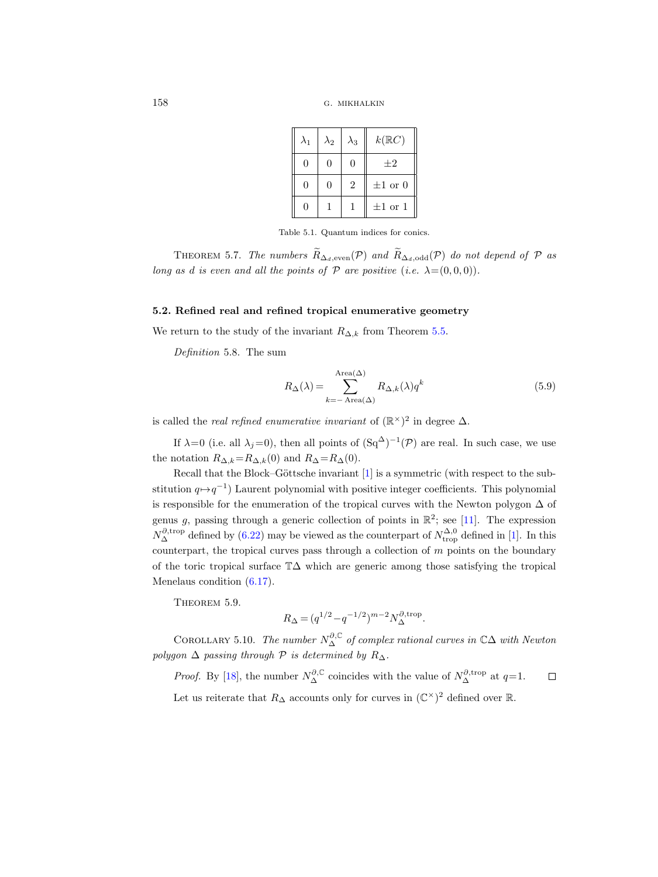| $\lambda_1$ | $\lambda_2$   | $\lambda_3$    | $k(\mathbb{R}C)$ |
|-------------|---------------|----------------|------------------|
| 0           | $\mathcal{O}$ | 0              | $+2$             |
| $\Omega$    | $\cup$        | $\overline{2}$ | $\pm 1$ or 0     |
| $\cup$      |               |                | $\pm 1$ or 1     |

Table 5.1. Quantum indices for conics.

<span id="page-23-0"></span>THEOREM 5.7. The numbers  $\widetilde{R}_{\Delta_d,\text{even}}(\mathcal{P})$  and  $\widetilde{R}_{\Delta_d,\text{odd}}(\mathcal{P})$  do not depend of  $\mathcal P$  as long as d is even and all the points of  $P$  are positive (i.e.  $\lambda = (0, 0, 0)$ ).

## 5.2. Refined real and refined tropical enumerative geometry

We return to the study of the invariant  $R_{\Delta,k}$  from Theorem [5.5.](#page-22-0)

Definition 5.8. The sum

<span id="page-23-1"></span>
$$
R_{\Delta}(\lambda) = \sum_{k=-\text{ Area}(\Delta)}^{\text{Area}(\Delta)} R_{\Delta,k}(\lambda) q^k
$$
\n(5.9)

is called the *real refined enumerative invariant* of  $(\mathbb{R}^{\times})^2$  in degree  $\Delta$ .

If  $\lambda=0$  (i.e. all  $\lambda_j=0$ ), then all points of  $(Sq^{\Delta})^{-1}(\mathcal{P})$  are real. In such case, we use the notation  $R_{\Delta,k} = R_{\Delta,k}(0)$  and  $R_{\Delta} = R_{\Delta}(0)$ .

Recall that the Block–Göttsche invariant  $[1]$  is a symmetric (with respect to the substitution  $q \mapsto q^{-1}$ ) Laurent polynomial with positive integer coefficients. This polynomial is responsible for the enumeration of the tropical curves with the Newton polygon  $\Delta$  of genus g, passing through a generic collection of points in  $\mathbb{R}^2$ ; see [\[11\]](#page-44-14). The expression  $N_{\Delta}^{\partial, \text{trop}}$  defined by [\(6.22\)](#page-42-0) may be viewed as the counterpart of  $N_{\text{trop}}^{\Delta,0}$  defined in [\[1\]](#page-44-5). In this counterpart, the tropical curves pass through a collection of  $m$  points on the boundary of the toric tropical surface T∆ which are generic among those satisfying the tropical Menelaus condition  $(6.17)$ .

<span id="page-23-2"></span>THEOREM 5.9.

$$
R_{\Delta} = (q^{1/2} - q^{-1/2})^{m-2} N_{\Delta}^{\partial, \text{trop}}.
$$

COROLLARY 5.10. The number  $N^{\partial,\mathbb{C}}_{\Delta}$  of complex rational curves in  $\mathbb{C}\Delta$  with Newton polygon  $\Delta$  passing through  $\mathcal P$  is determined by  $R_{\Delta}$ .

*Proof.* By [\[18\]](#page-44-4), the number  $N_{\Delta}^{\partial, \mathbb{C}}$  coincides with the value of  $N_{\Delta}^{\partial, \text{trop}}$  at  $q=1$ .  $\Box$ Let us reiterate that  $R_{\Delta}$  accounts only for curves in  $(\mathbb{C}^{\times})^2$  defined over  $\mathbb{R}$ .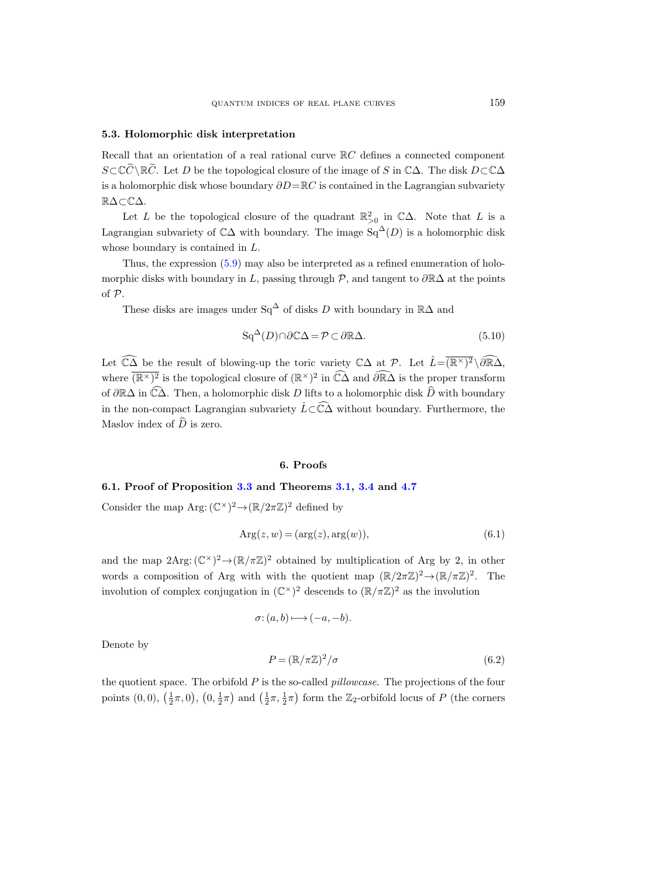### 5.3. Holomorphic disk interpretation

Recall that an orientation of a real rational curve  $\mathbb{R}C$  defines a connected component  $S\subset\mathbb{C}\tilde{\mathbb{C}}\setminus\mathbb{R}\tilde{\mathbb{C}}$ . Let D be the topological closure of the image of S in  $\mathbb{C}\Delta$ . The disk  $D\subset\mathbb{C}\Delta$ is a holomorphic disk whose boundary  $\partial D = \mathbb{R}C$  is contained in the Lagrangian subvariety R∆⊂C∆.

Let L be the topological closure of the quadrant  $\mathbb{R}^2_{>0}$  in  $\mathbb{C}\Delta$ . Note that L is a Lagrangian subvariety of  $\mathbb{C}\Delta$  with boundary. The image Sq<sup> $\Delta$ </sup>(D) is a holomorphic disk whose boundary is contained in L.

Thus, the expression [\(5.9\)](#page-23-1) may also be interpreted as a refined enumeration of holomorphic disks with boundary in L, passing through  $\mathcal{P}$ , and tangent to  $\partial \mathbb{R}\Delta$  at the points of P.

These disks are images under Sq<sup>∆</sup> of disks D with boundary in  $\mathbb{R}\Delta$  and

$$
\operatorname{Sq}^{\Delta}(D) \cap \partial \mathbb{C}\Delta = \mathcal{P} \subset \partial \mathbb{R}\Delta. \tag{5.10}
$$

Let  $\widehat{\mathbb{CA}}$  be the result of blowing-up the toric variety  $\mathbb{CA}$  at  $\mathcal{P}$ . Let  $\widehat{L}=\overline{(\mathbb{R}^{\times})^2} \setminus \widehat{\partial \mathbb{R} \Delta}$ , where  $(\overline{R^{\times})^2}$  is the topological closure of  $(\mathbb{R}^{\times})^2$  in  $\widehat{C}\widehat{\Delta}$  and  $\widehat{\partial R}\widehat{\Delta}$  is the proper transform of  $\partial \mathbb{R}\Delta$  in  $\widehat{\mathbb{C}\Delta}$ . Then, a holomorphic disk D lifts to a holomorphic disk  $\widehat{D}$  with boundary in the non-compact Lagrangian subvariety  $\hat{L}\subset\widehat{C}\hat{\Delta}$  without boundary. Furthermore, the Maslov index of  $\widehat{D}$  is zero.

## 6. Proofs

## 6.1. Proof of Proposition [3.3](#page-9-0) and Theorems [3.1,](#page-8-0) [3.4](#page-9-1) and [4.7](#page-14-0)

Consider the map Arg:  $(\mathbb{C}^{\times})^2 \rightarrow (\mathbb{R}/2\pi\mathbb{Z})^2$  defined by

$$
Arg(z, w) = (arg(z), arg(w)),
$$
\n(6.1)

and the map  $2\text{Arg}: (\mathbb{C}^{\times})^2 \to (\mathbb{R}/\pi\mathbb{Z})^2$  obtained by multiplication of Arg by 2, in other words a composition of Arg with with the quotient map  $(\mathbb{R}/2\pi\mathbb{Z})^2 \to (\mathbb{R}/\pi\mathbb{Z})^2$ . The involution of complex conjugation in  $(\mathbb{C}^{\times})^2$  descends to  $(\mathbb{R}/\pi\mathbb{Z})^2$  as the involution

$$
\sigma: (a, b) \longmapsto (-a, -b).
$$

Denote by

$$
P = (\mathbb{R}/\pi\mathbb{Z})^2/\sigma \tag{6.2}
$$

the quotient space. The orbifold  $P$  is the so-called *pillowcase*. The projections of the four points  $(0,0)$ ,  $(\frac{1}{2}\pi,0)$ ,  $(0,\frac{1}{2}\pi)$  and  $(\frac{1}{2}\pi,\frac{1}{2}\pi)$  form the  $\mathbb{Z}_2$ -orbifold locus of P (the corners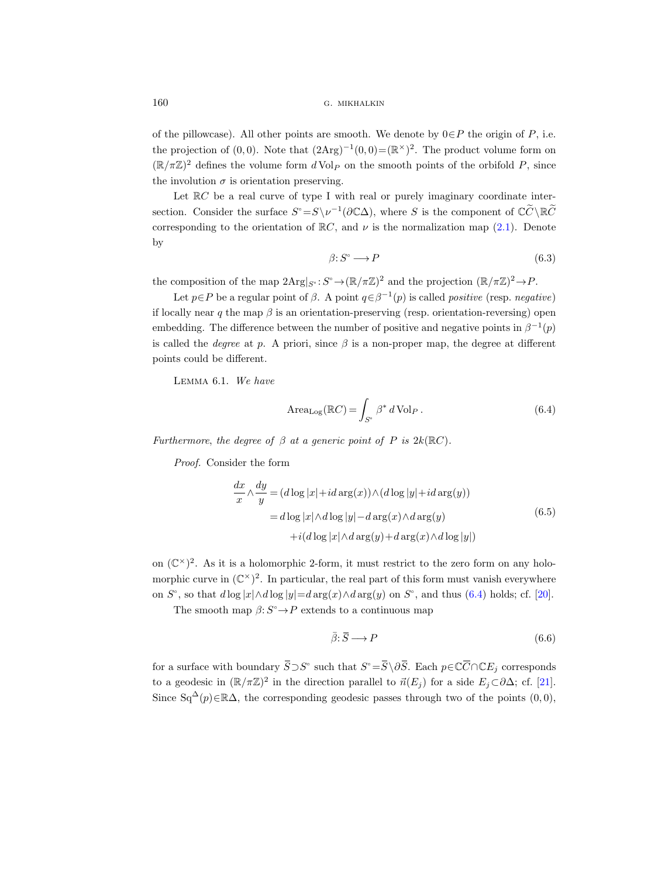of the pillowcase). All other points are smooth. We denote by  $0 \in P$  the origin of P, i.e. the projection of (0,0). Note that  $(2Arg)^{-1}(0,0)=(\mathbb{R}^{\times})^2$ . The product volume form on  $(\mathbb{R}/\pi\mathbb{Z})^2$  defines the volume form  $d$  Vol<sub>P</sub> on the smooth points of the orbifold P, since the involution  $\sigma$  is orientation preserving.

Let  $\mathbb{R}C$  be a real curve of type I with real or purely imaginary coordinate intersection. Consider the surface  $S^{\circ} = S \setminus \nu^{-1}(\partial \mathbb{C}\Delta)$ , where S is the component of  $\mathbb{C}\tilde{C} \setminus \mathbb{R}\tilde{C}$ corresponding to the orientation of  $\mathbb{R}C$ , and  $\nu$  is the normalization map [\(2.1\)](#page-6-1). Denote by

$$
\beta: S^{\circ} \longrightarrow P \tag{6.3}
$$

the composition of the map  $2\text{Arg}|_{S^{\circ}}: S^{\circ} \to (\mathbb{R}/\pi\mathbb{Z})^2$  and the projection  $(\mathbb{R}/\pi\mathbb{Z})^2 \to P$ .

Let  $p \in P$  be a regular point of  $\beta$ . A point  $q \in \beta^{-1}(p)$  is called *positive* (resp. *negative*) if locally near q the map  $\beta$  is an orientation-preserving (resp. orientation-reversing) open embedding. The difference between the number of positive and negative points in  $\beta^{-1}(p)$ is called the *degree* at p. A priori, since  $\beta$  is a non-proper map, the degree at different points could be different.

<span id="page-25-1"></span>Lemma 6.1. We have

<span id="page-25-0"></span>
$$
\text{Area}_{\text{Log}}(\mathbb{R}C) = \int_{S^{\circ}} \beta^* d\text{Vol}_P . \tag{6.4}
$$

Furthermore, the degree of  $\beta$  at a generic point of P is  $2k(\mathbb{R}C)$ .

Proof. Consider the form

$$
\frac{dx}{x} \wedge \frac{dy}{y} = (d \log |x| + id \arg(x)) \wedge (d \log |y| + id \arg(y))
$$
\n
$$
= d \log |x| \wedge d \log |y| - d \arg(x) \wedge d \arg(y)
$$
\n
$$
+ i(d \log |x| \wedge d \arg(y) + d \arg(x) \wedge d \log |y|)
$$
\ns a holomorphic 2-form, it must restrict to the zero form on any holo-  
\n( $\mathbb{C}^{\times}$ )<sup>2</sup>. In particular, the real part of this form must vanish everywhere  
\n $\log |x| \wedge d \log |y| = d \arg(x) \wedge d \arg(y)$  on  $S^{\circ}$ , and thus (6.4) holds; cf. [20].  
\nmap  $\beta: S^{\circ} \to P$  extends to a continuous map  
\n $\bar{\beta}: \bar{S} \longrightarrow P$  (6.6)  
\nboundary  $\bar{S} \supset S^{\circ}$  such that  $S^{\circ} = \bar{S} \setminus \partial \bar{S}$ . Each  $p \in \mathbb{C} \bar{C} \cap \mathbb{C} E_i$  corresponds

on  $(\mathbb{C}^{\times})^2$ . As it is a holomorphic 2-form, it must restrict to the zero form on any holomorphic curve in  $(\mathbb{C}^{\times})^2$ . In particular, the real part of this form must vanish everywhere on  $S^{\circ}$ , so that  $d \log |x| \wedge d \log |y| = d \arg(x) \wedge d \arg(y)$  on  $S^{\circ}$ , and thus [\(6.4\)](#page-25-0) holds; cf. [\[20\]](#page-44-15).  $x \rightarrow y$  (along <br>= d log |:<br>+i(<br>on (C<sup>×</sup>)<sup>2</sup>. As it is a holomorphic<br>morphic curve in (C<sup>×</sup>)<sup>2</sup>. In partic<br>on S°, so that d log |x|∧d log |y|=<br>The smooth map  $\beta: S^{\circ} \rightarrow P$  e<br>for a surface with boundary  $\overline{S} \supset S$ 

The smooth map  $\beta: S^{\circ} \to P$  extends to a continuous map

<span id="page-25-2"></span>
$$
\bar{\beta} \colon \bar{S} \longrightarrow P \tag{6.6}
$$

such that  $S^{\circ} = \overline{S} \setminus \partial \overline{S}$ . Each  $p \in \mathbb{C} \overline{C} \cap \mathbb{C} E_j$  corresponds to a geodesic in  $(\mathbb{R}/\pi\mathbb{Z})^2$  in the direction parallel to  $\vec{n}(E_j)$  for a side  $E_j\subset\partial\Delta$ ; cf. [\[21\]](#page-45-7). Since  $Sq^{\Delta}(p) \in \mathbb{R}\Delta$ , the corresponding geodesic passes through two of the points  $(0, 0)$ ,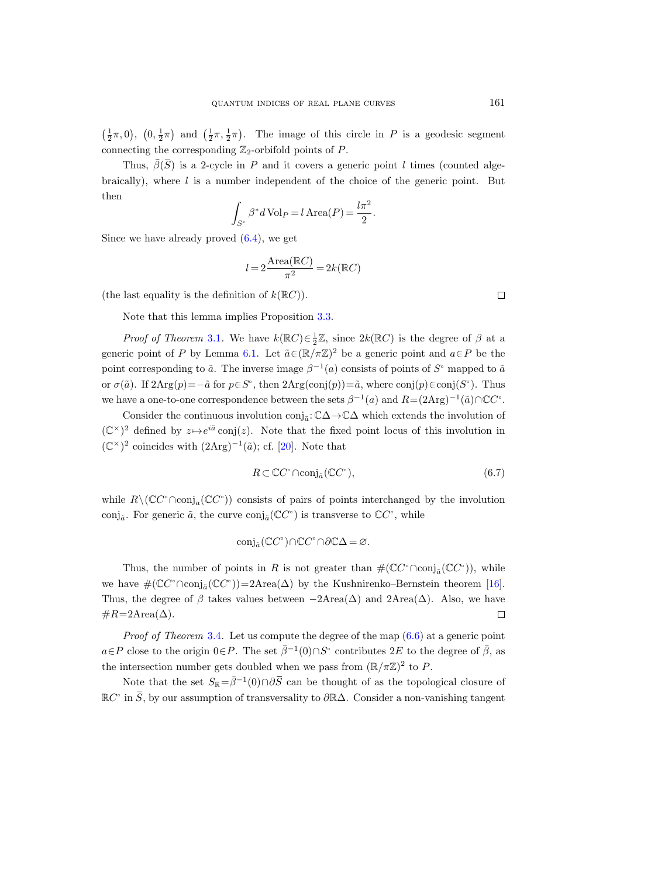$\left(\frac{1}{2}\pi,0\right),\ \left(0,\frac{1}{2}\pi\right)$  and  $\left(\frac{1}{2}\pi,\frac{1}{2}\pi\right)$ . The image of this circle in P is a geodesic segment connecting the corresponding  $\mathbb{Z}_2$ -orbifold points of P. QUANTUM INDICES OF REAL PLANE CURVES<br>
0),  $(0, \frac{1}{2}\pi)$  and  $(\frac{1}{2}\pi, \frac{1}{2}\pi)$ . The image of this circle in P is a geodesic segment<br>
ecting the corresponding  $\mathbb{Z}_2$ -orbifold points of P.<br>
Thus,  $\bar{\beta}(\bar{S})$  is a 2-c

braically), where  $l$  is a number independent of the choice of the generic point. But then

$$
\int_{S^{\circ}} \beta^* d\operatorname{Vol}_P = l \operatorname{Area}(P) = \frac{l\pi^2}{2}.
$$

Since we have already proved [\(6.4\)](#page-25-0), we get

$$
l=2\frac{\text{Area}(\mathbb{R}C)}{\pi^2}=2k(\mathbb{R}C)
$$

(the last equality is the definition of  $k(\mathbb{R}C)$ ).

Note that this lemma implies Proposition [3.3.](#page-9-0)

*Proof of Theorem* [3.1](#page-8-0). We have  $k(\mathbb{R}C) \in \frac{1}{2}\mathbb{Z}$ , since  $2k(\mathbb{R}C)$  is the degree of  $\beta$  at a generic point of P by Lemma [6.1.](#page-25-1) Let  $\tilde{a} \in (\mathbb{R}/\pi\mathbb{Z})^2$  be a generic point and  $a \in P$  be the point corresponding to  $\tilde{a}$ . The inverse image  $\beta^{-1}(a)$  consists of points of  $S^{\circ}$  mapped to  $\tilde{a}$ or  $\sigma(\tilde{a})$ . If  $2Arg(p) = -\tilde{a}$  for  $p \in S^{\circ}$ , then  $2Arg(\text{conj}(p)) = \tilde{a}$ , where  $\text{conj}(p) \in \text{conj}(S^{\circ})$ . Thus we have a one-to-one correspondence between the sets  $\beta^{-1}(a)$  and  $R = (2Arg)^{-1}(\tilde{a}) \cap \mathbb{C}C^{\circ}$ .

Consider the continuous involution  $\mathrm{conj}_{\tilde{a}}\!:\!\mathbb{C}\Delta\!\to\!\mathbb{C}\Delta$  which extends the involution of  $(\mathbb{C}^{\times})^2$  defined by  $z \mapsto e^{i\tilde{a}}$  conj(z). Note that the fixed point locus of this involution in  $(\mathbb{C}^{\times})^2$  coincides with  $(2Arg)^{-1}(\tilde{a})$ ; cf. [\[20\]](#page-44-15). Note that

$$
R \subset \mathbb{C}C^{\circ} \cap \text{conj}_{\tilde{a}}(\mathbb{C}C^{\circ}),\tag{6.7}
$$

while  $R \setminus (\mathbb{C}C^{\circ} \cap \text{conj}_a(\mathbb{C}C^{\circ}))$  consists of pairs of points interchanged by the involution conj<sub>a</sub>. For generic  $\tilde{a}$ , the curve  $\text{conj}_{\tilde{a}}(\mathbb{C}C^{\circ})$  is transverse to  $\mathbb{C}C^{\circ}$ , while

$$
\mathrm{conj}_{\tilde{a}}(\mathbb{C}C^{\circ})\cap \mathbb{C}C^{\circ}\cap \partial \mathbb{C}\Delta = \varnothing.
$$

Thus, the number of points in R is not greater than  $\#(\mathbb{C}C^{\circ} \cap \text{conj}_{\tilde{a}}(\mathbb{C}C^{\circ}))$ , while we have  $\#(\mathbb{C}C^{\circ} \cap \text{conj}_{\tilde{a}}(\mathbb{C}C^{\circ})) = 2 \text{Area}(\Delta)$  by the Kushnirenko–Bernstein theorem [\[16\]](#page-44-16). Thus, the degree of  $\beta$  takes values between  $-2$ Area $(\Delta)$  and 2Area $(\Delta)$ . Also, we have  $#R=2Area(\Delta).$ conj<sub>a</sub>( $\mathbb{C}C^{\circ}$ ) is transverse to  $\mathbb{C}C^{\circ}$ , while<br>nj<sub>a</sub>( $\mathbb{C}C^{\circ}$ )∩ $\mathbb{C}C^{\circ}$  ∩ $\partial \mathbb{C}\Delta = \varnothing$ .<br>s in *R* is not greater than  $\#(\mathbb{C}C^{\circ} \cap \text{conj}_{\bar{a}}(\mathbb{C}C^{\circ}))$ , while<br>c2Area( $\Delta$ ) by the Kushnirenk conj<sub>a</sub><sup>(CC°</sup>)∩CC°∩∂C∆ = ∅.<br>
Thus, the number of points in R is not greater than  $\#(\mathbb{C}C^c \cap \text{conj}_a(\mathbb{C}C^c))$ , while<br>
ave  $\#(\mathbb{C}C^c \cap \text{conj}_a(\mathbb{C}C^c)) = 2 \text{Area}(\Delta)$  by the Kushnirenko-Bernstein theorem [16].<br>
i, the

*Proof of Theorem* [3.4](#page-9-1). Let us compute the degree of the map  $(6.6)$  at a generic point  $a \in P$  close to the origin  $0 \in P$ . The set  $\bar{\beta}^{-1}(0) \cap S^{\circ}$  contributes 2E to the degree of  $\bar{\beta}$ , as the intersection number gets doubled when we pass from  $(\mathbb{R}/\pi\mathbb{Z})^2$  to P.

Note that the set  $S_{\mathbb{R}}=\bar{\beta}^{-1}(0)\cap\partial\bar{S}$  can be thought of as the topological closure of  $\mathbb{R}C^{\circ}$ 

 $\Box$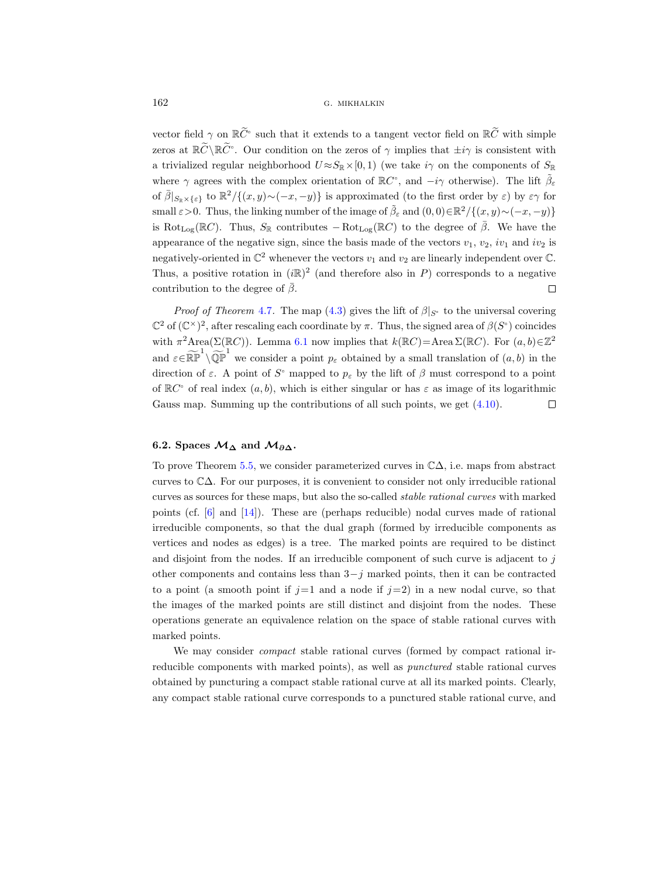vector field  $\gamma$  on  $\mathbb{R}^{\widetilde{C}^{\circ}}$  such that it extends to a tangent vector field on  $\mathbb{R}\widetilde{C}$  with simple zeros at  $\mathbb{R}\widetilde{C}\setminus\mathbb{R}\widetilde{C}^c$ . Our condition on the zeros of  $\gamma$  implies that  $\pm i\gamma$  is consistent with a trivialized regular neighborhood  $U \approx S_{\mathbb{R}} \times [0, 1)$  (we take  $i\gamma$  on the components of  $S_{\mathbb{R}}$ where  $\gamma$  agrees with the complex orientation of  $\mathbb{R}C^{\circ}$ , and  $-i\gamma$  otherwise). The lift  $\tilde{\beta}_{\varepsilon}$ of  $\bar{\beta}|_{S_{\mathbb{R}}\times\{\varepsilon\}}\}$  to  $\mathbb{R}^2/\{(x,y)\sim(-x,-y)\}\$ is approximated (to the first order by  $\varepsilon$ ) by  $\varepsilon\gamma$  for small  $\varepsilon > 0$ . Thus, the linking number of the image of  $\tilde{\beta}_{\varepsilon}$  and  $(0,0) \in \mathbb{R}^2/\{(x,y) \sim (-x,-y)\}\$ is Rot<sub>Log</sub>( $\mathbb{R}C$ ). Thus,  $S_{\mathbb{R}}$  contributes  $-\text{Rot}_{\text{Log}}(\mathbb{R}C)$  to the degree of  $\overline{\beta}$ . We have the appearance of the negative sign, since the basis made of the vectors  $v_1, v_2, iv_1$  and  $iv_2$  is negatively-oriented in  $\mathbb{C}^2$  whenever the vectors  $v_1$  and  $v_2$  are linearly independent over  $\mathbb{C}$ . Thus, a positive rotation in  $(i\mathbb{R})^2$  (and therefore also in P) corresponds to a negative contribution to the degree of  $\bar{\beta}$ .  $\Box$ 

*Proof of Theorem [4.7](#page-14-0).* The map [\(4.3\)](#page-11-3) gives the lift of  $\beta|_{S^{\circ}}$  to the universal covering  $\mathbb{C}^2$  of  $(\mathbb{C}^{\times})^2$ , after rescaling each coordinate by  $\pi$ . Thus, the signed area of  $\beta(S^{\circ})$  coincides with  $\pi^2 \text{Area}(\Sigma(\mathbb{R}C))$ . Lemma [6.1](#page-25-1) now implies that  $k(\mathbb{R}C) = \text{Area}(\Sigma(\mathbb{R}C))$ . For  $(a, b) \in \mathbb{Z}^2$ and  $\varepsilon \in \widetilde{\mathbb{RP}}^1 \setminus \widetilde{\mathbb{QP}}^1$  we consider a point  $p_{\varepsilon}$  obtained by a small translation of  $(a, b)$  in the direction of  $\varepsilon$ . A point of  $S^{\circ}$  mapped to  $p_{\varepsilon}$  by the lift of  $\beta$  must correspond to a point of  $\mathbb{R}C^{\circ}$  of real index  $(a, b)$ , which is either singular or has  $\varepsilon$  as image of its logarithmic Gauss map. Summing up the contributions of all such points, we get [\(4.10\)](#page-14-2).  $\Box$ 

# 6.2. Spaces  $\mathcal{M}_{\Delta}$  and  $\mathcal{M}_{\partial \Delta}$ .

To prove Theorem [5.5,](#page-22-0) we consider parameterized curves in C∆, i.e. maps from abstract curves to C∆. For our purposes, it is convenient to consider not only irreducible rational curves as sources for these maps, but also the so-called stable rational curves with marked points (cf.  $[6]$  and  $[14]$ ). These are (perhaps reducible) nodal curves made of rational irreducible components, so that the dual graph (formed by irreducible components as vertices and nodes as edges) is a tree. The marked points are required to be distinct and disjoint from the nodes. If an irreducible component of such curve is adjacent to  $j$ other components and contains less than  $3-j$  marked points, then it can be contracted to a point (a smooth point if  $j=1$  and a node if  $j=2$ ) in a new nodal curve, so that the images of the marked points are still distinct and disjoint from the nodes. These operations generate an equivalence relation on the space of stable rational curves with marked points.

We may consider *compact* stable rational curves (formed by compact rational irreducible components with marked points), as well as punctured stable rational curves obtained by puncturing a compact stable rational curve at all its marked points. Clearly, any compact stable rational curve corresponds to a punctured stable rational curve, and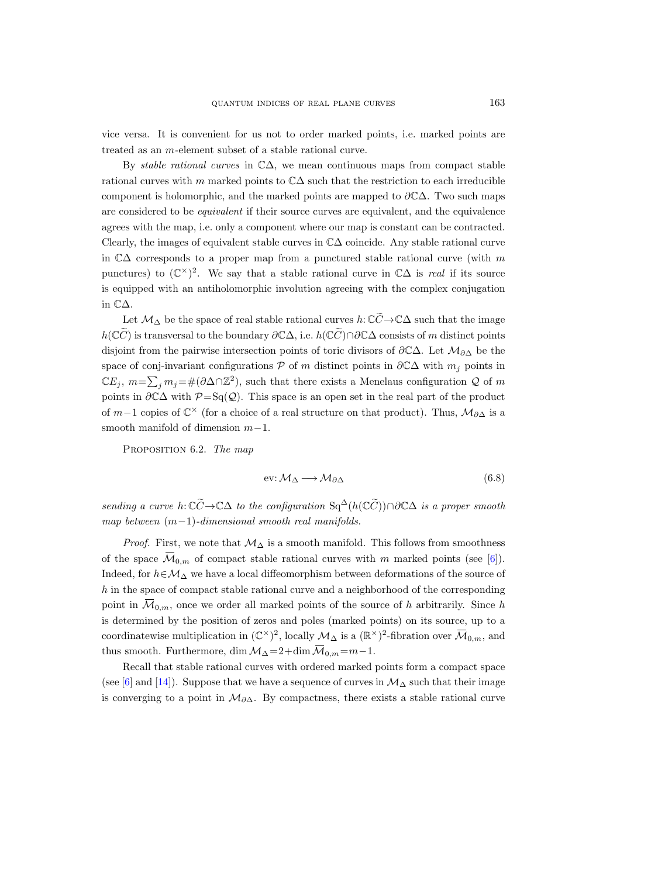vice versa. It is convenient for us not to order marked points, i.e. marked points are treated as an m-element subset of a stable rational curve.

By *stable rational curves* in  $\mathbb{C}\Delta$ , we mean continuous maps from compact stable rational curves with m marked points to  $\mathbb{C}\Delta$  such that the restriction to each irreducible component is holomorphic, and the marked points are mapped to  $\partial \mathbb{C}\Delta$ . Two such maps are considered to be equivalent if their source curves are equivalent, and the equivalence agrees with the map, i.e. only a component where our map is constant can be contracted. Clearly, the images of equivalent stable curves in C∆ coincide. Any stable rational curve in  $\mathbb{C}\Delta$  corresponds to a proper map from a punctured stable rational curve (with m punctures) to  $(\mathbb{C}^{\times})^2$ . We say that a stable rational curve in  $\mathbb{C}\Delta$  is *real* if its source is equipped with an antiholomorphic involution agreeing with the complex conjugation in C∆.

Let  $\mathcal{M}_\Delta$  be the space of real stable rational curves  $h: \mathbb{C}\widetilde{C} \to \mathbb{C}\Delta$  such that the image  $h(\mathbb{C}\tilde{C})$  is transversal to the boundary  $\partial \mathbb{C}\Delta$ , i.e.  $h(\mathbb{C}\tilde{C})\cap \partial \mathbb{C}\Delta$  consists of m distinct points disjoint from the pairwise intersection points of toric divisors of  $\partial \mathbb{C}\Delta$ . Let  $\mathcal{M}_{\partial \Delta}$  be the space of conj-invariant configurations  $P$  of m distinct points in  $\partial C\Delta$  with  $m_j$  points in  $\mathbb{C}E_j$ ,  $m=\sum_j m_j = \#(\partial \Delta \cap \mathbb{Z}^2)$ , such that there exists a Menelaus configuration Q of m points in  $\partial \mathbb{C}\Delta$  with  $\mathcal{P}=\mathrm{Sq}(\mathcal{Q})$ . This space is an open set in the real part of the product of  $m-1$  copies of  $\mathbb{C}^\times$  (for a choice of a real structure on that product). Thus,  $\mathcal{M}_{\partial\Delta}$  is a smooth manifold of dimension m−1. points in  $\partial \mathbb{C}\Delta$  with  $\mathcal{P}=\text{Sq}(\mathcal{Q})$ . This space is an open set in the real part of the product<br>of  $m-1$  copies of  $\mathbb{C}^{\times}$  (for a choice of a real structure on that product). Thus,  $\mathcal{M}_{\partial \Delta}$  is a<br>smooth

PROPOSITION 6.2. The map

<span id="page-28-1"></span>
$$
ev: \mathcal{M}_{\Delta} \longrightarrow \mathcal{M}_{\partial \Delta} \tag{6.8}
$$

sending a curve h:  $\mathbb{C}\widetilde{C} \to \mathbb{C}\Delta$  to the configuration Sq<sup>∆</sup>(h( $\mathbb{C}\widetilde{C}$ ))∩∂ $\mathbb{C}\Delta$  is a proper smooth map between  $(m-1)$ -dimensional smooth real manifolds.

<span id="page-28-0"></span>*Proof.* First, we note that  $M_{\Delta}$  is a smooth manifold. This follows from smoothness Indeed, for  $h \in \mathcal{M}_{\Delta}$  we have a local diffeomorphism between deformations of the source of h in the space of compact stable rational curve and a neighborhood of the corresponding PROPOSITION 6.2. The map<br>  $ev: \mathcal{M}_{\Delta} \longrightarrow \mathcal{M}_{\partial \Delta}$  (6.8)<br>
sending a curve  $h: \mathbb{C}\tilde{C} \to \mathbb{C}\Delta$  to the configuration  $Sq^{\Delta}(h(\mathbb{C}\tilde{C})) \cap \partial \mathbb{C}\Delta$  is a proper smooth<br>
map between  $(m-1)$ -dimensional smooth real manif is determined by the position of zeros and poles (marked points) on its source, up to a coordinatewise multiplication in  $(\mathbb{C}^{\times})^2$ , locally  $\mathcal{M}_{\Delta}$  is a  $(\mathbb{R}^{\times})^2$ (6.8)<br>  $\cap \partial \mathbb{C}\Delta$  *is a proper smooth*<br>
s follows from smoothness<br> *i* marked points (see [6]).<br>
formations of the source of<br>
hood of the corresponding<br>
e of *h* arbitrarily. Since *h*<br>
ats) on its source, up to a<br>
fib *sending a curve h*:  $\mathbb{C}\tilde{C} \rightarrow \mathbb{C}\Delta$  *to the configuration* Sq<sup>∆</sup>(*h*( $\mathbb{C}\tilde{C}$ *map between* (*m*−1)-*dimensional smooth real manifolds.*<br>*Proof.* First, we note that  $\mathcal{M}_{\Delta}$  is a smooth manifold. Tof the

Recall that stable rational curves with ordered marked points form a compact space (see [\[6\]](#page-44-17) and [\[14\]](#page-44-18)). Suppose that we have a sequence of curves in  $\mathcal{M}_{\Delta}$  such that their image is converging to a point in  $\mathcal{M}_{\partial\Delta}$ . By compactness, there exists a stable rational curve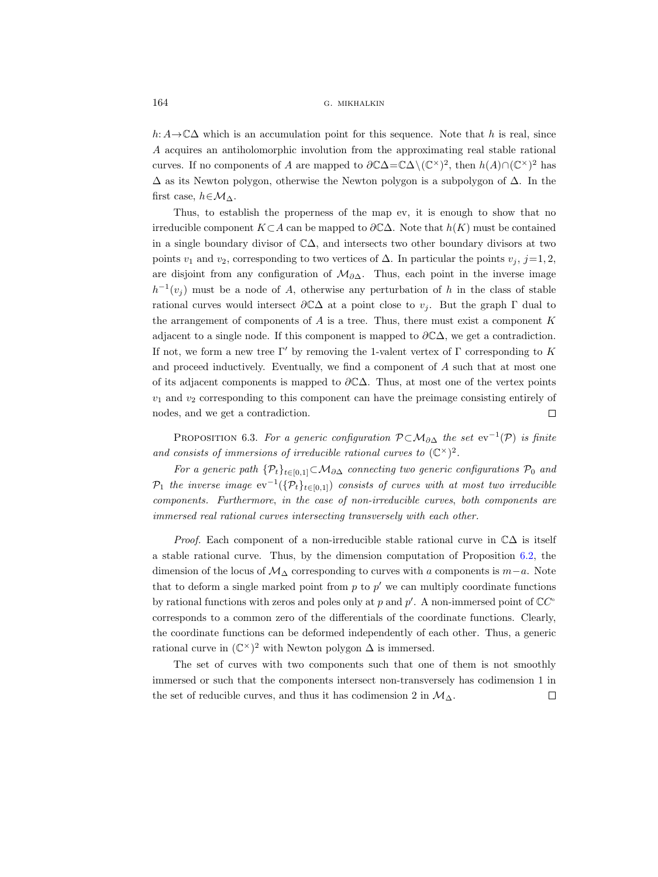h: A  $\rightarrow$  C $\Delta$  which is an accumulation point for this sequence. Note that h is real, since A acquires an antiholomorphic involution from the approximating real stable rational curves. If no components of A are mapped to  $\partial \mathbb{C}\Delta = \mathbb{C}\Delta \setminus (\mathbb{C}^{\times})^2$ , then  $h(A) \cap (\mathbb{C}^{\times})^2$  has  $\Delta$  as its Newton polygon, otherwise the Newton polygon is a subpolygon of  $\Delta$ . In the first case,  $h \in \mathcal{M}_{\Delta}$ .

Thus, to establish the properness of the map ev, it is enough to show that no irreducible component  $K\subset A$  can be mapped to  $\partial\mathbb{C}\Delta$ . Note that  $h(K)$  must be contained in a single boundary divisor of C∆, and intersects two other boundary divisors at two points  $v_1$  and  $v_2$ , corresponding to two vertices of  $\Delta$ . In particular the points  $v_j$ , j=1, 2, are disjoint from any configuration of  $\mathcal{M}_{\partial\Delta}$ . Thus, each point in the inverse image  $h^{-1}(v_j)$  must be a node of A, otherwise any perturbation of h in the class of stable rational curves would intersect  $\partial\mathbb{C}\Delta$  at a point close to  $v_i$ . But the graph Γ dual to the arrangement of components of  $A$  is a tree. Thus, there must exist a component  $K$ adjacent to a single node. If this component is mapped to  $\partial \mathbb{C}\Delta$ , we get a contradiction. If not, we form a new tree Γ' by removing the 1-valent vertex of Γ corresponding to K and proceed inductively. Eventually, we find a component of A such that at most one of its adjacent components is mapped to  $\partial\mathbb{C}\Delta$ . Thus, at most one of the vertex points  $v_1$  and  $v_2$  corresponding to this component can have the preimage consisting entirely of nodes, and we get a contradiction.  $\Box$ 

<span id="page-29-0"></span>PROPOSITION 6.3. For a generic configuration  $\mathcal{P} \subset \mathcal{M}_{\partial \Delta}$  the set  $ev^{-1}(\mathcal{P})$  is finite and consists of immersions of irreducible rational curves to  $(\mathbb{C}^{\times})^2$ .

For a generic path  $\{\mathcal{P}_t\}_{t\in[0,1]}$  $\subset \mathcal{M}_{\partial\Delta}$  connecting two generic configurations  $\mathcal{P}_0$  and  $\mathcal{P}_1$  the inverse image  $ev^{-1}(\{\mathcal{P}_t\}_{t\in [0,1]})$  consists of curves with at most two irreducible components. Furthermore, in the case of non-irreducible curves, both components are immersed real rational curves intersecting transversely with each other.

*Proof.* Each component of a non-irreducible stable rational curve in  $\mathbb{C}\Delta$  is itself a stable rational curve. Thus, by the dimension computation of Proposition [6.2,](#page-28-0) the dimension of the locus of  $M_{\Delta}$  corresponding to curves with a components is  $m-a$ . Note that to deform a single marked point from  $p$  to  $p'$  we can multiply coordinate functions by rational functions with zeros and poles only at p and p'. A non-immersed point of  $\mathbb{C}C^{\circ}$ corresponds to a common zero of the differentials of the coordinate functions. Clearly, the coordinate functions can be deformed independently of each other. Thus, a generic rational curve in  $(\mathbb{C}^{\times})^2$  with Newton polygon  $\Delta$  is immersed.

The set of curves with two components such that one of them is not smoothly immersed or such that the components intersect non-transversely has codimension 1 in the set of reducible curves, and thus it has codimension 2 in  $\mathcal{M}_{\Delta}$ .  $\Box$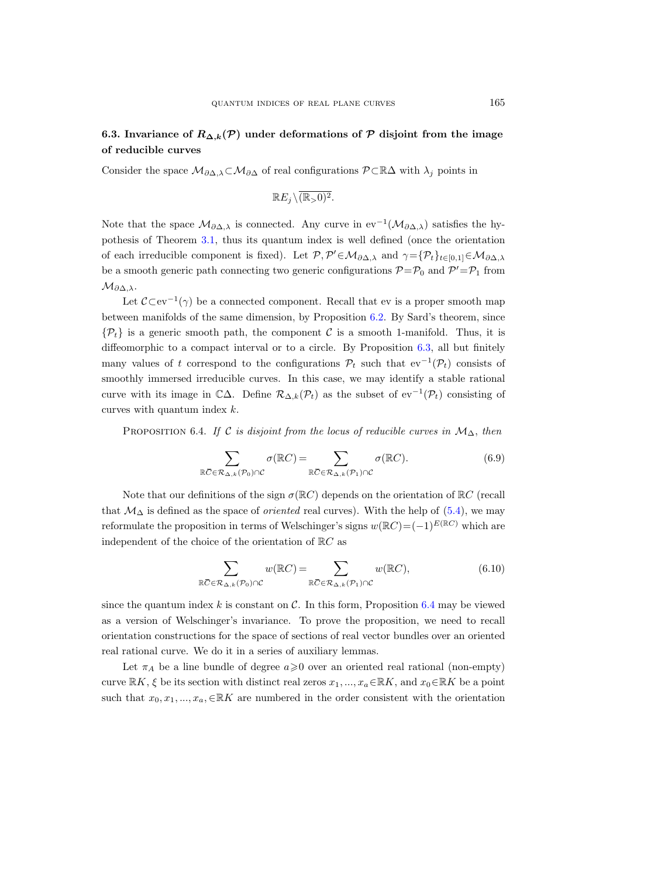## 6.3. Invariance of  $R_{\Delta,k}(\mathcal{P})$  under deformations of  $\mathcal P$  disjoint from the image of reducible curves

Consider the space  $\mathcal{M}_{\partial \Delta,\lambda} \subset \mathcal{M}_{\partial \Delta}$  of real configurations  $\mathcal{P} \subset \mathbb{R}\Delta$  with  $\lambda_j$  points in

$$
\mathbb{R}E_j\backslash \overline{(\mathbb{R}_{>}0)^2}.
$$

Note that the space  $\mathcal{M}_{\partial\Delta,\lambda}$  is connected. Any curve in ev<sup>-1</sup>( $\mathcal{M}_{\partial\Delta,\lambda}$ ) satisfies the hypothesis of Theorem [3.1,](#page-8-0) thus its quantum index is well defined (once the orientation of each irreducible component is fixed). Let  $\mathcal{P}, \mathcal{P}' \in \mathcal{M}_{\partial \Delta,\lambda}$  and  $\gamma = {\mathcal{P}_t}_{t \in [0,1]} \in \mathcal{M}_{\partial \Delta,\lambda}$ be a smooth generic path connecting two generic configurations  $P = P_0$  and  $P' = P_1$  from  $\mathcal{M}_{\partial \Delta, \lambda}$ .

Let  $\mathcal{C}\subset ev^{-1}(\gamma)$  be a connected component. Recall that ev is a proper smooth map between manifolds of the same dimension, by Proposition [6.2.](#page-28-0) By Sard's theorem, since  $\{\mathcal{P}_t\}$  is a generic smooth path, the component C is a smooth 1-manifold. Thus, it is diffeomorphic to a compact interval or to a circle. By Proposition [6.3,](#page-29-0) all but finitely many values of t correspond to the configurations  $\mathcal{P}_t$  such that  $ev^{-1}(\mathcal{P}_t)$  consists of smoothly immersed irreducible curves. In this case, we may identify a stable rational curve with its image in  $\mathbb{C}\Delta$ . Define  $\mathcal{R}_{\Delta,k}(\mathcal{P}_t)$  as the subset of  $ev^{-1}(\mathcal{P}_t)$  consisting of curves with quantum index  $k$ .

<span id="page-30-0"></span>PROPOSITION 6.4. If C is disjoint from the locus of reducible curves in  $\mathcal{M}_{\Delta}$ , then

<span id="page-30-1"></span>
$$
\sum_{\mathbb{R}\bar{C}\in\mathcal{R}_{\Delta,k}(\mathcal{P}_0)\cap\mathcal{C}}\sigma(\mathbb{R}C)=\sum_{\mathbb{R}\bar{C}\in\mathcal{R}_{\Delta,k}(\mathcal{P}_1)\cap\mathcal{C}}\sigma(\mathbb{R}C).
$$
\n(6.9)

Note that our definitions of the sign  $\sigma(\mathbb{R}C)$  depends on the orientation of  $\mathbb{R}C$  (recall that  $\mathcal{M}_{\Delta}$  is defined as the space of *oriented* real curves). With the help of [\(5.4\)](#page-21-2), we may reformulate the proposition in terms of Welschinger's signs  $w(\mathbb{R}C) = (-1)^{E(\mathbb{R}C)}$  which are independent of the choice of the orientation of RC as

$$
\sum_{\mathbb{R}\overline{C}\in\mathcal{R}_{\Delta,k}(\mathcal{P}_0)\cap\mathcal{C}}w(\mathbb{R}C)=\sum_{\mathbb{R}\overline{C}\in\mathcal{R}_{\Delta,k}(\mathcal{P}_1)\cap\mathcal{C}}w(\mathbb{R}C),\tag{6.10}
$$

since the quantum index k is constant on  $\mathcal C$ . In this form, Proposition [6.4](#page-30-0) may be viewed as a version of Welschinger's invariance. To prove the proposition, we need to recall orientation constructions for the space of sections of real vector bundles over an oriented real rational curve. We do it in a series of auxiliary lemmas.

Let  $\pi_A$  be a line bundle of degree  $a \geqslant 0$  over an oriented real rational (non-empty) curve  $\mathbb{R}K$ ,  $\xi$  be its section with distinct real zeros  $x_1, ..., x_a \in \mathbb{R}K$ , and  $x_0 \in \mathbb{R}K$  be a point such that  $x_0, x_1, ..., x_a, \in \mathbb{R}K$  are numbered in the order consistent with the orientation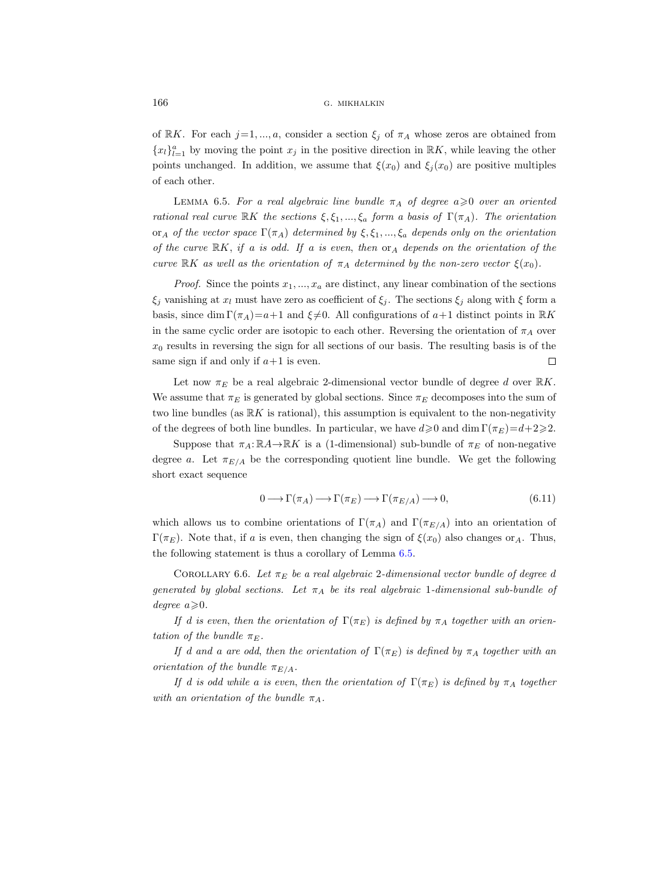of RK. For each  $j=1, ..., a$ , consider a section  $\xi_j$  of  $\pi_A$  whose zeros are obtained from  ${x_l}_{l=1}^a$  by moving the point  $x_j$  in the positive direction in  $\mathbb{R}K$ , while leaving the other points unchanged. In addition, we assume that  $\xi(x_0)$  and  $\xi_i(x_0)$  are positive multiples of each other.

<span id="page-31-0"></span>LEMMA 6.5. For a real algebraic line bundle  $\pi_A$  of degree  $a \geq 0$  over an oriented rational real curve RK the sections  $\xi, \xi_1, ..., \xi_a$  form a basis of  $\Gamma(\pi_A)$ . The orientation or<sub>A</sub> of the vector space  $\Gamma(\pi_A)$  determined by  $\xi, \xi_1, ..., \xi_a$  depends only on the orientation of the curve  $\mathbb{R}K$ , if a is odd. If a is even, then  $\text{or}_A$  depends on the orientation of the curve RK as well as the orientation of  $\pi_A$  determined by the non-zero vector  $\xi(x_0)$ .

*Proof.* Since the points  $x_1, ..., x_a$  are distinct, any linear combination of the sections  $\xi_i$  vanishing at  $x_l$  must have zero as coefficient of  $\xi_i$ . The sections  $\xi_i$  along with  $\xi$  form a basis, since dim  $\Gamma(\pi_A)=a+1$  and  $\xi\neq 0$ . All configurations of  $a+1$  distinct points in RK in the same cyclic order are isotopic to each other. Reversing the orientation of  $\pi_A$  over  $x_0$  results in reversing the sign for all sections of our basis. The resulting basis is of the same sign if and only if  $a+1$  is even.  $\Box$ 

Let now  $\pi_E$  be a real algebraic 2-dimensional vector bundle of degree d over  $\mathbb{R}K$ . We assume that  $\pi_E$  is generated by global sections. Since  $\pi_E$  decomposes into the sum of two line bundles (as  $\mathbb{R}K$  is rational), this assumption is equivalent to the non-negativity of the degrees of both line bundles. In particular, we have  $d \ge 0$  and dim  $\Gamma(\pi_E)=d+2\ge 2$ .

Suppose that  $\pi_A: \mathbb{R}A \to \mathbb{R}K$  is a (1-dimensional) sub-bundle of  $\pi_E$  of non-negative degree a. Let  $\pi_{E/A}$  be the corresponding quotient line bundle. We get the following short exact sequence

$$
0 \longrightarrow \Gamma(\pi_A) \longrightarrow \Gamma(\pi_E) \longrightarrow \Gamma(\pi_{E/A}) \longrightarrow 0,
$$
\n(6.11)

which allows us to combine orientations of  $\Gamma(\pi_A)$  and  $\Gamma(\pi_{E/A})$  into an orientation of Γ(πE). Note that, if a is even, then changing the sign of  $\xi(x_0)$  also changes or<sub>A</sub>. Thus, the following statement is thus a corollary of Lemma [6.5.](#page-31-0)

<span id="page-31-1"></span>COROLLARY 6.6. Let  $\pi_E$  be a real algebraic 2-dimensional vector bundle of degree d generated by global sections. Let  $\pi_A$  be its real algebraic 1-dimensional sub-bundle of degree  $a \geqslant 0$ .

If d is even, then the orientation of  $\Gamma(\pi_E)$  is defined by  $\pi_A$  together with an orientation of the bundle  $\pi_F$ .

If d and a are odd, then the orientation of  $\Gamma(\pi_E)$  is defined by  $\pi_A$  together with an orientation of the bundle  $\pi_{E/A}$ .

If d is odd while a is even, then the orientation of  $\Gamma(\pi_E)$  is defined by  $\pi_A$  together with an orientation of the bundle  $\pi_A$ .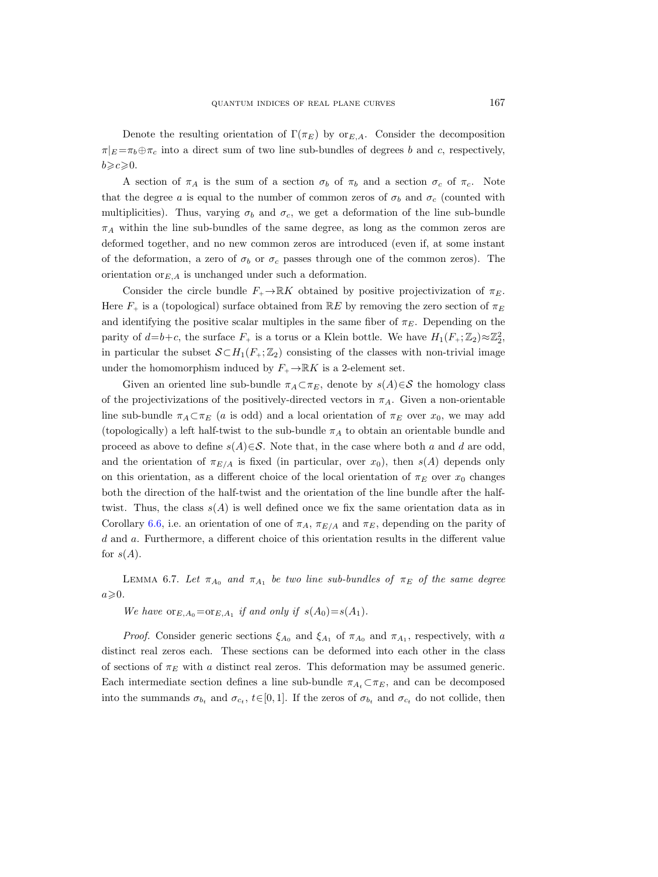Denote the resulting orientation of  $\Gamma(\pi_E)$  by or<sub>E.A</sub>. Consider the decomposition  $\pi|_E = \pi_b \oplus \pi_c$  into a direct sum of two line sub-bundles of degrees b and c, respectively,  $b \geqslant c \geqslant 0$ .

A section of  $\pi_A$  is the sum of a section  $\sigma_b$  of  $\pi_b$  and a section  $\sigma_c$  of  $\pi_c$ . Note that the degree a is equal to the number of common zeros of  $\sigma_b$  and  $\sigma_c$  (counted with multiplicities). Thus, varying  $\sigma_b$  and  $\sigma_c$ , we get a deformation of the line sub-bundle  $\pi_A$  within the line sub-bundles of the same degree, as long as the common zeros are deformed together, and no new common zeros are introduced (even if, at some instant of the deformation, a zero of  $\sigma_b$  or  $\sigma_c$  passes through one of the common zeros). The orientation or $E, A$  is unchanged under such a deformation.

Consider the circle bundle  $F_+ \to \mathbb{R}K$  obtained by positive projectivization of  $\pi_E$ . Here  $F_{+}$  is a (topological) surface obtained from  $\mathbb{R}E$  by removing the zero section of  $\pi_{E}$ and identifying the positive scalar multiples in the same fiber of  $\pi_E$ . Depending on the parity of  $d=b+c$ , the surface  $F_+$  is a torus or a Klein bottle. We have  $H_1(F_+;\mathbb{Z}_2)\approx \mathbb{Z}_2^2$ , in particular the subset  $\mathcal{S} \subset H_1(F_+; \mathbb{Z}_2)$  consisting of the classes with non-trivial image under the homomorphism induced by  $F_+ \to \mathbb{R}K$  is a 2-element set.

Given an oriented line sub-bundle  $\pi_A \subset \pi_E$ , denote by  $s(A) \in \mathcal{S}$  the homology class of the projectivizations of the positively-directed vectors in  $\pi_A$ . Given a non-orientable line sub-bundle  $\pi_A \subset \pi_E$  (a is odd) and a local orientation of  $\pi_E$  over  $x_0$ , we may add (topologically) a left half-twist to the sub-bundle  $\pi_A$  to obtain an orientable bundle and proceed as above to define  $s(A) \in S$ . Note that, in the case where both a and d are odd, and the orientation of  $\pi_{E/A}$  is fixed (in particular, over  $x_0$ ), then  $s(A)$  depends only on this orientation, as a different choice of the local orientation of  $\pi_E$  over  $x_0$  changes both the direction of the half-twist and the orientation of the line bundle after the halftwist. Thus, the class  $s(A)$  is well defined once we fix the same orientation data as in Corollary [6.6,](#page-31-1) i.e. an orientation of one of  $\pi_A$ ,  $\pi_{E/A}$  and  $\pi_E$ , depending on the parity of d and a. Furthermore, a different choice of this orientation results in the different value for  $s(A)$ .

<span id="page-32-0"></span>LEMMA 6.7. Let  $\pi_{A_0}$  and  $\pi_{A_1}$  be two line sub-bundles of  $\pi_E$  of the same degree  $a\geqslant 0.$ 

We have  $\text{or}_{E,A_0}=\text{or}_{E,A_1}$  if and only if  $s(A_0)=s(A_1)$ .

*Proof.* Consider generic sections  $\xi_{A_0}$  and  $\xi_{A_1}$  of  $\pi_{A_0}$  and  $\pi_{A_1}$ , respectively, with a distinct real zeros each. These sections can be deformed into each other in the class of sections of  $\pi_E$  with a distinct real zeros. This deformation may be assumed generic. Each intermediate section defines a line sub-bundle  $\pi_{A_t} \subset \pi_E$ , and can be decomposed into the summands  $\sigma_{b_t}$  and  $\sigma_{c_t}$ ,  $t \in [0, 1]$ . If the zeros of  $\sigma_{b_t}$  and  $\sigma_{c_t}$  do not collide, then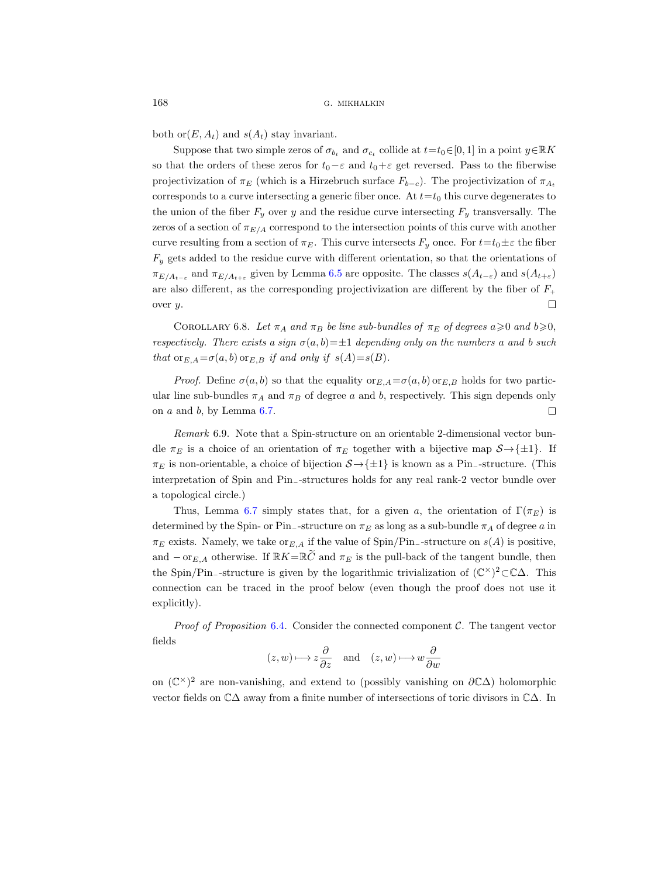both or $(E, A_t)$  and  $s(A_t)$  stay invariant.

Suppose that two simple zeros of  $\sigma_{b_t}$  and  $\sigma_{c_t}$  collide at  $t=t_0 \in [0, 1]$  in a point  $y \in \mathbb{R}K$ so that the orders of these zeros for  $t_0-\varepsilon$  and  $t_0+\varepsilon$  get reversed. Pass to the fiberwise projectivization of  $\pi_E$  (which is a Hirzebruch surface  $F_{b-c}$ ). The projectivization of  $\pi_A$ . corresponds to a curve intersecting a generic fiber once. At  $t=t_0$  this curve degenerates to the union of the fiber  $F_y$  over y and the residue curve intersecting  $F_y$  transversally. The zeros of a section of  $\pi_{E/A}$  correspond to the intersection points of this curve with another curve resulting from a section of  $\pi_E$ . This curve intersects  $F_y$  once. For  $t=t_0\pm\varepsilon$  the fiber  $F_y$  gets added to the residue curve with different orientation, so that the orientations of  $\pi_{E/A_{t-\varepsilon}}$  and  $\pi_{E/A_{t+\varepsilon}}$  given by Lemma [6.5](#page-31-0) are opposite. The classes  $s(A_{t-\varepsilon})$  and  $s(A_{t+\varepsilon})$ are also different, as the corresponding projectivization are different by the fiber of  $F_{+}$  $\Box$ over y.

<span id="page-33-0"></span>COROLLARY 6.8. Let  $\pi_A$  and  $\pi_B$  be line sub-bundles of  $\pi_E$  of degrees  $a \ge 0$  and  $b \ge 0$ , respectively. There exists a sign  $\sigma(a, b) = \pm 1$  depending only on the numbers a and b such that  ${\rm or}_{E,A} = \sigma(a,b)$  or  $E,B$  if and only if  $s(A) = s(B)$ .

*Proof.* Define  $\sigma(a, b)$  so that the equality or  $E_A = \sigma(a, b)$  or  $E_B$  holds for two particular line sub-bundles  $\pi_A$  and  $\pi_B$  of degree a and b, respectively. This sign depends only  $\Box$ on  $a$  and  $b$ , by Lemma [6.7.](#page-32-0)

Remark 6.9. Note that a Spin-structure on an orientable 2-dimensional vector bundle  $\pi_E$  is a choice of an orientation of  $\pi_E$  together with a bijective map  $S \rightarrow \{\pm 1\}$ . If  $\pi_E$  is non-orientable, a choice of bijection  $S \rightarrow \{\pm 1\}$  is known as a Pin<sub>−</sub>-structure. (This interpretation of Spin and Pin−-structures holds for any real rank-2 vector bundle over a topological circle.)

Thus, Lemma [6.7](#page-32-0) simply states that, for a given a, the orientation of  $\Gamma(\pi_E)$  is determined by the Spin- or Pin<sub>−</sub>-structure on  $\pi_E$  as long as a sub-bundle  $\pi_A$  of degree a in  $\pi_E$  exists. Namely, we take or<sub>E,A</sub> if the value of Spin/Pin<sub>-</sub>-structure on s(A) is positive, and  $-\text{or}_{E,A}$  otherwise. If  $\mathbb{R}K=\mathbb{R}\tilde{C}$  and  $\pi_E$  is the pull-back of the tangent bundle, then the Spin/Pin−-structure is given by the logarithmic trivialization of (C ×) <sup>2</sup>⊂C∆. This connection can be traced in the proof below (even though the proof does not use it explicitly).

*Proof of Proposition [6.4](#page-30-0).* Consider the connected component  $C$ . The tangent vector fields

$$
(z, w) \longmapsto z \frac{\partial}{\partial z}
$$
 and  $(z, w) \longmapsto w \frac{\partial}{\partial w}$ 

on  $(\mathbb{C}^{\times})^2$  are non-vanishing, and extend to (possibly vanishing on  $\partial \mathbb{C}\Delta$ ) holomorphic vector fields on C∆ away from a finite number of intersections of toric divisors in C∆. In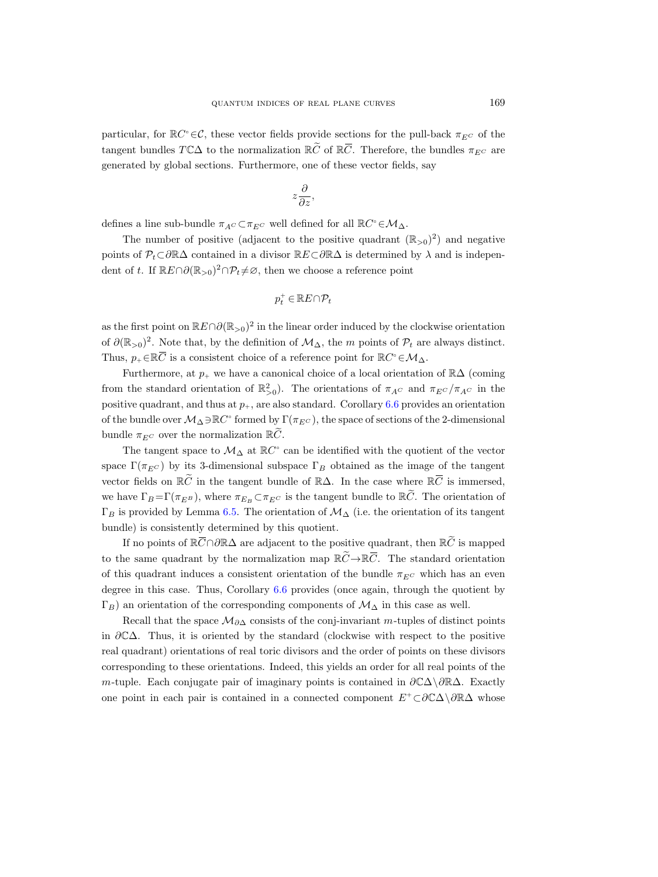particular, for  $\mathbb{R}C^{\circ} \in \mathcal{C}$ , these vector fields provide sections for the pull-back  $\pi_{E^C}$  of the QUANTUM INDICES OF REAL PLAN<br>particular, for  $\mathbb{R}C^\circ \in \mathcal{C}$ , these vector fields provide sect<br>tangent bundles  $T\mathbb{C}\Delta$  to the normalization  $\mathbb{R}\widetilde{C}$  of  $\mathbb{R}\overline{C}$ tangent bundles  $T\mathbb{C}\Delta$  to the normalization  $\mathbb{R}\tilde{C}$  of  $\mathbb{R}\bar{C}$ . Therefore, the bundles  $\pi_{E}c$  are generated by global sections. Furthermore, one of these vector fields, say

$$
z\frac{\partial}{\partial z},
$$

defines a line sub-bundle  $\pi_{A^C} \subset \pi_{E^C}$  well defined for all  $\mathbb{R}C^\circ \in \mathcal{M}_{\Delta}$ .

The number of positive (adjacent to the positive quadrant  $(\mathbb{R}_{>0})^2$ ) and negative points of  $\mathcal{P}_t \subset \partial \mathbb{R} \Delta$  contained in a divisor  $\mathbb{R} E \subset \partial \mathbb{R} \Delta$  is determined by  $\lambda$  and is independent of t. If  $\mathbb{R}E \cap \partial(\mathbb{R}_{>0})^2 \cap \mathcal{P}_t \neq \emptyset$ , then we choose a reference point defines a line s<br>The num<br>points of  $\mathcal{P}_t \subset$ <br>dent of t. If  $\mathbb{R}$ <br>as the first point<br>of  $\partial(\mathbb{R}_{>0})^2$ . N<br>Thus,  $p_{+} \in \mathbb{R}\overline{C}$ 

$$
p_t^+\in \mathbb{R}E\cap \mathcal{P}_t
$$

as the first point on  $\mathbb{R}E \cap \partial(\mathbb{R}_{>0})^2$  in the linear order induced by the clockwise orientation of  $\partial(\mathbb{R}_{>0})^2$ . Note that, by the definition of  $\mathcal{M}_{\Delta}$ , the m points of  $\mathcal{P}_t$  are always distinct. is a consistent choice of a reference point for  $\mathbb{R}C^{\circ} \in \mathcal{M}_{\Delta}$ .

Furthermore, at  $p_+$  we have a canonical choice of a local orientation of  $\mathbb{R}\Delta$  (coming from the standard orientation of  $\mathbb{R}^2_{>0}$ . The orientations of  $\pi_{AC}$  and  $\pi_{EC}/\pi_{AC}$  in the positive quadrant, and thus at  $p_{+}$ , are also standard. Corollary [6.6](#page-31-1) provides an orientation of the bundle over  $\mathcal{M}_{\Delta} \ni \mathbb{R}C^{\circ}$  formed by  $\Gamma(\pi_{E^C})$ , the space of sections of the 2-dimensional bundle  $\pi_{E^C}$  over the normalization  $\mathbb{R}\tilde{C}$ . as the first point on  $\mathbb{R}E \cap \partial (\mathbb{R}_{>0})^2$  in the linear order induced by the clockwi<br>of  $\partial (\mathbb{R}_{>0})^2$ . Note that, by the definition of  $M_{\Delta}$ , the *m* points of  $\mathcal{P}_t$  are al<br>Thus,  $p_+ \in \mathbb{R}\overline{C}$  is a consi

The tangent space to  $\mathcal{M}_{\Delta}$  at  $\mathbb{R}C^{\circ}$  can be identified with the quotient of the vector space  $\Gamma(\pi_{EC})$  by its 3-dimensional subspace  $\Gamma_B$  obtained as the image of the tangent vector fields on  $\mathbb{R}\tilde{C}$  in the tangent bundle of  $\mathbb{R}\Delta$ . In the case where  $\mathbb{R}\bar{C}$  is immersed, we have  $\Gamma_B = \Gamma(\pi_{E^B})$ , where  $\pi_{E_B} \subset \pi_{E^C}$  is the tangent bundle to  $\mathbb{R}\tilde{C}$ . The orientation of  $\Gamma_B$  is provided by Lemma [6.5.](#page-31-0) The orientation of  $\mathcal{M}_\Delta$  (i.e. the orientation of its tangent bundle) is consistently determined by this quotient. Furthermore, at  $p$ .<br>
the standard orie<br>
ive quadrant, and<br>
e bundle over  $M_{\Delta}$ :<br>
lle  $\pi_{E^C}$  over the ne<br>
The tangent space<br>
e  $\Gamma(\pi_{E^C})$  by its 3<br>
or fields on  $\mathbb{R}\tilde{C}$  in<br>
ave  $\Gamma_B = \Gamma(\pi_{E^B})$ , s<br>
s provided b from the standard orientation of  $\mathbb{R}_{>0}^{\infty}$ ). The orientations of positive quadrant, and thus at  $p_+$ , are also standard. Corollar of the bundle over  $M_{\Delta} \supseteq \mathbb{R}C^{\circ}$  formed by  $\Gamma(\pi_{EC})$ , the space of s bundl

If no points of  $\mathbb{R}\bar{C}\cap\partial\mathbb{R}\Delta$  are adjacent to the positive quadrant, then  $\mathbb{R}\tilde{C}$  is mapped to the same quadrant by the normalization map  $\mathbb{R}\widetilde{C}\rightarrow\mathbb{R}\overline{C}$ . The standard orientation of this quadrant induces a consistent orientation of the bundle  $\pi_{EC}$  which has an even degree in this case. Thus, Corollary [6.6](#page-31-1) provides (once again, through the quotient by  $\Gamma_B$ ) an orientation of the corresponding components of  $\mathcal{M}_\Delta$  in this case as well.

Recall that the space  $\mathcal{M}_{\partial\Delta}$  consists of the conj-invariant m-tuples of distinct points in ∂C∆. Thus, it is oriented by the standard (clockwise with respect to the positive real quadrant) orientations of real toric divisors and the order of points on these divisors corresponding to these orientations. Indeed, this yields an order for all real points of the m-tuple. Each conjugate pair of imaginary points is contained in  $\partial\mathbb{C}\Delta\setminus\partial\mathbb{R}\Delta$ . Exactly one point in each pair is contained in a connected component  $E^+ \subset \partial \mathbb{C}\Delta \setminus \partial \mathbb{R}\Delta$  whose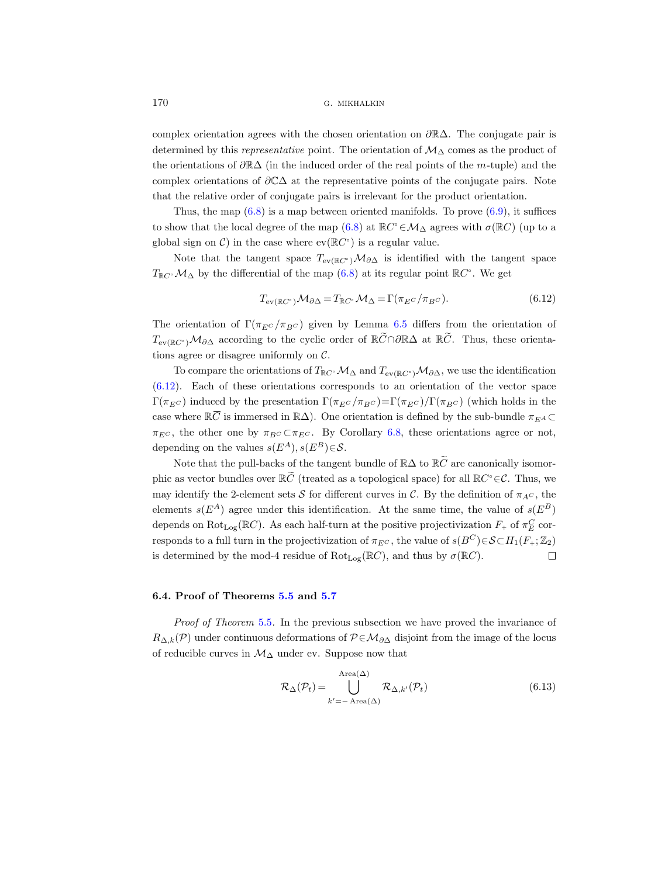complex orientation agrees with the chosen orientation on ∂R∆. The conjugate pair is determined by this representative point. The orientation of  $M_{\Delta}$  comes as the product of the orientations of ∂R∆ (in the induced order of the real points of the m-tuple) and the complex orientations of  $\partial \mathbb{C}\Delta$  at the representative points of the conjugate pairs. Note that the relative order of conjugate pairs is irrelevant for the product orientation.

Thus, the map  $(6.8)$  is a map between oriented manifolds. To prove  $(6.9)$ , it suffices to show that the local degree of the map  $(6.8)$  at  $\mathbb{R}C^{\circ} \in \mathcal{M}_{\Delta}$  agrees with  $\sigma(\mathbb{R}C)$  (up to a global sign on  $\mathcal{C}$ ) in the case where  $ev(\mathbb{R}C^{\circ})$  is a regular value.

Note that the tangent space  $T_{ev(\mathbb{R}C^{\circ})}\mathcal{M}_{\partial\Delta}$  is identified with the tangent space  $T_{\mathbb{R}C}$   $\mathcal{M}_{\Delta}$  by the differential of the map  $(6.8)$  at its regular point  $\mathbb{R}C^{\circ}$ . We get

<span id="page-35-0"></span>
$$
T_{\text{ev}(\mathbb{R}C^{\circ})}\mathcal{M}_{\partial\Delta} = T_{\mathbb{R}C^{\circ}}\mathcal{M}_{\Delta} = \Gamma(\pi_{E^C}/\pi_{B^C}).\tag{6.12}
$$

The orientation of  $\Gamma(\pi_{EC}/\pi_{BC})$  given by Lemma [6.5](#page-31-0) differs from the orientation of  $T_{ev(\mathbb{R}C^{\circ})}\mathcal{M}_{\partial\Delta}$  according to the cyclic order of  $\mathbb{R}\widetilde{C}\cap\partial\mathbb{R}\Delta$  at  $\mathbb{R}\widetilde{C}$ . Thus, these orientations agree or disagree uniformly on  $C$ .

To compare the orientations of  $T_{\mathbb{R}C}$  $\cdot$   $\mathcal{M}_{\Delta}$  and  $T_{ev(\mathbb{R}C^{\circ})}\mathcal{M}_{\partial\Delta}$ , we use the identification [\(6.12\)](#page-35-0). Each of these orientations corresponds to an orientation of the vector space  $\Gamma(\pi_{E^C})$  induced by the presentation  $\Gamma(\pi_{E^C}/\pi_{B^C})=\Gamma(\pi_{E^C})/\Gamma(\pi_{B^C})$  (which holds in the Note that<br>  $T_{\mathbb{R}C^{\circ}}\mathcal{M}_{\Delta}$  by th<br>
The orientation<br>  $T_{ev(\mathbb{R}C^{\circ})}\mathcal{M}_{\partial\Delta}$  is<br>
tions agree or of<br>
To compar<br>  $(6.12)$ . Each of<br>  $\Gamma(\pi_{EC})$  induce<br>
case where  $\mathbb{R}\overline{C}$ case where  $\mathbb{R}\overline{C}$  is immersed in  $\mathbb{R}\Delta$ ). One orientation is defined by the sub-bundle  $\pi_{EA} \subset$  $\pi_{E^C}$ , the other one by  $\pi_{B^C} \subset \pi_{E^C}$ . By Corollary [6.8,](#page-33-0) these orientations agree or not, depending on the values  $s(E^A), s(E^B) \in \mathcal{S}$ .

Note that the pull-backs of the tangent bundle of  $\mathbb{R}\Delta$  to  $\mathbb{R}\widetilde{C}$  are canonically isomorphic as vector bundles over  $\mathbb{R}\tilde{C}$  (treated as a topological space) for all  $\mathbb{R}C^{\circ} \in \mathcal{C}$ . Thus, we may identify the 2-element sets S for different curves in C. By the definition of  $\pi_{AC}$ , the elements  $s(E^A)$  agree under this identification. At the same time, the value of  $s(E^B)$ depends on  $\text{Rot}_{\text{Log}}(\mathbb{R}C)$ . As each half-turn at the positive projectivization  $F_+$  of  $\pi_E^C$  corresponds to a full turn in the projectivization of  $\pi_{E^C}$ , the value of  $s(B^C) \in \mathcal{S} \subset H_1(F_+; \mathbb{Z}_2)$ is determined by the mod-4 residue of  $Rot_{Log}(\mathbb{R}C)$ , and thus by  $\sigma(\mathbb{R}C)$ .  $\Box$ 

## 6.4. Proof of Theorems [5.5](#page-22-0) and [5.7](#page-23-0)

Proof of Theorem [5.5](#page-22-0). In the previous subsection we have proved the invariance of  $R_{\Delta,k}(\mathcal{P})$  under continuous deformations of  $\mathcal{P} \in \mathcal{M}_{\partial \Delta}$  disjoint from the image of the locus of reducible curves in  $\mathcal{M}_{\Delta}$  under ev. Suppose now that

$$
\mathcal{R}_{\Delta}(\mathcal{P}_{t}) = \bigcup_{k'=-\text{Area}(\Delta)}^{\text{Area}(\Delta)} \mathcal{R}_{\Delta,k'}(\mathcal{P}_{t})
$$
\n(6.13)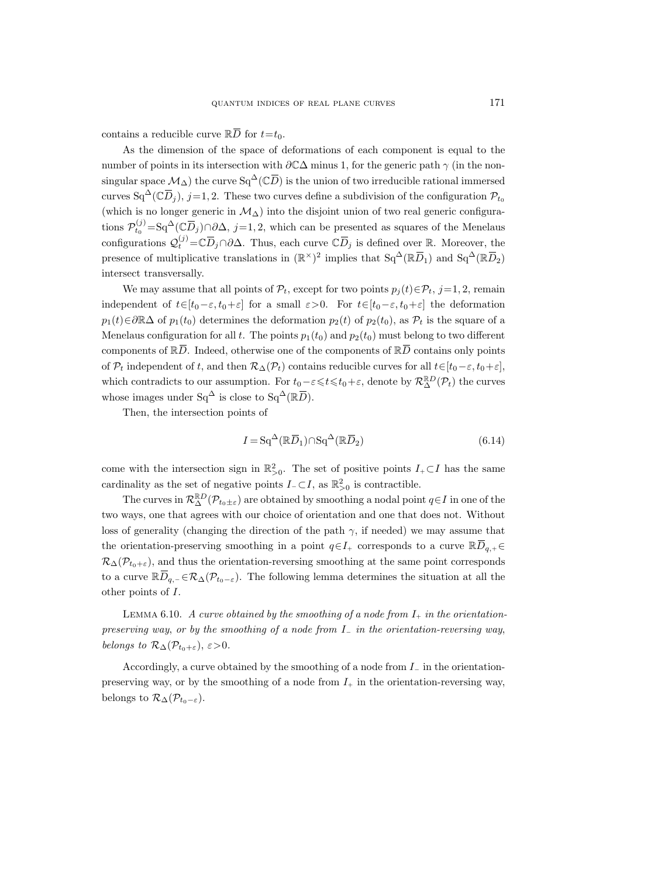$\begin{aligned} \text{QUANT} \\ \text{contains a reducible curve } \mathbb{R}\overline{D} \end{aligned}$ contains a reducible curve  $\mathbb{R}\overline{D}$  for  $t=t_0$ .

As the dimension of the space of deformations of each component is equal to the number of points in its intersection with  $\partial \mathbb{C}\Delta$  minus 1, for the generic path  $\gamma$  (in the non-QUANTUM INDIC<br>contains a reducible curve  $\mathbb{R}\overline{D}$  for  $t=t_0$ <br>As the dimension of the space of<br>number of points in its intersection with<br>singular space  $\mathcal{M}_\Delta$ ) the curve Sq<sup>∆</sup>( $\mathbb{C}\overline{D}$ singular space  $\mathcal{M}_{\Delta}$ ) the curve  $Sq^{\Delta}(\mathbb{C}\overline{D})$  is the union of two irreducible rational immersed contains a reduced As the dimensioned Space  $\Lambda$ <br>singular space  $\Lambda$ <br>curves Sq<sup>∆</sup>(C $\overline{D}$ curves  $Sq^{\Delta}(\mathbb{C}\overline{D}_i)$ , j=1, 2. These two curves define a subdivision of the configuration  $\mathcal{P}_{t_0}$ (which is no longer generic in  $\mathcal{M}_{\Delta}$ ) into the disjoint union of two real generic configurations  $\mathcal{P}_{t_0}^{(j)} = \text{Sq}^{\Delta}(\mathbb{C}\overline{D}_j) \cap \partial \Delta$ , j=1,2, which can be presented as squares of the Menelaus s a reducible<br>the dimensic<br>c of points in i<br>r space  $\mathcal{M}_{\Delta}$ )<br> $Sq^{\Delta}(\mathbb{C}\overline{D}_j)$ , j=<br>is no longer g<br> $\chi_{t_0}^{(j)} = Sq^{\Delta}(\mathbb{C}\overline{D})$ configurations  $\mathcal{Q}_t^{(j)} = \mathbb{C} \overline{D}_j \cap \partial \Delta$ . Thus, each curve  $\mathbb{C} \overline{D}_j$  is defined over R. Moreover, the (ible curves)<br>in its in its in  $(1_{\Delta})$  the contract  $(2\overline{D}_j) \cap \partial$ <br> $(\overline{D}_j) \cap \partial$ <br> $(\overline{D}_j) \subset \partial D$ QUANTUM INDICES OF REAL PLA<br>
re ℝ<del></sub>D</del> for  $t=t_0$ .<br>
f the space of deformations c<br>
tersection with ∂CΔ minus 1,<br>
curve Sq<sup>Δ</sup>(CD) is the union of<br>
2. These two curves define a s<br>
ic in  $M_Δ$ ) into the disjoint u<br>
∂Δ, *j*= presence of multiplicative translations in  $(\mathbb{R}^{\times})^2$  implies that  $Sq^{\Delta}(\mathbb{R}\overline{D}_1)$  and  $Sq^{\Delta}(\mathbb{R}\overline{D}_2)$ L PLANE CURVES<br>
implies that Compone<br>
implies that Sq∆(RD) is a subdivision of the<br>
e a subdivision of the<br>
e presented as square<br>
e  $\mathbb{C}\overline{D}_j$  is defined over<br>
implies that Sq<sup>∆</sup>(R $\overline{D}$ 1) and is equal to the notational immerse<br>
1) and Sq∆(RD) and Sq∆(RD) and Sq<sup>∆</sup>(RD) and Sq<sup>∆</sup>(RD) and Sq<sup>∆</sup>(RD) and Sq<sup>∆</sup>(RD) and Sq<sup>∆</sup>(RD) and Sq<sup>∆</sup>(RD) and Sq<sup>∆</sup>(RD) and Sq<sup>∆</sup>(RD) and Sq<sup>∆</sup>(RD) and Sq<sup>∆</sup>(RD) and Sq<sup>∆</sup>(R intersect transversally. singular space  $M_{\Delta}$ <br>curves  $Sq^{\Delta}(\mathbb{C}\overline{D}_j)$ ,<br>(which is no longer<br>tions  $\mathcal{P}_{t_0}^{(j)} = Sq^{\Delta}(\mathbb{C}$ <br>configurations  $\mathcal{Q}_t^{(j)}$ <br>presence of multip<br>intersect transverss<br>We may assum<br>independent of  $t \in$ <br> $p_1(t) \in \partial \$ f = 1, 2. These two curves define a subdivision of two irreduction  $j=1,2$ . These two curves define a subdivision of two regeneric in  $M_Δ$ ) into the disjoint union of two region  $\overline{D}_j$ )  $\cap \partial Δ$ ,  $j=1,2$ , which can b

We may assume that all points of  $\mathcal{P}_t$ , except for two points  $p_i(t) \in \mathcal{P}_t$ , j=1, 2, remain independent of  $t\in[t_0-\varepsilon,t_0+\varepsilon]$  for a small  $\varepsilon>0$ . For  $t\in[t_0-\varepsilon,t_0+\varepsilon]$  the deformation  $p_1(t) \in \partial \mathbb{R}\Delta$  of  $p_1(t_0)$  determines the deformation  $p_2(t)$  of  $p_2(t_0)$ , as  $\mathcal{P}_t$  is the square of a Menelaus configuration for all t. The points  $p_1(t_0)$  and  $p_2(t_0)$  must belong to two different components of  $\mathbb{R}\overline{D}$ . Indeed, otherwise one of the components of  $\mathbb{R}\overline{D}$  contains only points of  $\mathcal{P}_t$  independent of t, and then  $\mathcal{R}_{\Delta}(\mathcal{P}_t)$  contains reducible curves for all  $t \in [t_0-\varepsilon, t_0+\varepsilon]$ , which contradicts to our assumption. For  $t_0 - \varepsilon \leq t \leq t_0 + \varepsilon$ , denote by  $\mathcal{R}_{\Delta}^{\mathbb{R}D}(\mathcal{P}_t)$  the curves tions  $P_{t_0}^* =$  5q ( $\cup D_j$ )  $\cup \Delta$ ,  $j = 1, 2$ , which cannifigurations  $Q_t^{(j)} = \mathbb{C} \overline{D}_j \cap \partial \Delta$ . Thus, each c presence of multiplicative translations in (ℝ intersect transversally.<br>We may assume that all points of whose images under Sq<sup> $\Delta$ </sup> is close to Sq<sup> $\Delta$ </sup>( $\mathbb{R}\bar{D}$ ). bints of  $\mathcal{P}_t$ , e:<br>
I for a small<br>
ss the deform<br>
The points<br>
nerwise one condensation. For  $t_0$ <br>
ption. For  $t_0$ <br>
se to Sq<sup> $\Delta$ </sup>(Ref)<br>
nts of<br>  $I = \text{Sq}^{\Delta}(\mathbb{R}\overline{D})$ xcept for two<br>  $1 \varepsilon > 0$ . For<br>
nation  $p_2(t)$ <br>  $p_1(t_0)$  and  $p$ <br>
of the compo<br>
mtains reduci<br>  $p-\varepsilon \le t \le t_0 + \overline{D}$ <br>  $\overline{D}$ <br>  $\overline{D}$ 

Then, the intersection points of

$$
I = \mathrm{Sq}^{\Delta}(\mathbb{R}\overline{D}_1) \cap \mathrm{Sq}^{\Delta}(\mathbb{R}\overline{D}_2)
$$
\n(6.14)

come with the intersection sign in  $\mathbb{R}^2_{>0}$ . The set of positive points  $I_+ \subset I$  has the same cardinality as the set of negative points  $I \subset I$ , as  $\mathbb{R}^2_{>0}$  is contractible.

The curves in  $\mathcal{R}_{\Delta}^{\mathbb{R}D}(\mathcal{P}_{t_0\pm \varepsilon})$  are obtained by smoothing a nodal point  $q\in I$  in one of the two ways, one that agrees with our choice of orientation and one that does not. Without loss of generality (changing the direction of the path  $\gamma$ , if needed) we may assume that which contradicts to our assumption. For  $t_0 - \varepsilon \le t \le t_0 + \varepsilon$ , denote by  $\mathcal{R}^{\mathbb{R}D}_{\Delta}(\mathcal{P}_t)$  the cu<br>whose images under  $Sq^{\Delta}$  is close to  $Sq^{\Delta}(\mathbb{R}\overline{D})$ .<br>Then, the intersection points of<br> $I = Sq^{\Delta}(\mathbb{R}\overline$ the orientation-preserving smoothing in a point  $q \in I_+$  corresponds to a curve  $\mathbb{R} \overline{D}_{q,+} \in$  $\mathcal{R}_{\Delta}(\mathcal{P}_{t_0+\varepsilon})$ , and thus the orientation-reversing smoothing at the same point corresponds Then, the<br>cardinality as <br>The curve<br>two ways, one<br>loss of generali<br>the orientatior<br> $\mathcal{R}_{\Delta}(\mathcal{P}_{t_0+\varepsilon})$ , an<br>to a curve  $\mathbb{R}\overline{D}$ to a curve  $\mathbb{R}\overline{D}_{q,-} \in \mathcal{R}_{\Delta}(\mathcal{P}_{t_0-\varepsilon})$ . The following lemma determines the situation at all the other points of I.

<span id="page-36-0"></span>LEMMA 6.10. A curve obtained by the smoothing of a node from  $I_+$  in the orientationpreserving way, or by the smoothing of a node from  $I_-\$  in the orientation-reversing way, belongs to  $\mathcal{R}_{\Delta}(\mathcal{P}_{t_0+\varepsilon}), \varepsilon > 0$ .

Accordingly, a curve obtained by the smoothing of a node from I<sup>−</sup> in the orientationpreserving way, or by the smoothing of a node from  $I_+$  in the orientation-reversing way, belongs to  $\mathcal{R}_{\Delta}(\mathcal{P}_{t_0-\varepsilon}).$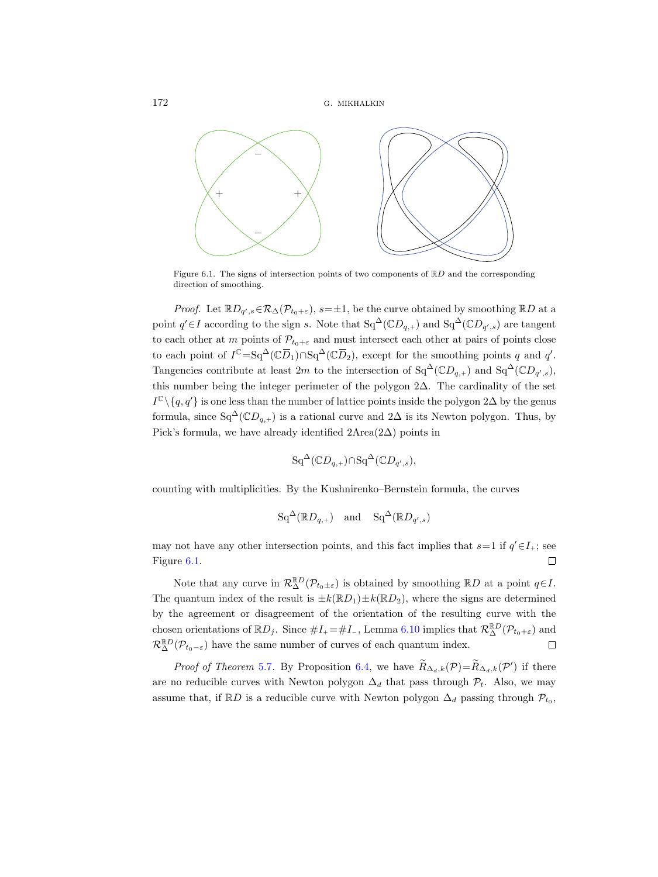

Figure 6.1. The signs of intersection points of two components of  $\mathbb{R}D$  and the corresponding direction of smoothing.

*Proof.* Let  $\mathbb{R}D_{q',s} \in \mathcal{R}_{\Delta}(\mathcal{P}_{t_0+\varepsilon}), s=\pm 1$ , be the curve obtained by smoothing  $\mathbb{R}D$  at a point  $q' \in I$  according to the sign s. Note that  $Sq^{\Delta}(\mathbb{C}D_{q,+})$  and  $Sq^{\Delta}(\mathbb{C}D_{q',s})$  are tangent to each other at m points of  $\mathcal{P}_{t_0+\varepsilon}$  and must intersect each other at pairs of points close to each point of  $I^{\mathbb{C}} = \text{Sq}^{\Delta}(\mathbb{C}\overline{D}_1) \cap \text{Sq}^{\Delta}(\mathbb{C}\overline{D}_2)$ , except for the smoothing points q and q'. Tangencies contribute at least 2m to the intersection of  $Sq^{\Delta}(\mathbb{C}D_{q,+})$  and  $Sq^{\Delta}(\mathbb{C}D_{q',s})$ , this number being the integer perimeter of the polygon 2∆. The cardinality of the set  $I^{\mathbb{C}} \setminus \{q, q'\}$  is one less than the number of lattice points inside the polygon 2∆ by the genus formula, since  $Sq^{\Delta}(\mathbb{C}D_{q,+})$  is a rational curve and  $2\Delta$  is its Newton polygon. Thus, by Pick's formula, we have already identified 2Area(2∆) points in

$$
Sq^{\Delta}(\mathbb{C}D_{q,+}) \cap Sq^{\Delta}(\mathbb{C}D_{q',s}),
$$

counting with multiplicities. By the Kushnirenko–Bernstein formula, the curves

$$
\mathrm{Sq}^{\Delta}(\mathbb{R}D_{q,+}) \quad \text{and} \quad \mathrm{Sq}^{\Delta}(\mathbb{R}D_{q',s})
$$

may not have any other intersection points, and this fact implies that  $s=1$  if  $q'\in I_+$ ; see Figure [6.1.](#page-10-0)  $\Box$ 

Note that any curve in  $\mathcal{R}_{\Delta}^{\mathbb{R}D}(\mathcal{P}_{t_0\pm \varepsilon})$  is obtained by smoothing  $\mathbb{R}D$  at a point  $q\in I$ . The quantum index of the result is  $\pm k(\mathbb{R}D_1)\pm k(\mathbb{R}D_2)$ , where the signs are determined by the agreement or disagreement of the orientation of the resulting curve with the chosen orientations of  $\mathbb{R}D_j$ . Since  $\#I_+ = \#I_$ , Lemma [6.10](#page-36-0) implies that  $\mathcal{R}^{\mathbb{R}D}_{\Delta}(\mathcal{P}_{t_0+\varepsilon})$  and  $\mathcal{R}^{\mathbb{R}D}_{\Delta}(\mathcal{P}_{t_0-\varepsilon})$  have the same number of curves of each quantum index.  $\Box$ 

*Proof of Theorem [5.7](#page-23-0).* By Proposition [6.4,](#page-30-0) we have  $\widetilde{R}_{\Delta_d,k}(\mathcal{P}) = \widetilde{R}_{\Delta_d,k}(\mathcal{P}')$  if there are no reducible curves with Newton polygon  $\Delta_d$  that pass through  $\mathcal{P}_t$ . Also, we may assume that, if RD is a reducible curve with Newton polygon  $\Delta_d$  passing through  $\mathcal{P}_{t_0}$ ,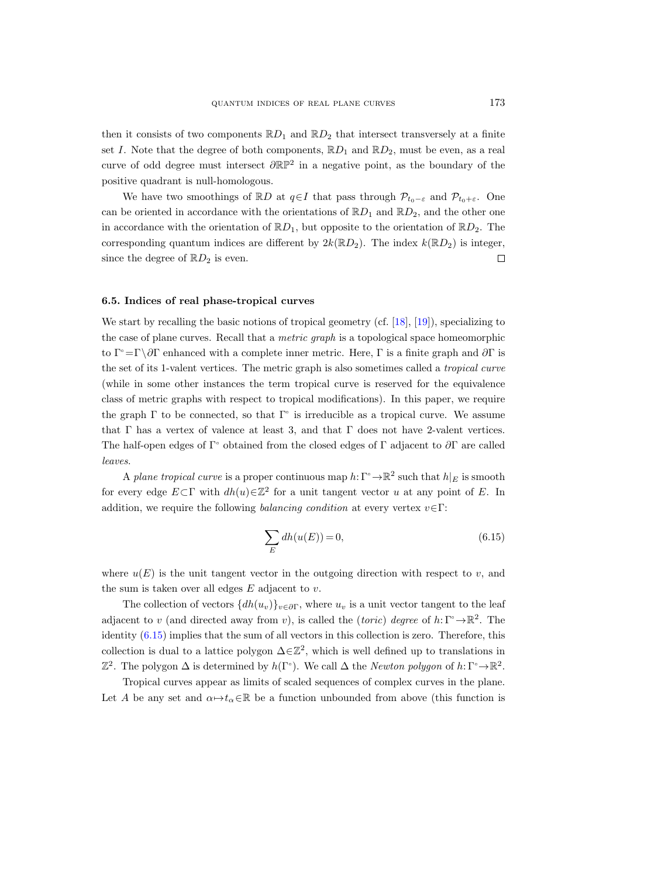then it consists of two components  $\mathbb{R}D_1$  and  $\mathbb{R}D_2$  that intersect transversely at a finite set I. Note that the degree of both components,  $\mathbb{R}D_1$  and  $\mathbb{R}D_2$ , must be even, as a real curve of odd degree must intersect  $\partial \mathbb{RP}^2$  in a negative point, as the boundary of the positive quadrant is null-homologous.

We have two smoothings of RD at  $q \in I$  that pass through  $\mathcal{P}_{t_0-\varepsilon}$  and  $\mathcal{P}_{t_0+\varepsilon}$ . One can be oriented in accordance with the orientations of  $\mathbb{R}D_1$  and  $\mathbb{R}D_2$ , and the other one in accordance with the orientation of  $\mathbb{R}D_1$ , but opposite to the orientation of  $\mathbb{R}D_2$ . The corresponding quantum indices are different by  $2k(\mathbb{R}D_2)$ . The index  $k(\mathbb{R}D_2)$  is integer, since the degree of  $\mathbb{R}D_2$  is even.  $\Box$ 

## 6.5. Indices of real phase-tropical curves

We start by recalling the basic notions of tropical geometry (cf. [\[18\]](#page-44-4), [\[19\]](#page-44-19)), specializing to the case of plane curves. Recall that a metric graph is a topological space homeomorphic to  $\Gamma$  =Γ\ $\partial\Gamma$  enhanced with a complete inner metric. Here,  $\Gamma$  is a finite graph and  $\partial\Gamma$  is the set of its 1-valent vertices. The metric graph is also sometimes called a tropical curve (while in some other instances the term tropical curve is reserved for the equivalence class of metric graphs with respect to tropical modifications). In this paper, we require the graph  $\Gamma$  to be connected, so that  $\Gamma$ <sup>o</sup> is irreducible as a tropical curve. We assume that Γ has a vertex of valence at least 3, and that Γ does not have 2-valent vertices. The half-open edges of Γ° obtained from the closed edges of Γ adjacent to  $\partial \Gamma$  are called leaves.

A plane tropical curve is a proper continuous map  $h: \Gamma^{\circ} \to \mathbb{R}^{2}$  such that  $h|_{E}$  is smooth for every edge  $E \subset \Gamma$  with  $dh(u) \in \mathbb{Z}^2$  for a unit tangent vector u at any point of E. In addition, we require the following balancing condition at every vertex  $v \in \Gamma$ :

<span id="page-38-0"></span>
$$
\sum_{E} dh(u(E)) = 0,\t\t(6.15)
$$

where  $u(E)$  is the unit tangent vector in the outgoing direction with respect to v, and the sum is taken over all edges  $E$  adjacent to  $v$ .

The collection of vectors  $\{dh(u_v)\}_{v\in\partial\Gamma}$ , where  $u_v$  is a unit vector tangent to the leaf adjacent to v (and directed away from v), is called the (toric) degree of  $h: \Gamma \rightarrow \mathbb{R}^2$ . The identity [\(6.15\)](#page-38-0) implies that the sum of all vectors in this collection is zero. Therefore, this collection is dual to a lattice polygon  $\Delta \in \mathbb{Z}^2$ , which is well defined up to translations in  $\mathbb{Z}^2$ . The polygon  $\Delta$  is determined by  $h(\Gamma^{\circ})$ . We call  $\Delta$  the *Newton polygon* of  $h:\Gamma^{\circ}\to\mathbb{R}^2$ .

Tropical curves appear as limits of scaled sequences of complex curves in the plane. Let A be any set and  $\alpha \mapsto t_{\alpha} \in \mathbb{R}$  be a function unbounded from above (this function is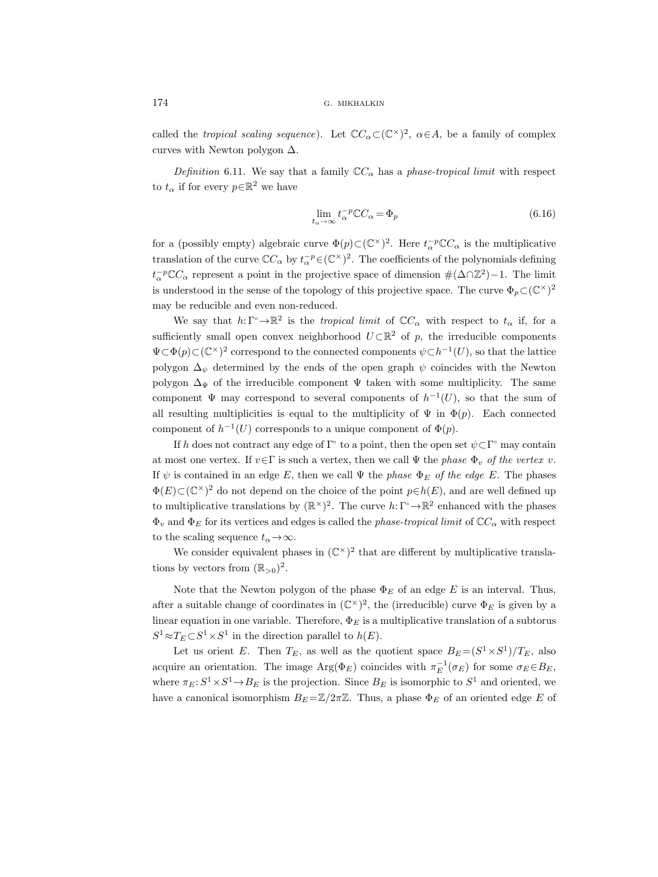called the tropical scaling sequence). Let  $\mathbb{C}C_{\alpha} \subset (\mathbb{C}^{\times})^2$ ,  $\alpha \in A$ , be a family of complex curves with Newton polygon  $\Delta$ .

Definition 6.11. We say that a family  $\mathbb{C}C_{\alpha}$  has a phase-tropical limit with respect to  $t_{\alpha}$  if for every  $p \in \mathbb{R}^2$  we have

$$
\lim_{t_{\alpha} \to \infty} t_{\alpha}^{-p} \mathbb{C}C_{\alpha} = \Phi_p \tag{6.16}
$$

for a (possibly empty) algebraic curve  $\Phi(p) \subset (\mathbb{C}^{\times})^2$ . Here  $t_{\alpha}^{-p} \mathbb{C}C_{\alpha}$  is the multiplicative translation of the curve  $\mathbb{C}C_{\alpha}$  by  $t_{\alpha}^{-p} \in (\mathbb{C}^{\times})^2$ . The coefficients of the polynomials defining  $t_{\alpha}^{-p} \mathbb{C} C_{\alpha}$  represent a point in the projective space of dimension  $\#(\Delta \cap \mathbb{Z}^2) - 1$ . The limit is understood in the sense of the topology of this projective space. The curve  $\Phi_p \subset (\mathbb{C}^{\times})^2$ may be reducible and even non-reduced.

We say that  $h: \Gamma^{\circ} \to \mathbb{R}^2$  is the *tropical limit* of  $\mathbb{C}C_{\alpha}$  with respect to  $t_{\alpha}$  if, for a sufficiently small open convex neighborhood  $U \subset \mathbb{R}^2$  of p, the irreducible components  $\Psi \subset \Phi(p) \subset (\mathbb{C}^{\times})^2$  correspond to the connected components  $\psi \subset h^{-1}(U)$ , so that the lattice polygon  $\Delta_{\psi}$  determined by the ends of the open graph  $\psi$  coincides with the Newton polygon  $\Delta_{\Psi}$  of the irreducible component  $\Psi$  taken with some multiplicity. The same component  $\Psi$  may correspond to several components of  $h^{-1}(U)$ , so that the sum of all resulting multiplicities is equal to the multiplicity of  $\Psi$  in  $\Phi(p)$ . Each connected component of  $h^{-1}(U)$  corresponds to a unique component of  $\Phi(p)$ .

If h does not contract any edge of  $\Gamma$ <sup>o</sup> to a point, then the open set  $\psi \subset \Gamma$ <sup>o</sup> may contain at most one vertex. If  $v \in \Gamma$  is such a vertex, then we call  $\Psi$  the phase  $\Phi_v$  of the vertex v. If  $\psi$  is contained in an edge E, then we call  $\Psi$  the phase  $\Phi_E$  of the edge E. The phases  $\Phi(E) \subset (\mathbb{C}^{\times})^2$  do not depend on the choice of the point  $p \in h(E)$ , and are well defined up to multiplicative translations by  $(\mathbb{R}^{\times})^2$ . The curve  $h: \Gamma^{\circ} \to \mathbb{R}^2$  enhanced with the phases  $\Phi_v$  and  $\Phi_E$  for its vertices and edges is called the *phase-tropical limit* of  $\mathbb{C}C_{\alpha}$  with respect to the scaling sequence  $t_{\alpha} \rightarrow \infty$ .

We consider equivalent phases in  $(\mathbb{C}^{\times})^2$  that are different by multiplicative translations by vectors from  $(\mathbb{R}_{>0})^2$ .

Note that the Newton polygon of the phase  $\Phi_E$  of an edge E is an interval. Thus, after a suitable change of coordinates in  $(\mathbb{C}^{\times})^2$ , the (irreducible) curve  $\Phi_E$  is given by a linear equation in one variable. Therefore,  $\Phi_E$  is a multiplicative translation of a subtorus  $S^1 \approx T_E \subset S^1 \times S^1$  in the direction parallel to  $h(E)$ .

Let us orient E. Then  $T_E$ , as well as the quotient space  $B_E = (S^1 \times S^1)/T_E$ , also acquire an orientation. The image  $Arg(\Phi_E)$  coincides with  $\pi_E^{-1}(\sigma_E)$  for some  $\sigma_E \in B_E$ , where  $\pi_E : S^1 \times S^1 \to B_E$  is the projection. Since  $B_E$  is isomorphic to  $S^1$  and oriented, we have a canonical isomorphism  $B_E = \mathbb{Z}/2\pi\mathbb{Z}$ . Thus, a phase  $\Phi_E$  of an oriented edge E of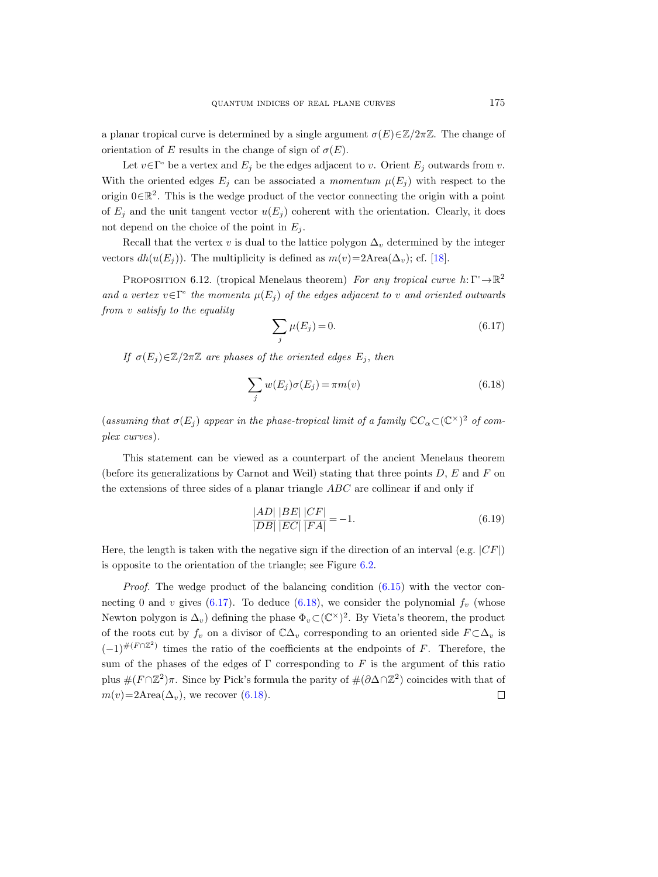a planar tropical curve is determined by a single argument  $\sigma(E) \in \mathbb{Z}/2\pi\mathbb{Z}$ . The change of orientation of E results in the change of sign of  $\sigma(E)$ .

Let  $v \in \Gamma$ <sup>o</sup> be a vertex and  $E_j$  be the edges adjacent to v. Orient  $E_j$  outwards from v. With the oriented edges  $E_i$  can be associated a momentum  $\mu(E_i)$  with respect to the origin  $0 \in \mathbb{R}^2$ . This is the wedge product of the vector connecting the origin with a point of  $E_i$  and the unit tangent vector  $u(E_i)$  coherent with the orientation. Clearly, it does not depend on the choice of the point in  $E_j$ .

Recall that the vertex v is dual to the lattice polygon  $\Delta_v$  determined by the integer vectors  $dh(u(E_i))$ . The multiplicity is defined as  $m(v)=2$ Area $(\Delta_v)$ ; cf. [\[18\]](#page-44-4).

PROPOSITION 6.12. (tropical Menelaus theorem) For any tropical curve  $h: \Gamma \rightarrow \mathbb{R}^2$ and a vertex  $v \in \Gamma$ <sup>o</sup> the momenta  $\mu(E_j)$  of the edges adjacent to v and oriented outwards from v satisfy to the equality

<span id="page-40-0"></span>
$$
\sum_{j} \mu(E_j) = 0. \tag{6.17}
$$

If  $\sigma(E_i) \in \mathbb{Z}/2\pi\mathbb{Z}$  are phases of the oriented edges  $E_i$ , then

<span id="page-40-1"></span>
$$
\sum_{j} w(E_j)\sigma(E_j) = \pi m(v) \tag{6.18}
$$

(assuming that  $\sigma(E_j)$  appear in the phase-tropical limit of a family  $\mathbb{C}C_{\alpha} \subset (\mathbb{C}^{\times})^2$  of complex curves).

This statement can be viewed as a counterpart of the ancient Menelaus theorem (before its generalizations by Carnot and Weil) stating that three points  $D$ ,  $E$  and  $F$  on the extensions of three sides of a planar triangle ABC are collinear if and only if

$$
\frac{|AD|}{|DB|} \frac{|BE|}{|EC|} \frac{|CF|}{|FA|} = -1.
$$
\n(6.19)

Here, the length is taken with the negative sign if the direction of an interval (e.g.  $|CF|$ ) is opposite to the orientation of the triangle; see Figure [6.2.](#page-11-1)

*Proof.* The wedge product of the balancing condition  $(6.15)$  with the vector con-necting 0 and v gives [\(6.17\)](#page-40-0). To deduce [\(6.18\)](#page-40-1), we consider the polynomial  $f_v$  (whose Newton polygon is  $\Delta_v$ ) defining the phase  $\Phi_v \subset (\mathbb{C}^\times)^2$ . By Vieta's theorem, the product of the roots cut by  $f_v$  on a divisor of  $\mathbb{C}\Delta_v$  corresponding to an oriented side  $F\subset \Delta_v$  is  $(-1)^{\#(F \cap \mathbb{Z}^2)}$  times the ratio of the coefficients at the endpoints of F. Therefore, the sum of the phases of the edges of  $\Gamma$  corresponding to F is the argument of this ratio plus  $\#(F \cap \mathbb{Z}^2)\pi$ . Since by Pick's formula the parity of  $\#(\partial \Delta \cap \mathbb{Z}^2)$  coincides with that of  $m(v)=2$ Area $(\Delta_v)$ , we recover [\(6.18\)](#page-40-1).  $\Box$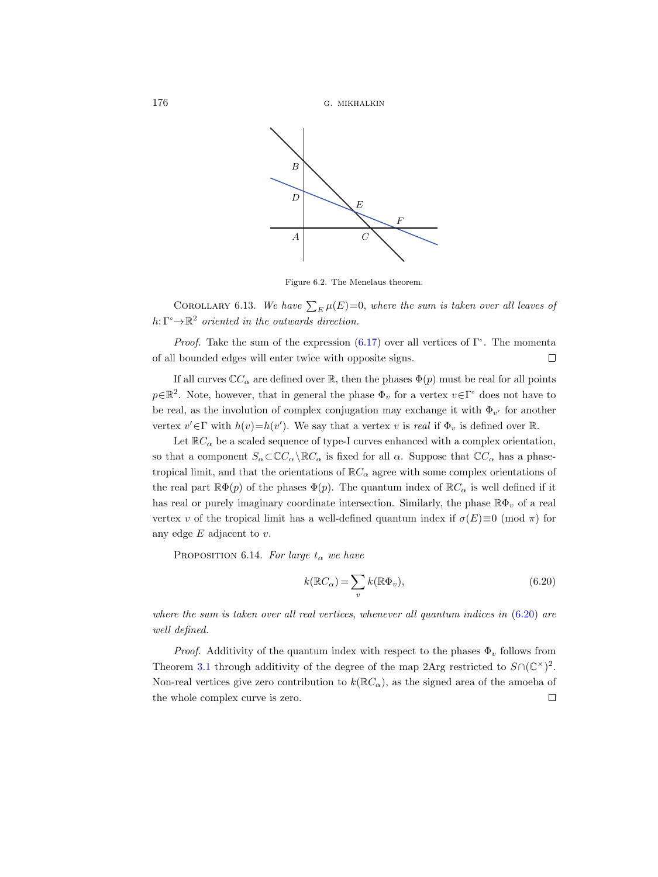

Figure 6.2. The Menelaus theorem.

COROLLARY 6.13. We have  $\sum_E \mu(E)=0$ , where the sum is taken over all leaves of  $h: \Gamma \rightarrow \mathbb{R}^2$  oriented in the outwards direction.

*Proof.* Take the sum of the expression  $(6.17)$  over all vertices of  $\Gamma$ <sup>o</sup>. The momenta of all bounded edges will enter twice with opposite signs.  $\Box$ 

If all curves  $\mathbb{C}C_{\alpha}$  are defined over R, then the phases  $\Phi(p)$  must be real for all points  $p \in \mathbb{R}^2$ . Note, however, that in general the phase  $\Phi_v$  for a vertex  $v \in \Gamma$ <sup>o</sup> does not have to be real, as the involution of complex conjugation may exchange it with  $\Phi_{v'}$  for another vertex  $v' \in \Gamma$  with  $h(v) = h(v')$ . We say that a vertex v is real if  $\Phi_v$  is defined over R.

Let  $\mathbb{R}C_{\alpha}$  be a scaled sequence of type-I curves enhanced with a complex orientation, so that a component  $S_\alpha \subset \mathbb{C}C_\alpha \backslash \mathbb{R}C_\alpha$  is fixed for all  $\alpha$ . Suppose that  $\mathbb{C}C_\alpha$  has a phasetropical limit, and that the orientations of  $\mathbb{R}C_{\alpha}$  agree with some complex orientations of the real part  $\mathbb{R}\Phi(p)$  of the phases  $\Phi(p)$ . The quantum index of  $\mathbb{R}C_{\alpha}$  is well defined if it has real or purely imaginary coordinate intersection. Similarly, the phase  $\mathbb{R}\Phi_v$  of a real vertex v of the tropical limit has a well-defined quantum index if  $\sigma(E) \equiv 0 \pmod{\pi}$  for any edge  $E$  adjacent to  $v$ .

<span id="page-41-1"></span>PROPOSITION 6.14. For large  $t_{\alpha}$  we have

<span id="page-41-0"></span>
$$
k(\mathbb{R}C_{\alpha}) = \sum_{v} k(\mathbb{R}\Phi_{v}),
$$
\n(6.20)

where the sum is taken over all real vertices, whenever all quantum indices in  $(6.20)$  are well defined.

*Proof.* Additivity of the quantum index with respect to the phases  $\Phi_v$  follows from Theorem [3.1](#page-8-0) through additivity of the degree of the map 2Arg restricted to  $S \cap (\mathbb{C}^{\times})^2$ . Non-real vertices give zero contribution to  $k(\mathbb{R}C_{\alpha})$ , as the signed area of the amoeba of the whole complex curve is zero. $\Box$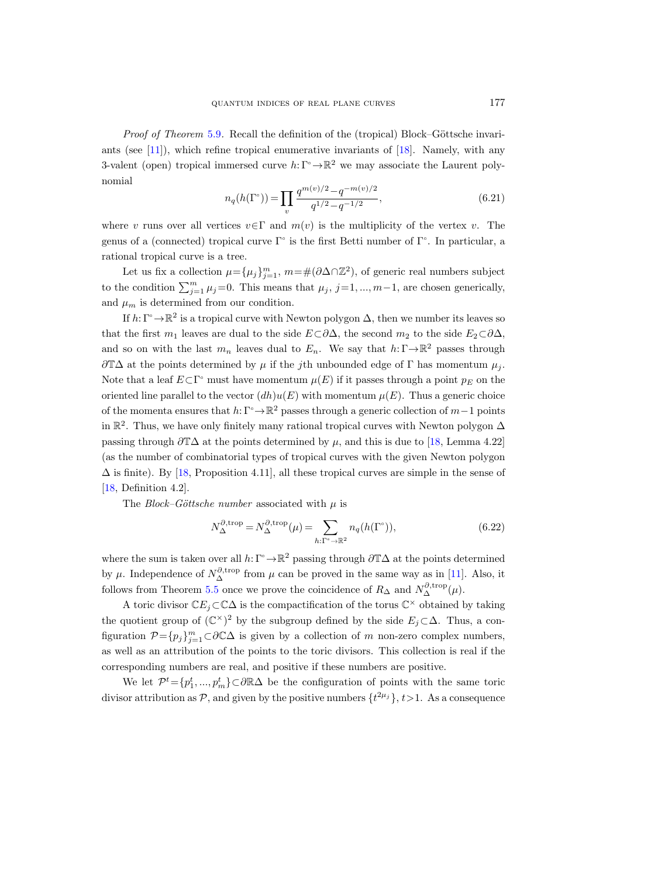*Proof of Theorem* [5.9](#page-23-2). Recall the definition of the (tropical) Block–Göttsche invariants (see  $[11]$ ), which refine tropical enumerative invariants of  $[18]$ . Namely, with any 3-valent (open) tropical immersed curve  $h: \Gamma^{\circ} \to \mathbb{R}^{2}$  we may associate the Laurent polynomial

<span id="page-42-1"></span>
$$
n_q(h(\Gamma^{\circ})) = \prod_{v} \frac{q^{m(v)/2} - q^{-m(v)/2}}{q^{1/2} - q^{-1/2}},
$$
\n(6.21)

where v runs over all vertices  $v \in \Gamma$  and  $m(v)$  is the multiplicity of the vertex v. The genus of a (connected) tropical curve  $\Gamma^{\circ}$  is the first Betti number of  $\Gamma^{\circ}$ . In particular, a rational tropical curve is a tree.

Let us fix a collection  $\mu = {\mu_j}_{j=1}^m$ ,  $m = \#(\partial \Delta \cap \mathbb{Z}^2)$ , of generic real numbers subject to the condition  $\sum_{j=1}^{m} \mu_j = 0$ . This means that  $\mu_j$ , j=1,..., m-1, are chosen generically, and  $\mu_m$  is determined from our condition.

If  $h: \Gamma^{\circ} \to \mathbb{R}^{2}$  is a tropical curve with Newton polygon  $\Delta$ , then we number its leaves so that the first  $m_1$  leaves are dual to the side  $E\subset \partial \Delta$ , the second  $m_2$  to the side  $E_2\subset \partial \Delta$ , and so on with the last  $m_n$  leaves dual to  $E_n$ . We say that  $h: \Gamma \to \mathbb{R}^2$  passes through  $\partial \mathbb{T}\Delta$  at the points determined by  $\mu$  if the jth unbounded edge of  $\Gamma$  has momentum  $\mu_i$ . Note that a leaf  $E \subset \Gamma$ <sup>o</sup> must have momentum  $\mu(E)$  if it passes through a point  $p_E$  on the oriented line parallel to the vector  $(dh)u(E)$  with momentum  $\mu(E)$ . Thus a generic choice of the momenta ensures that  $h: \Gamma^{\circ} \to \mathbb{R}^{2}$  passes through a generic collection of  $m-1$  points in  $\mathbb{R}^2$ . Thus, we have only finitely many rational tropical curves with Newton polygon  $\Delta$ passing through  $\partial T\Delta$  at the points determined by  $\mu$ , and this is due to [\[18,](#page-44-4) Lemma 4.22] (as the number of combinatorial types of tropical curves with the given Newton polygon  $\Delta$  is finite). By [\[18,](#page-44-4) Proposition 4.11], all these tropical curves are simple in the sense of [\[18,](#page-44-4) Definition 4.2].

The Block–Göttsche number associated with  $\mu$  is

<span id="page-42-0"></span>
$$
N_{\Delta}^{\partial, \text{trop}} = N_{\Delta}^{\partial, \text{trop}}(\mu) = \sum_{h: \Gamma^{\circ} \to \mathbb{R}^2} n_q(h(\Gamma^{\circ})),
$$
\n(6.22)

where the sum is taken over all  $h: \Gamma^{\circ} \to \mathbb{R}^2$  passing through  $\partial \mathbb{T}\Delta$  at the points determined by  $\mu$ . Independence of  $N_{\Delta}^{\partial, \text{trop}}$  from  $\mu$  can be proved in the same way as in [\[11\]](#page-44-14). Also, it follows from Theorem [5.5](#page-22-0) once we prove the coincidence of  $R_{\Delta}$  and  $N_{\Delta}^{\partial, \text{trop}}(\mu)$ .

A toric divisor  $\mathbb{C}E_j \subset \mathbb{C}\Delta$  is the compactification of the torus  $\mathbb{C}^\times$  obtained by taking the quotient group of  $(\mathbb{C}^{\times})^2$  by the subgroup defined by the side  $E_j \subset \Delta$ . Thus, a configuration  $\mathcal{P} = \{p_j\}_{j=1}^m \subset \partial \mathbb{C}\Delta$  is given by a collection of m non-zero complex numbers, as well as an attribution of the points to the toric divisors. This collection is real if the corresponding numbers are real, and positive if these numbers are positive.

We let  $\mathcal{P}^t = \{p_1^t, ..., p_m^t\} \subset \partial \mathbb{R}\Delta$  be the configuration of points with the same toric divisor attribution as P, and given by the positive numbers  $\{t^{2\mu_j}\}, t>1$ . As a consequence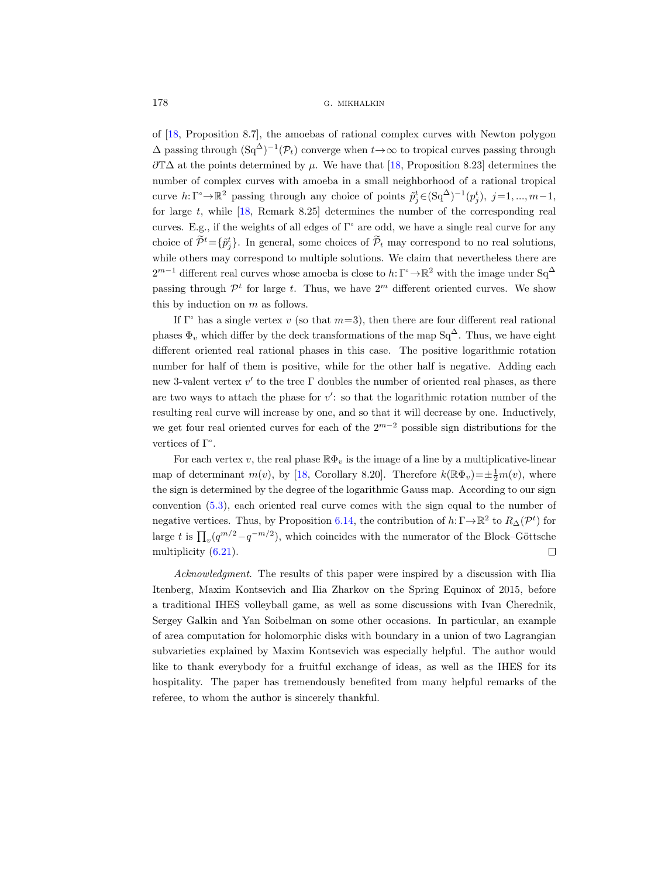of [\[18,](#page-44-4) Proposition 8.7], the amoebas of rational complex curves with Newton polygon  $\Delta$  passing through  $(Sq^{\Delta})^{-1}(\mathcal{P}_t)$  converge when  $t \to \infty$  to tropical curves passing through  $\partial T\Delta$  at the points determined by  $\mu$ . We have that [\[18,](#page-44-4) Proposition 8.23] determines the number of complex curves with amoeba in a small neighborhood of a rational tropical curve  $h: \Gamma \to \mathbb{R}^2$  passing through any choice of points  $\tilde{p}_j^t \in (\text{Sq}^{\Delta})^{-1}(p_j^t), j=1, ..., m-1$ , for large  $t$ , while  $\left[18, \text{ Remark } 8.25\right]$  determines the number of the corresponding real curves. E.g., if the weights of all edges of  $\Gamma$ <sup>o</sup> are odd, we have a single real curve for any choice of  $\tilde{\mathcal{P}}^t = {\{\tilde{p}_j^t\}}$ . In general, some choices of  $\tilde{\mathcal{P}}_t$  may correspond to no real solutions, while others may correspond to multiple solutions. We claim that nevertheless there are  $2^{m-1}$  different real curves whose amoeba is close to  $h: \Gamma^{\circ} \to \mathbb{R}^{2}$  with the image under  $Sq^{\Delta}$ passing through  $\mathcal{P}^t$  for large t. Thus, we have  $2^m$  different oriented curves. We show this by induction on  $m$  as follows.

If  $\Gamma$ <sup>o</sup> has a single vertex v (so that  $m=3$ ), then there are four different real rational phases  $\Phi_v$  which differ by the deck transformations of the map Sq<sup>∆</sup>. Thus, we have eight different oriented real rational phases in this case. The positive logarithmic rotation number for half of them is positive, while for the other half is negative. Adding each new 3-valent vertex  $v'$  to the tree  $\Gamma$  doubles the number of oriented real phases, as there are two ways to attach the phase for  $v'$ : so that the logarithmic rotation number of the resulting real curve will increase by one, and so that it will decrease by one. Inductively, we get four real oriented curves for each of the  $2^{m-2}$  possible sign distributions for the vertices of  $\Gamma$ <sup>o</sup>.

For each vertex v, the real phase  $\mathbb{R}\Phi_v$  is the image of a line by a multiplicative-linear map of determinant  $m(v)$ , by [\[18,](#page-44-4) Corollary 8.20]. Therefore  $k(\mathbb{R}\Phi_v)=\pm\frac{1}{2}m(v)$ , where the sign is determined by the degree of the logarithmic Gauss map. According to our sign convention [\(5.3\)](#page-21-1), each oriented real curve comes with the sign equal to the number of negative vertices. Thus, by Proposition [6.14,](#page-41-1) the contribution of  $h: \Gamma \to \mathbb{R}^2$  to  $R_{\Delta}(\mathcal{P}^t)$  for large t is  $\prod_{v} (q^{m/2} - q^{-m/2})$ , which coincides with the numerator of the Block–Göttsche multiplicity [\(6.21\)](#page-42-1).  $\Box$ 

Acknowledgment. The results of this paper were inspired by a discussion with Ilia Itenberg, Maxim Kontsevich and Ilia Zharkov on the Spring Equinox of 2015, before a traditional IHES volleyball game, as well as some discussions with Ivan Cherednik, Sergey Galkin and Yan Soibelman on some other occasions. In particular, an example of area computation for holomorphic disks with boundary in a union of two Lagrangian subvarieties explained by Maxim Kontsevich was especially helpful. The author would like to thank everybody for a fruitful exchange of ideas, as well as the IHES for its hospitality. The paper has tremendously benefited from many helpful remarks of the referee, to whom the author is sincerely thankful.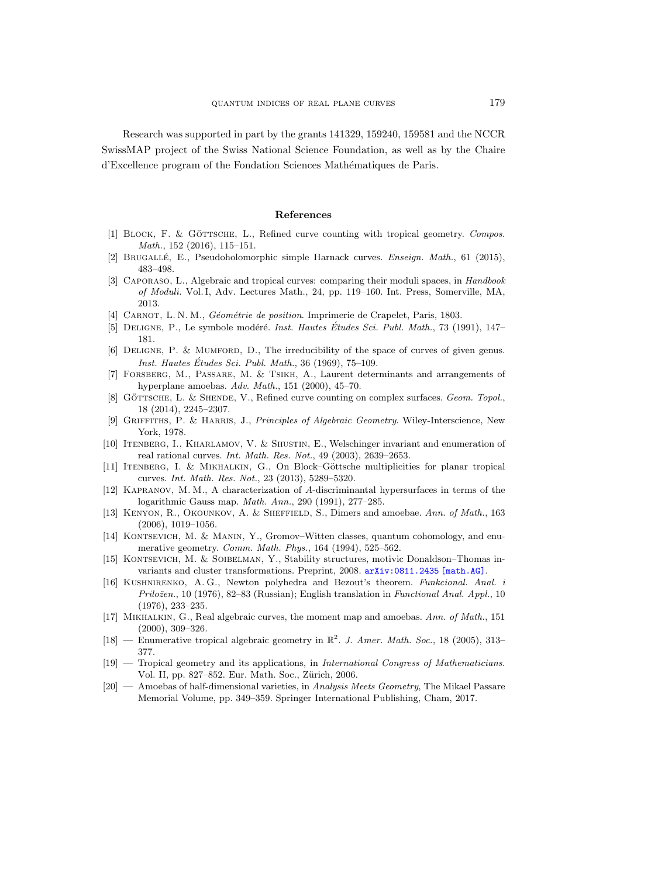Research was supported in part by the grants 141329, 159240, 159581 and the NCCR SwissMAP project of the Swiss National Science Foundation, as well as by the Chaire d'Excellence program of the Fondation Sciences Mathématiques de Paris.

#### References

- <span id="page-44-5"></span>[1] BLOCK, F. & GÖTTSCHE, L., Refined curve counting with tropical geometry. Compos. Math., 152 (2016), 115–151.
- <span id="page-44-10"></span>[2] BRUGALLÉ, E., Pseudoholomorphic simple Harnack curves. *Enseign. Math.*, 61 (2015), 483–498.
- <span id="page-44-12"></span>[3] Caporaso, L., Algebraic and tropical curves: comparing their moduli spaces, in Handbook of Moduli. Vol. I, Adv. Lectures Math., 24, pp. 119–160. Int. Press, Somerville, MA, 2013.
- <span id="page-44-8"></span>[4] CARNOT, L. N. M., Géométrie de position. Imprimerie de Crapelet, Paris, 1803.
- <span id="page-44-11"></span>[5] DELIGNE, P., Le symbole modéré. *Inst. Hautes Études Sci. Publ. Math.*, 73 (1991), 147– 181.
- <span id="page-44-17"></span>[6] Deligne, P. & Mumford, D., The irreducibility of the space of curves of given genus. Inst. Hautes Études Sci. Publ. Math.,  $36$  (1969),  $75-109$ .
- <span id="page-44-2"></span>[7] Forsberg, M., Passare, M. & Tsikh, A., Laurent determinants and arrangements of hyperplane amoebas. Adv. Math., 151 (2000), 45–70.
- <span id="page-44-6"></span>[8] GÖTTSCHE, L. & SHENDE, V., Refined curve counting on complex surfaces. Geom. Topol., 18 (2014), 2245–2307.
- <span id="page-44-13"></span>[9] Griffiths, P. & Harris, J., Principles of Algebraic Geometry. Wiley-Interscience, New York, 1978.
- <span id="page-44-3"></span>[10] Itenberg, I., Kharlamov, V. & Shustin, E., Welschinger invariant and enumeration of real rational curves. Int. Math. Res. Not., 49 (2003), 2639–2653.
- <span id="page-44-14"></span>[11] ITENBERG, I. & MIKHALKIN, G., On Block–Göttsche multiplicities for planar tropical curves. Int. Math. Res. Not., 23 (2013), 5289–5320.
- <span id="page-44-9"></span>[12] Kapranov, M. M., A characterization of A-discriminantal hypersurfaces in terms of the logarithmic Gauss map. Math. Ann., 290 (1991), 277–285.
- <span id="page-44-1"></span>[13] KENYON, R., OKOUNKOV, A. & SHEFFIELD, S., Dimers and amoebae. Ann. of Math., 163 (2006), 1019–1056.
- <span id="page-44-18"></span>[14] KONTSEVICH, M. & MANIN, Y., Gromov–Witten classes, quantum cohomology, and enumerative geometry. Comm. Math. Phys., 164 (1994), 525–562.
- <span id="page-44-7"></span>[15] KONTSEVICH, M. & SOIBELMAN, Y., Stability structures, motivic Donaldson–Thomas invariants and cluster transformations. Preprint, 2008.  $arXiv:0811.2435$  [math.AG].
- <span id="page-44-16"></span>[16] Kushnirenko, A. G., Newton polyhedra and Bezout's theorem. Funkcional. Anal. i  $Priložen., 10 (1976), 82–83 (Russian); English translation in *Functional Anal. Appl.*, 10$ (1976), 233–235.
- <span id="page-44-0"></span>[17] Mikhalkin, G., Real algebraic curves, the moment map and amoebas. Ann. of Math., 151 (2000), 309–326.
- <span id="page-44-4"></span>[18] — Enumerative tropical algebraic geometry in  $\mathbb{R}^2$ . J. Amer. Math. Soc., 18 (2005), 313-377.
- <span id="page-44-19"></span>[19] — Tropical geometry and its applications, in International Congress of Mathematicians. Vol. II, pp. 827–852. Eur. Math. Soc., Zürich, 2006.
- <span id="page-44-15"></span> $[20]$  — Amoebas of half-dimensional varieties, in Analysis Meets Geometry, The Mikael Passare Memorial Volume, pp. 349–359. Springer International Publishing, Cham, 2017.